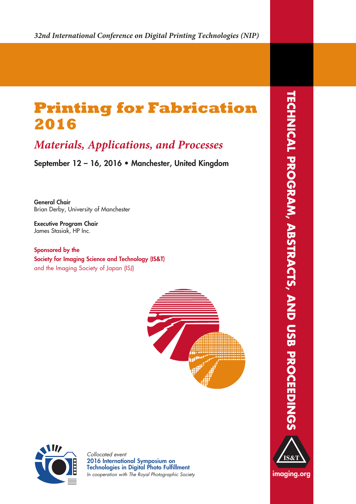# **Printing for Fabrication 2016**

# *Materials, Applications, and Processes*

**September 12 – 16, 2016 • Manchester, United Kingdom**

**General Chair** Brian Derby, University of Manchester

**Executive Program Chair** James Stasiak, HP Inc.

**Sponsored by the Society for Imaging Science and Technology (IS&T)** and the Imaging Society of Japan (ISJ)





*Collocated event* **2016 International Symposium on Technologies in Digital Photo Fulfillment** *In cooperation with The Royal Photographic Society*





**imaging.org**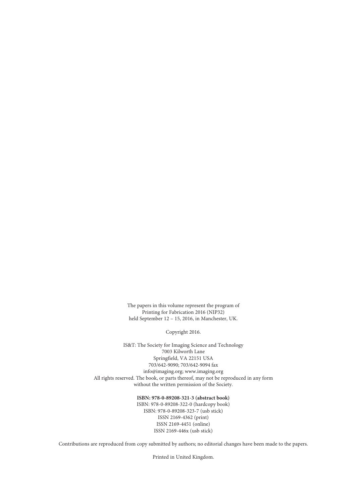The papers in this volume represent the program of Printing for Fabrication 2016 (NIP32) held September 12 – 15, 2016, in Manchester, UK.

Copyright 2016.

IS&T: The Society for Imaging Science and Technology 7003 Kilworth Lane Springfield, VA 22151 USA 703/642-9090; 703/642-9094 fax info@imaging.org; www.imaging.org All rights reserved. The book, or parts thereof, may not be reproduced in any form without the written permission of the Society.

## **ISBN: 978-0-89208-321-3 (abstract book)**

ISBN: 978-0-89208-322-0 (hardcopy book) ISBN: 978-0-89208-323-7 (usb stick) ISSN 2169-4362 (print) ISSN 2169-4451 (online) ISSN 2169-446x (usb stick)

Contributions are reproduced from copy submitted by authors; no editorial changes have been made to the papers.

Printed in United Kingdom.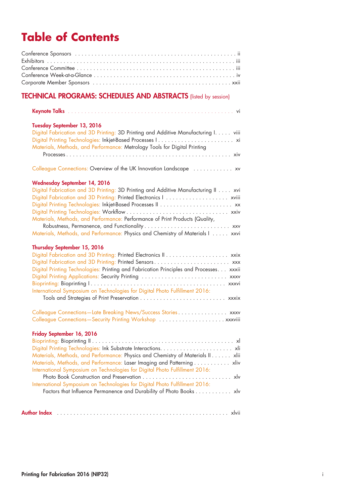# **Table of Contents**

## **TECHNICAL PROGRAMS: SCHEDULES AND ABSTRACTS** (listed by session)

|--|--|--|--|--|--|--|--|--|--|--|--|--|--|--|--|--|--|

## **Tuesday September 13, 2016**

| Digital Fabrication and 3D Printing: 3D Printing and Additive Manufacturing I viii |  |
|------------------------------------------------------------------------------------|--|
|                                                                                    |  |
| Materials, Methods, and Performance: Metrology Tools for Digital Printing          |  |
|                                                                                    |  |

Colleague Connections: Overview of the UK Innovation Landscape ............. xv

## **Wednesday September 14, 2016**

| Digital Fabrication and 3D Printing: 3D Printing and Additive Manufacturing II xvi |
|------------------------------------------------------------------------------------|
|                                                                                    |
|                                                                                    |
|                                                                                    |
| Materials, Methods, and Performance: Performance of Print Products (Quality,       |
| Robustness, Permanence, and Functionality xxv                                      |
| Materials, Methods, and Performance: Physics and Chemistry of Materials I xxvi     |

## **Thursday September 15, 2016**

| Digital Fabrication and 3D Printing: Printed Sensors xxx                               |  |
|----------------------------------------------------------------------------------------|--|
| Digital Printing Technologies: Printing and Fabrication Principles and Processes xxxii |  |
| Digital Printing Applications: Security Printing  xxxv                                 |  |
|                                                                                        |  |
| International Symposium on Technologies for Digital Photo Fulfillment 2016:            |  |
|                                                                                        |  |

| Colleague Connections-Late Breaking News/Success Stories xxxv |  |  |  |  |  |
|---------------------------------------------------------------|--|--|--|--|--|
|                                                               |  |  |  |  |  |

## **Friday September 16, 2016**

| Materials, Methods, and Performance: Physics and Chemistry of Materials II xlii |  |
|---------------------------------------------------------------------------------|--|
| Materials, Methods, and Performance: Laser Imaging and Patterning xliv          |  |
| International Symposium on Technologies for Digital Photo Fulfillment 2016:     |  |
|                                                                                 |  |
| International Symposium on Technologies for Digital Photo Fulfillment 2016:     |  |
| Factors that Influence Permanence and Durability of Photo Books xlv             |  |
|                                                                                 |  |
|                                                                                 |  |

|--|--|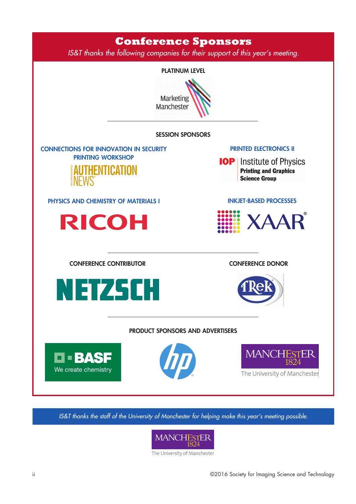

*IS&T thanks the staff of the University of Manchester for helping make this year's meeting possible.*



The University of Manchester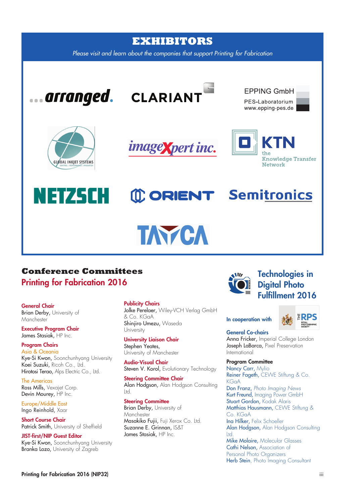

## **Conference Committees Printing for Fabrication 2016**

## **General Chair**

Brian Derby, University of **Manchester** 

**Executive Program Chair** James Stasiak, HP Inc.

#### **Program Chairs** Asia & Oceania

Kye-Si Kwon, Soonchunhyang University Koei Suzuki, Ricoh Co., Ltd. Hirotosi Terao, Alps Electric Co., Ltd.

The Americas Ross Mills, Vexajet Corp. Devin Mourey, HP Inc.

Europe/Middle East Ingo Reinhold, Xaar

**Short Course Chair** Patrick Smith, University of Sheffield

**JIST-first/NIP Guest Editor** Kye-Si Kwon, Soonchunhyang University Branka Lozo, University of Zagreb

## **Publicity Chairs**

Jolke Perelaer, Wiley-VCH Verlag GmbH & Co. KGaA Shinjiro Umezu, Waseda **University** 

**University Liaison Chair** Stephen Yeates, University of Manchester

**Audio-Visual Chair** Steven V. Korol, Evolutionary Technology

**Steering Committee Chair** Alan Hodason, Alan Hodason Consulting Ltd.

#### **Steering Committee**

Brian Derby, University of **Manchester** Masakiko Fujii, Fuji Xerox Co. Ltd. Suzanne E. Grinnan, IS&T James Stasiak, HP Inc.



### **In cooperation with**



## **General Co-chairs**

Anna Fricker, Imperial College London Joseph LaBarca, Pixel Preservation International

### **Program Committee**

Nancy Carr, Mylio Reiner Fageth, CEWE Stiftung & Co. **KGaA** Don Franz, *Photo Imaging News* Kurt Freund, Imaging Power GmbH Stuart Gordon, Kodak Alaris Matthias Hausmann, CEVVE Stiftung & Co. KGaA Ina Hilker, Felix Schoeller Alan Hodgson, Alan Hodgson Consulting Ltd. Mike Molaire, Molecular Glasses Cathi Nelson, Association of Personal Photo Organizers Herb Stein, Photo Imaging Consultant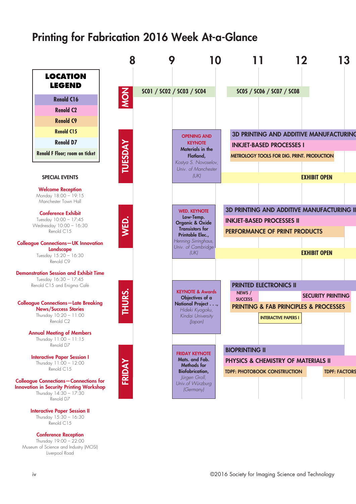# **Printing for Fabrication 2016 Week At-a-Glance**



Thursday 15:30 – 16:30 Renold C<sub>15</sub>

**Conference Reception**

Thursday 19:00 – 22:00 Museum of Science and Industry (MOSI) Liverpool Road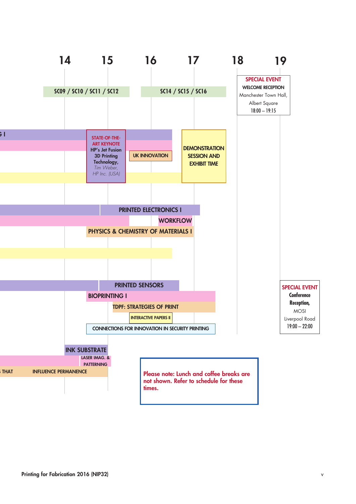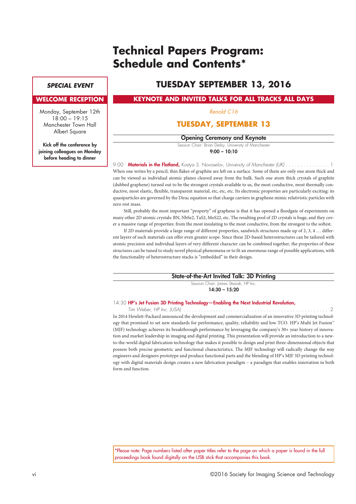# **Technical Papers Program: Schedule and Contents\***

## *SPECIAL EVENT*

### **WELCOME RECEPTION**

Monday, September 12th  $18:00 - 19:15$ Manchester Town Hall **Albert Square** 

**Kick off the conference by joining colleagues on Monday before heading to dinner**

## **TUESDAY SEPTEMBER 13, 2016**

**KEYNOTE AND INVITED TALKS FOR ALL TRACKS ALL DAYS**

*Renold C16*

## **TUESDAY, SEPTEMBER 13**

### **Opening Ceremony and Keynote**

Session Chair: Brian Derby, University of Manchester **9:00 – 10:10**

9:00 **Materials in the Flatland,** *Kostya S. Novoselov, University of Manchester (UK)* . . . . . . . . . . . . . . . 1 When one writes by a pencil, thin flakes of graphite are left on a surface. Some of them are only one atom thick and can be viewed as individual atomic planes cleaved away from the bulk. Such one atom thick crystals of graphite (dubbed graphene) turned out to be the strongest crystals available to us, the most conductive, most thermally conductive, most elastic, flexible, transparent material, etc, etc, etc. Its electronic properties are particularly exciting: its quasiparticles are governed by the Dirac equation so that charge carriers in graphene mimic relativistic particles with zero rest mass.

Still, probably the most important "property" of graphene is that it has opened a floodgate of experiments on many other 2D atomic crystals: BN, NbSe2, TaS2, MoS22, etc. The resulting pool of 2D crystals is huge, and they cover a massive range of properties: from the most insulating to the most conductive, from the strongest to the softest.

If 2D materials provide a large range of different properties, sandwich structures made up of 2, 3, 4 … different layers of such materials can offer even greater scope. Since these 2D-based heterostructures can be tailored with atomic precision and individual layers of very different character can be combined together, the properties of these structures can be tuned to study novel physical phenomena or to fit an enormous range of possible applications, with the functionality of heterostructure stacks is "embedded" in their design.

### **State-of-the-Art Invited Talk: 3D Printing**

Session Chair: James Stasiak, HP Inc. **14:30 – 15:20**

## 14:30 **HP's Jet Fusion 3D Printing Technology—Enabling the Next Industrial Revolution,**

*Tim Weber, HP Inc. (USA) . . . . . . . . . . . . . . . . . . . . . . . . . . . . . . . . . . . . . . . . . . . . . . . . .* 2 In 2014 Hewlett-Packard announced the development and commercialization of an innovative 3D printing technology that promised to set new standards for performance, quality, reliability and low TCO. HP's Multi Jet Fusion™ (MJF) technology achieves its breakthrough performance by leveraging the company's 30+ year history of innovation and market leadership in imaging and digital printing. This presentation will provide an introduction to a newto-the-world digital fabrication technology that makes it possible to design and print three-dimensional objects that possess both precise geometric and functional characteristics. The MJF technology will radically change the way engineers and designers prototype and produce functional parts and the blending of HP's MJF 3D printing technology with digital materials design creates a new fabrication paradigm – a paradigm that enables innovation in both form and function.

\*Please note: Page numbers listed after paper titles refer to the page on which a paper is found in the full proceedings book found digitally on the USB stick that accompanies this book.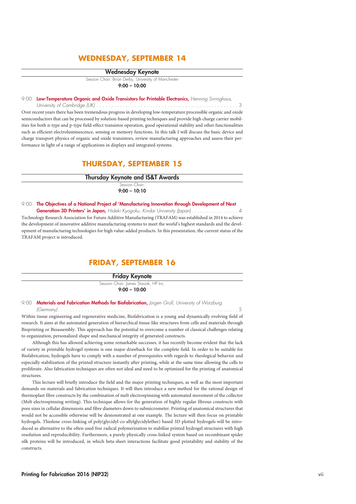## **WEDNESDAY, SEPTEMBER 14**

#### **Wednesday Keynote**

Session Chair: Brian Derby, University of Manchester **9:00 – 10:00**

9:00 **Low-Temperature Organic and Oxide Transistors for Printable Electronics,** *Henning Sirringhaus,*

*University of Cambridge (UK) . . . . . . . . . . . . . . . . . . . . . . . . . . . . . . . . . . . . . . . . . . . . . . . .* 3 Over recent years there has been tremendous progress in developing low-temperature processible organic and oxide semiconductors that can be processed by solution-based printing techniques and provide high charge carrier mobilities for both n-type and p-type field-effect transistor operation, good operational stability and other functionalities such as efficient electroluminescence, sensing or memory functions. In this talk I will discuss the basic device and charge transport physics of organic and oxide transistors, review manufacturing approaches and assess their performance in light of a range of applications in displays and integrated systems.

## **THURSDAY, SEPTEMBER 15**

**Thursday Keynote and IS&T Awards**

Session Chair: **9:00 – 10:10**

9:00 **The Objectives of a National Project of 'Manufacturing Innovation through Development of Next**

Generation 3D Printers' in Japan, Hideki Kyogoku, Kindai University (Japan). . . . . . . . . . . . . . . . 4 Technology Research Association for Future Additive Manufacturing (TRAFAM) was established in 2014 to achieve the development of innovative additive manufacturing systems to meet the world's highest standards and the development of manufacturing technologies for high value-added products. In this presentation, the current status of the TRAFAM project is introduced.

## **FRIDAY, SEPTEMBER 16**

**Friday Keynote**

Session Chair: James Stasiak, HP Inc. **9:00 – 10:00**

9:00 **Materials and Fabrication Methods for Biofabrication,** *Jürgen Groll, University of Würzburg*

*(Germany) . . . . . . . . . . . . . . . . . . . . . . . . . . . . . . . . . . . . . . . . . . . . . . . . . . . . . . . . . . . . .* 5 Within tissue engineering and regenerative medicine, Biofabrication is a young and dynamically evolving field of research. It aims at the automated generation of hierarchical tissue-like structures from cells and materials through Bioprinting or Bioassembly. This approach has the potential to overcome a number of classical challenges relating to organization, personalized shape and mechanical integrity of generated constructs.

Although this has allowed achieving some remarkable successes, it has recently become evident that the lack of variety in printable hydrogel systems is one major drawback for the complete field. In order to be suitable for Biofabrication, hydrogels have to comply with a number of prerequisites with regards to rheological behavior and especially stabilization of the printed structure instantly after printing, while at the same time allowing the cells to proliferate. Also fabrication techniques are often not ideal and need to be optimized for the printing of anatomical structures.

This lecture will briefly introduce the field and the major printing techniques, as well as the most important demands on materials and fabrication techniques. It will then introduce a new method for the rational design of thermoplast fibre constructs by the combination of melt electrospinning with automated movement of the collector (Melt electrospinning writing). This technique allows for the generation of highly regular fibrous constructs with pore sizes in cellular dimensions and fibre diameters down to submicrometer. Printing of anatomical structures that would not be accessible otherwise will be demonstrated at one example. The lecture will then focus on printable hydrogels. Thiolene cross-linking of poly(glycidyl-co-allylglycidylether) based 3D plotted hydrogels will be introduced as alternative to the often used free radical polymerization to stabilize printed hydrogel structures with high resolution and reproducibility. Furthermore, a purely physically cross-linked system based on recombinant spider silk proteins will be introduced, in which beta-sheet interactions facilitate good printability and stability of the constructs.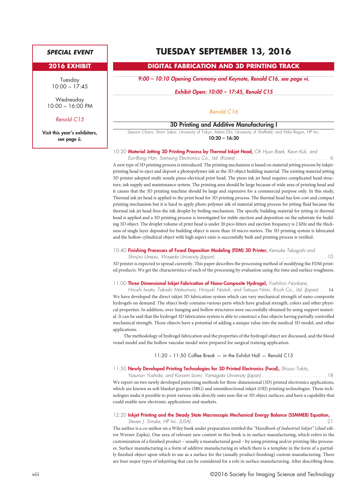## *SPECIAL EVENT*

## **2016 EXHIBIT**

Tuesday 10:00 – 17:45

**Wednesday** 10:00 – 16:00 PM

#### *Renold C15*

**Visit this year's exhibitors, see page ii.**

## **TUESDAY SEPTEMBER 13, 2016**

## **DIGITAL FABRICATION AND 3D PRINTING TRACK**

*9:00 – 10:10 Opening Ceremony and Keynote, Renold C16, see page vi.*

*Exhibit Open: 10:00 – 17:45, Renold C15*

*Renold C16*

#### **3D Printing and Additive Manufacturing I**

Session Chairs: Shinri Sakai, University of Tokyo; Adam Ellis, University of Sheffield; and Mike Regan, HP Inc. **10:20 – 16:30**

#### 10:20 **Material Jetting 3D Printing Process by Thermal Inkjet Head,** *Oh Hyun Baek, Keon Kuk, and*

*Eun-Bong Han, Samsung Electronics Co., Ltd. (Korea) . . . . . . . . . . . . . . . . . . . . . . . . . . . . . . . .* 6 A new type of 3D printing process is introduced. The printing mechanism is based on material jetting process by inkjetprinting head to eject and deposit a photopolymer ink as the 3D object building material. The existing material jetting 3D printer adopted multi nozzle piezo-electrical print head. The piezo ink jet head requires complicated head structure, ink supply and maintenance system. The printing area should be large because of wide area of printing head and it causes that the 3D printing machine should be large and expensive for a commercial purpose only. In this study, Thermal ink jet head is applied to the print head for 3D printing process. The thermal head has low cost and compact printing mechanism but it is hard to apply photo polymer ink of material jetting process for jetting fluid because the thermal ink jet head fires the ink droplet by boiling mechanism. The specific building material for jetting in thermal head is applied and a 3D printing process is investigated for stable ejection and deposition on the substrate for building 3D object. The droplet volume of print head is under 20 pico-litters and ejection frequency is 2 kHz and the thickness of single layer deposited for building object is more than 10 micro-meters. The 3D printing system is fabricated and the hollow cylindrical object with high aspect ratio is successfully built and printing process is verified.

#### 10:40 **Finishing Processes of Fused Deposition Modeling (FDM) 3D Printer,** *Kensuke Takagishi and*

*Shinjiro Umezu, Waseda University (Japan). . . . . . . . . . . . . . . . . . . . . . . . . . . . . . . . . . . . . .* 10 3D printer is expected to spread currently. This paper describes the processing method of modifying the FDM printed products. We get the characteristics of each of the processing by evaluation using the time and surface roughness.

#### 11:00 **Three Dimensional Inkjet Fabrication of Nano-Composite Hydrogel,** *Yoshihiro Norikane,*

*Hiroshi Iwata, Takashi Matsumura, Hiroyuki Naitoh, and Tatsuya Niimi, Ricoh Co., Ltd. (Japan) . . .* 14 We have developed the direct inkjet 3D fabrication system which can vary mechanical strength of nano-composite hydrogels on demand. The object body contains various parts which have gradual strength, colors and other physical properties. In addition, over-hanging and hollow structures were successfully obtained by using support material. It can be said that the hydrogel 3D fabrication system is able to construct a fine objects having partially controlled mechanical strength. Those objects have a potential of adding a unique value into the medical 3D model, and other applications.

The methodology of hydrogel fabrication and the properties of the hydrogel object are discussed, and the blood vessel model and the hollow vascular model were prepared for surgical training application.

#### 11:20 – 11:50 Coffee Break — in the Exhibit Hall — Renold C15

### 11:50 **Newly Developed Printing Technologies for 3D Printed Electronics (Focal),** *Shizuo Tokito,*

*Yasunori Yoshida, and Konami Izumi, Yamagata University (Japan) . . . . . . . . . . . . . . . . . . . . . .* 18 We report on two newly developed patterning methods for three-dimensional (3D) printed electronics applications, which are known as soft blanket gravure (SBG) and omnidirectional inkjet (OIJ) printing technologies. These technologies make it possible to print various inks directly onto non-flat or 3D object surfaces, and have a capability that could enable new electronic applications and markets.

#### 12:20 **Inkjet Printing and the Steady State Macroscopic Mechanical Energy Balance (SSMMEB) Equation,**

*Steven J. Simske, HP Inc. (USA). . . . . . . . . . . . . . . . . . . . . . . . . . . . . . . . . . . . . . . . . . . . . .* 21 The author is a co-author on a Wiley book under preparation entitled the *"Handbook of Industrial Inkjet"* (chief editor Werner Zapka). One area of relevant new content in this book is in surface manufacturing, which refers to the customization of a finished product – usually a manufactured good – by using printing and/or printing-like processes. Surface manufacturing is a form of additive manufacturing in which there is a template in the form of a partially finished object upon which to use as a surface for the (usually product-finishing) custom manufacturing. There are four major types of inkjetting that can be considered for a role in surface manufacturing. After describing these,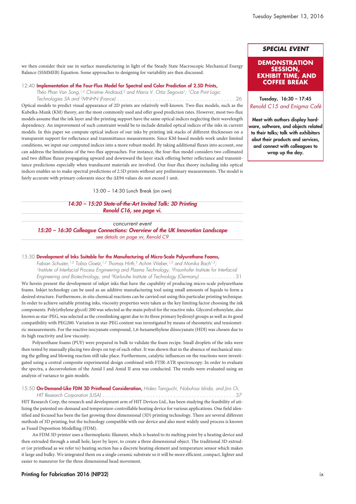we then consider their use in surface manufacturing in light of the Steady State Macroscopic Mechanical Energy Balance (SSMMEB) Equation. Some approaches to designing for variability are then discussed.

#### 12:40 **Implementation of the Four-Flux Model for Spectral and Color Prediction of 2.5D Prints,**

*Théo Phan Van Song, 1,2 Christine Andraud, <sup>2</sup> and Maria V. Ortiz Segovia1; 1Oce Print Logic*

*Technologies SA and 2MNHN (France) . . . . . . . . . . . . . . . . . . . . . . . . . . . . . . . . . . . . . . . .* 26 Optical models to predict visual appearance of 2D prints are relatively well-known. Two-flux models, such as the Kubelka-Munk (KM) theory, are the most commonly used and offer good prediction rates. However, most two-flux models assume that the ink layer and the printing support have the same optical indices neglecting their wavelength dependency. An improvement of such constraint would be to include detailed optical indices of the inks in current models. In this paper we compute optical indices of our inks by printing ink stacks of different thicknesses on a transparent support for reflectance and transmittance measurements. Since KM-based models work under limited conditions, we input our computed indices into a more robust model. By taking additional fluxes into account, one can address the limitations of the two-flux approaches. For instance, the four-flux model considers two collimated and two diffuse fluxes propagating upward and downward the layer stack offering better reflectance and transmittance predictions especially when translucent materials are involved. Our four-flux theory including inks optical indices enables us to make spectral predictions of 2.5D prints without any preliminary measurements. The model is fairly accurate with primary colorants since the ΔE94 values do not exceed 1 unit.

13:00 – 14:30 Lunch Break (on own)

*14:30 – 15:20 State-of-the-Art Invited Talk: 3D Printing Renold C16, see page vi.*

*concurrent event 15:20 – 16:30 Colleague Connections: Overview of the UK Innovation Landscape see details on page xv, Renold C9*

### 15:30 **Development of Inks Suitable for the Manufacturing of Micro-Scale Polyurethane Foams,**

*Fabian Schuster, 1,2 Tobia Goetz, 1,2 Thomas Hirth, <sup>3</sup> Achim Weber, 1,2 and Monika Bach1,2; 1Institute of Interfacial Process Engineering and Plasma Technology, 2Fraunhofer Institute for Interfacial* Engineering and Biotechnology, and <sup>3</sup>Karlsruhe Institute of Technology (Germany) . . . . . . . . . . . . 31 We herein present the development of inkjet inks that have the capability of producing micro-scale polyurethane foams. Inkjet technology can be used as an additive manufacturing tool using small amounts of liquids to form a desired structure. Furthermore, in situ chemical reactions can be carried out using this particular printing technique. In order to achieve suitable printing inks, viscosity properties were taken as the key limiting factor choosing the ink components. Poly(ethylene glycol) 200 was selected as the main polyol for the reactive inks. Glycerol ethoxylate, also known as star-PEG, was selected as the crosslinking agent due to its three primary hydroxyl groups as well as its good compatibility with PEG200. Variation in star-PEG content was investigated by means of rheometric and tensiometric measurements. For the reactive isocyanate compound, 1,6-hexamethylene diisocyanate (HDI) was chosen due to its high reactivity and low viscosity.

Polyurethane foams (PUF) were prepared in bulk to validate the foam recipe. Small droplets of the inks were then tested by manually placing two drops on top of each other. It was shown that in the absence of mechanical mixing the gelling and blowing reaction still take place. Furthermore, catalytic influences on the reactions were investigated using a central composite experimental design combined with FTIR-ATR spectroscopy. In order to evaluate the spectra, a deconvolution of the Amid I and Amid II area was conducted. The results were evaluated using an analysis of variance to gain models.

## 15:50 **On-Demand-Like FDM 3D Printhead Consideration,** *Hideo Taniguchi, Nobuhisa Ishida, and Jiro Oi,*

*HIT Research Corporation (USA) . . . . . . . . . . . . . . . . . . . . . . . . . . . . . . . . . . . . . . . . . . . . .* 37 HIT Research Corp, the research and development arm of HIT Devices Ltd., has been studying the feasibility of utilizing the patented on-demand and temperature-controllable heating device for various applications. One field identified and focused has been the fast growing three dimensional (3D) printing technology. There are several different methods of 3D printing, but the technology compatible with our device and also most widely used process is known as Fused Deposition Modelling (FDM).

An FDM 3D printer uses a thermoplastic filament, which is heated to its melting point by a heating device and then extruded through a small hole, layer by layer, to create a three dimensional object. The traditional 3D extruder (or printhead as we refer to) heating section has a discrete heating element and temperature sensor which makes it large and bulky. We integrated them on a single ceramic substrate so it will be more efficient, compact, lighter and easier to maneuver for the three dimensional head movement.

## *SPECIAL EVENT*

### **DEMONSTRATION SESSION, EXHIBIT TIME, AND COFFEE BREAK**

**Tuesday, 16:30 – 17:45** *Renold C15 and Enigma Café*

**Meet with authors display hardware, software, and objects related to their talks; talk with exhibitors abut their products and services, and connect with colleagues to wrap up the day.**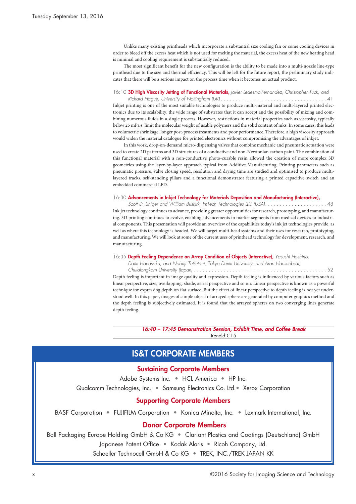Unlike many existing printheads which incorporate a substantial size cooling fan or some cooling devices in order to bleed off the excess heat which is not used for melting the material, the excess heat of the new heating head is minimal and cooling requirement is substantially reduced.

The most significant benefit for the new configuration is the ability to be made into a multi-nozzle line-type printhead due to the size and thermal efficiency. This will be left for the future report, the preliminary study indicates that there will be a serious impact on the process time when it becomes an actual product.

#### 16:10 **3D High Viscosity Jetting of Functional Materials,** *Javier Ledesma-Fernandez, Christopher Tuck, and*

*Richard Hague, University of Nottingham (UK) . . . . . . . . . . . . . . . . . . . . . . . . . . . . . . . . . . . .* 41 Inkjet printing is one of the most suitable technologies to produce multi-material and multi-layered printed electronics due to its scalability, the wide range of substrates that it can accept and the possibility of mixing and combining numerous fluids in a single process. However, restrictions in material properties such as viscosity, typically below 25 mPa·s, limit the molecular weight of usable polymers and the solid content of inks. In some cases, this leads to volumetric shrinkage, longer post-process treatments and poor performance. Therefore, a high viscosity approach would widen the material catalogue for printed electronics without compromising the advantages of inkjet.

In this work, drop-on-demand micro-dispensing valves that combine mechanic and pneumatic actuation were used to create 2D patterns and 3D structures of a conductive and non-Newtonian carbon paint. The combination of this functional material with a non-conductive photo-curable resin allowed the creation of more complex 3D geometries using the layer-by-layer approach typical from Additive Manufacturing. Printing parameters such as pneumatic pressure, valve closing speed, resolution and drying time are studied and optimised to produce multilayered tracks, self-standing pillars and a functional demonstrator featuring a printed capacitive switch and an embedded commercial LED.

#### 16:30 **Advancements in Inkjet Technology for Materials Deposition and Manufacturing (Interactive),**

*Scott D. Liniger and William Buskirk, ImTech Technologies LLC (USA). . . . . . . . . . . . . . . . . . . . .* 48 Ink jet technology continues to advance, providing greater opportunities for research, prototyping, and manufacturing. 3D printing continues to evolve, enabling advancements in market segments from medical devices to industrial components. This presentation will provide an overview of the capabilities today's ink jet technologies provide, as well as where this technology is headed. We will target multi-head systems and their uses for research, prototyping, and manufacturing. We will look at some of the current uses of printhead technology for development, research, and manufacturing.

#### 16:35 **Depth Feeling Dependence on Array Condition of Objects (Interactive),** *Yasushi Hoshino,*

*Daiki Hanasaka, and Nobuji Tetsutani, Tokyo Denki University, and Aran Hansuebsai,*

*Chulalongkorn University (Japan) . . . . . . . . . . . . . . . . . . . . . . . . . . . . . . . . . . . . . . . . . . . . .* 52 Depth feeling is important in image quality and expression. Depth feeling is influenced by various factors such as linear perspective, size, overlapping, shade, aerial perspective and so on. Linear perspective is known as a powerful technique for expressing depth on flat surface. But the effect of linear perspective to depth feeling is not yet understood well. In this paper, images of simple object of arrayed sphere are generated by computer graphics method and the depth feeling is subjectively estimated. It is found that the arrayed spheres on two converging lines generate depth feeling.

> *16:40 – 17:45 Demonstration Session, Exhibit Time, and Coffee Break* Renold C15

## **IS&T CORPORATE MEMBERS**

## **Sustaining Corporate Members**

Adobe Systems Inc. • HCL America • HP Inc. Qualcomm Technologies, Inc. • Samsung Electronics Co. Ltd.• Xerox Corporation

## **Supporting Corporate Members**

BASF Corporation • FUJIFILM Corporation • Konica Minolta, Inc. • Lexmark International, Inc.

## **Donor Corporate Members**

Ball Packaging Europe Holding GmbH & Co KG • Clariant Plastics and Coatings (Deutschland) GmbH Japanese Patent Office • Kodak Alaris • Ricoh Company, Ltd.

Schoeller Technocell GmbH & Co KG • TREK, INC./TREK JAPAN KK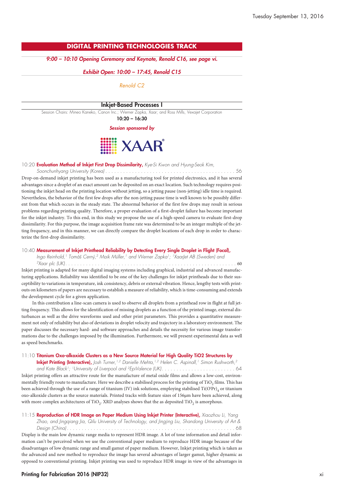## **DIGITAL PRINTING TECHNOLOGIES TRACK**

### *9:00 – 10:10 Opening Ceremony and Keynote, Renold C16, see page vi.*

#### *Exhibit Open: 10:00 – 17:45, Renold C15*

*Renold C2*

#### **Inkjet-Based Processes I**

Session Chairs: Mineo Kaneko, Canon Inc.; Werner Zapka, Xaar; and Ross Mills, Vexajet Corporation

**10:20 – 16:30**

*Session sponsored by*



#### 10:20 **Evaluation Method of Inkjet First Drop Dissimilarity,** *Kye-Si Kwon and Hyung-Seok Kim,*

*Soonchunhyang University (Korea) . . . . . . . . . . . . . . . . . . . . . . . . . . . . . . . . . . . . . . . . . . . .* 56 Drop-on-demand inkjet printing has been used as a manufacturing tool for printed electronics, and it has several advantages since a droplet of an exact amount can be deposited on an exact location. Such technology requires positioning the inkjet head on the printing location without jetting, so a jetting pause (non-jetting) idle time is required. Nevertheless, the behavior of the first few drops after the non-jetting pause time is well known to be possibly different from that which occurs in the steady state. The abnormal behavior of the first few drops may result in serious problems regarding printing quality. Therefore, a proper evaluation of a first-droplet failure has become important for the inkjet industry. To this end, in this study we propose the use of a high-speed camera to evaluate first-drop dissimilarity. For this purpose, the image acquisition frame rate was determined to be an integer multiple of the jetting frequency, and in this manner, we can directly compare the droplet locations of each drop in order to characterize the first-drop dissimilarity.

#### 10:40 **Measurement of Inkjet Printhead Reliability by Detecting Every Single Droplet in Flight (Focal),**

*Ingo Reinhold, <sup>1</sup> Tomáš Cerný, <sup>2</sup> Maik Müller, <sup>1</sup> and Werner Zapka1; 1XaarJet AB (Sweden) and*

*2Xaar plc (UK). . . . . . . . . . . . . . . . . . . . . . . . . . . . . . . . . . . . . . . . . . . . . . . . . . . . . . . . . .* 60

Inkjet printing is adapted for many digital imaging systems including graphical, industrial and advanced manufacturing applications. Reliability was identified to be one of the key challenges for inkjet printheads due to their susceptibility to variations in temperature, ink consistency, debris or external vibration. Hence, lengthy tests with printouts on kilometers of papers are necessary to establish a measure of reliability, which is time-consuming and extends the development cycle for a given application.

In this contribution a line-scan camera is used to observe all droplets from a printhead row in flight at full jetting frequency. This allows for the identification of missing droplets as a function of the printed image, external disturbances as well as the drive waveforms used and other print parameters. This provides a quantitative measurement not only of reliability but also of deviations in droplet velocity and trajectory in a laboratory environment. The paper discusses the necessary hard- and software approaches and details the necessity for various image transformations due to the challenges imposed by the illumination. Furthermore, we will present experimental data as well as speed benchmarks.

#### 11:10 **Titanium Oxo-alkoxide Clusters as a New Source Material for High Quality TiO2 Structures by**

**Inkjet Printing (Interactive),** *Josh Turner, 1,2 Danielle Mehta, 1,2 Helen C. Aspinall, <sup>1</sup> Simon Rushworth, 2 and Kate Black1; 1University of Liverpool and 2EpiValence (UK). . . . . . . . . . . . . . . . . . . . . . . . .* 64 Inkjet printing offers an attractive route for the manufacture of metal oxide films and allows a low-cost, environmentally friendly route to manufacture. Here we describe a stabilised process for the printing of TiO<sub>2</sub> films. This has been achieved through the use of a range of titanium (IV) ink solutions, employing stabilised  $\mathrm{Ti(O^!Pr)}_4$  or titanium oxo-alkoxide clusters as the source materials. Printed tracks with feature sizes of 156μm have been achieved, along with more complex architectures of TiO<sub>2</sub>. XRD analyses shows that the as deposited TiO<sub>2</sub> is amorphous.

11:15 **Reproduction of HDR Image on Paper Medium Using Inkjet Printer (Interactive),** *Xiaozhou Li, Yang Zhao, and Jingqiang Jia, Qilu University of Technology, and Jingjing Liu, Shandong University of Art & Design (China) . . . . . . . . . . . . . . . . . . . . . . . . . . . . . . . . . . . . . . . . . . . . . . . . . . . . . . . . .* 68 Display is the main low dynamic range media to represent HDR image. A lot of tone information and detail infor-

mation can't be perceived when we use the conventional paper medium to reproduce HDR image because of the disadvantages of low dynamic range and small gamut of paper medium. However, Inkjet printing which is taken as the advanced and new method to reproduce the image has several advantages of larger gamut, higher dynamic as opposed to conventional printing. Inkjet printing was used to reproduce HDR image in view of the advantages in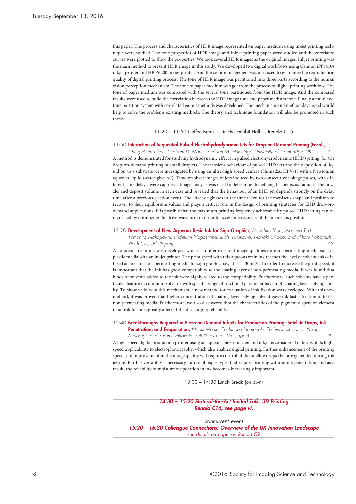this paper. The process and characteristics of HDR image represented on paper medium using inkjet printing technique were studied. The tone properties of HDR image and inkjet printing paper were studied and the correlated curves were plotted to show the properties. We took several HDR images as the original images. Inkjet printing was the main method to present HDR image in this study. We developed two digital workflows using Cannon iPF8410s inkjet printer and HP Z6200 inkjet printer. And the color management was also used to guarantee the reproduction quality of digital printing process. The tone of HDR image was partitioned into three parts according to the human vision perception mechanism. The tone of paper medium was got from the process of digital printing workflow. The tone of paper medium was compared with the several tone partitioned from the HDR image. And the compared results were used to build the correlation between the HDR image tone and paper medium tone. Finally a multilevel tone partition system with correlated gamut methods was developed. The mechanism and method developed would help to solve the problems existing methods. The theory and technique foundation will also be promoted in such thesis.

#### 11:20 – 11:50 Coffee Break — in the Exhibit Hall — Renold C15

#### 11:50 **Interaction of Sequential Pulsed Electrohydrodynamic Jets for Drop-on-Demand Printing (Focal),**

*Ching-Hsien Chen, Graham D. Martin, and Ian M. Hutchings, University of Cambridge (UK). . . . .* 71 A method is demonstrated for studying hydrodynamic effects in pulsed electrohydrodynamic (EHD) jetting, for the drop-on-demand printing of small droplets. The transient behaviour of pulsed EHD jets and the deposition of liquid on to a substrate were investigated by using an ultra-high speed camera (Shimadzu HPV-1) with a Newtonian aqueous liquid (water-glycerol). Time-resolved images of jets induced by two consecutive voltage pulses, with different time delays, were captured. Image analysis was used to determine the jet length, meniscus radius at the nozzle, and deposit volume in each case and revealed that the behaviour of an EHD jet depends strongly on the delay time after a previous ejection event. The effect originates in the time taken for the meniscus shape and position to recover to their equilibrium values and plays a critical role in the design of printing strategies for EHD drop-ondemand applications. It is possible that the maximum printing frequency achievable by pulsed EHD jetting can be increased by optimizing the drive waveform in order to accelerate recovery of the meniscus position.

#### 12:20 **Development of New Aqueous Resin Ink for Sign Graphics,** *Masahiro Kido, Naohiro Toda,*

*Tomohiro Nakagawa, Hidefumi Nagashima, Juichi Furukawa, Noriaki Okada, and Hikaru Kobayashi,*

*Ricoh Co., Ltd. (Japan). . . . . . . . . . . . . . . . . . . . . . . . . . . . . . . . . . . . . . . . . . . . . . . . . . . .* 75 An aqueous resin ink was developed which can offer excellent image qualities on non-permeating media such as plastic media with an inkjet printer. The print speed with this aqueous resin ink reaches the level of solvent-inks diffused as inks for non-permeating media for sign graphic, i.e., at least 30m2/h. In order to increase the print speed, it is important that the ink has good compatibility to the coating layer of non-permeating media. It was found that kinds of solvents added to the ink were highly related to the compatibility. Furthermore, such solvents have a particular feature in common. Solvents with specific range of fractional parameter have high coating layer-solving ability. To show validity of this mechanism, a new method for evaluation of ink fixation was developed. With this new method, it was proved that higher concentration of coating-layer-solving solvent gave ink faster fixation onto the non-permeating media. Furthermore, we also discovered that the characteristics of the pigment dispersion element in an ink formula greatly affected the discharging reliability.

#### 12:40 **Breakthroughs Required in Piezo-on-Demand Inkjets for Production Printing: Satellite Drops, Ink**

**Penetration, and Evaporation,** *Naoki Morita, Toshinobu Hamazaki, Toshinori Ishiyama, Yukari*

*Motosugi, and Susumu Hirakata, Fuji Xerox Co., Ltd. (Japan) . . . . . . . . . . . . . . . . . . . . . . . . . .* 79 A high-speed digital production printer using an aqueous piezo-on-demand inkjet is considered in terms of its highspeed applicability to electrophotography, which also enables digital printing. Further enhancement of the printing speed and improvement in the image quality will require control of the satellite drops that are generated during ink jetting. Further versatility is necessary for use of paper types that require printing without ink penetration, and as a result, the reliability of moisture evaporation in ink becomes increasingly important.

13:00 – 14:30 Lunch Break (on own)

*14:30 – 15:20 State-of-the-Art Invited Talk: 3D Printing Renold C16, see page vi.*

*concurrent event 15:20 – 16:30 Colleague Connections: Overview of the UK Innovation Landscape see details on page xv, Renold C9*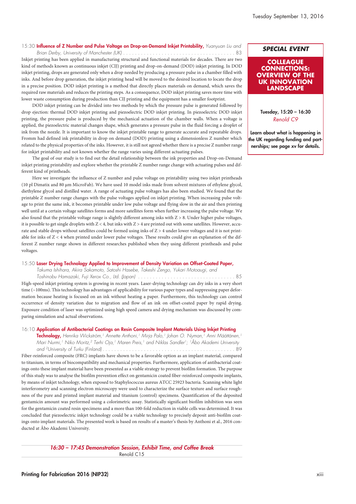## 15:30 **Influence of Z Number and Pulse Voltage on Drop-on-Demand Inkjet Printability,** *Yuanyuan Liu and*

*Brian Derby, University of Manchester (UK)* . . . . . . . . . . . . . . . . . . . . . . . . . . . . . . . . . . . . . . 83

Inkjet printing has been applied in manufacturing structural and functional materials for decades. There are two kind of methods known as continuous inkjet (CIJ) printing and drop-on-demand (DOD) inkjet printing. In DOD inkjet printing, drops are generated only when a drop needed by producing a pressure pulse in a chamber filled with inks. And before drop generation, the inkjet printing head will be moved to the desired location to locate the drop in a precise position. DOD inkjet printing is a method that directly places materials on demand, which saves the required raw materials and reduces the printing steps. As a consequence, DOD inkjet printing saves more time with lower waste consumption during production than CIJ printing and the equipment has a smaller footprint.

DOD inkjet printing can be divided into two methods by which the pressure pulse is generated followed by drop ejection: thermal DOD inkjet printing and piezoelectric DOD inkjet printing. In piezoelectric DOD inkjet printing, the pressure pulse is produced by the mechanical actuation of the chamber walls. When a voltage is applied, the piezoelectric material changes shape, which generates a pressure pulse in the fluid forcing a droplet of ink from the nozzle. It is important to know the inkjet printable range to generate accurate and repeatable drops. Fromm had defined ink printability in drop on demand (DOD) printing using a dimensionless Z number which related to the physical properties of the inks. However, it is still not agreed whether there is a precise Z number range for inkjet printability and not known whether the range varies using different actuating pulses.

The goal of our study is to find out the detail relationship between the ink properties and Drop-on-Demand inkjet printing printability and explore whether the printable Z number range change with actuating pulses and different kind of printheads.

Here we investigate the influence of Z number and pulse voltage on printability using two inkjet printheads (10 pl Dimatix and 80 μm MicroFab). We have used 10 model inks made from solvent mixtures of ethylene glycol, diethylene glycol and distilled water. A range of actuating pulse voltages has also been studied. We found that the printable Z number range changes with the pulse voltages applied on inkjet printing. When increasing pulse voltage to print the same ink, it becomes printable under low pulse voltage and flying slow in the air and then printing well until at a certain voltage satellites forms and more satellites form when further increasing the pulse voltage. We also found that the printable voltage range is slightly different among inks with Z > 8. Under higher pulse voltages, it is possible to get single droplets with  $Z < 4$ , but inks with  $Z > 4$  are printed out with some satellites. However, accurate and stable drops without satellites could be formed using inks of Z > 4 under lower voltages and it is not printable for inks of Z < 4 when printed under lower pulse voltages. These results could give an explanation of the different Z number range shown in different researches published when they using different printheads and pulse voltages.

#### 15:50 **Laser Drying Technology Applied to Improvement of Density Variation on Offset-Coated Paper,**

*Takuma Ishihara, Akira Sakamoto, Satoshi Hasebe, Takeshi Zengo, Yukari Motoaugi, and Toshinobu Hamazaki, Fuji Xerox Co., Ltd. (Japan) . . . . . . . . . . . . . . . . . . . . . . . . . . . . . . . . .* 85

High-speed inkjet printing system is growing in recent years. Laser-drying technology can dry inks in a very short time (~100ms). This technology has advantages of applicability for various paper types and suppressing paper deformation because heating is focused on an ink without heating a paper. Furthermore, this technology can control occurrence of density variation due to migration and flow of an ink on offset-coated paper by rapid drying. Exposure condition of laser was optimized using high speed camera and drying mechanism was discussed by comparing simulation and actual observations.

#### 16:10 **Application of Antibacterial Coatings on Resin Composite Implant Materials Using Inkjet Printing**

**Technology,** *Henrika Wickström, <sup>1</sup> Annette Anthoni, <sup>1</sup> Mirja Palo, <sup>1</sup> Johan O. Nyman, <sup>1</sup> Anni Määttänen, 1* Mari Nurmi,<sup>1</sup> Niko Moritz,<sup>2</sup> Terhi Oja,<sup>1</sup> Maren Preis,<sup>1</sup> and Niklas Sandler<sup>1</sup>; <sup>1</sup>Abo Akademi University *and 2University of Turku (Finland) . . . . . . . . . . . . . . . . . . . . . . . . . . . . . . . . . . . . . . . . . . . . .* 89 Fiber-reinforced composite (FRC) implants have shown to be a favorable option as an implant material, compared to titanium, in terms of biocompatibility and mechanical properties. Furthermore, application of antibacterial coatings onto these implant material have been presented as a viable strategy to prevent biofilm formation. The purpose of this study was to analyse the biofilm prevention effect on gentamicin coated fiber-reinforced composite implants, by means of inkjet technology, when exposed to Staphylococcus aureus ATCC 25923 bacteria. Scanning white light interferometry and scanning electron microscopy were used to characterize the surface texture and surface roughness of the pure and printed implant material and titanium (control) specimens. Quantification of the deposited gentamicin amount was performed using a colorimetric assay. Statistically significant biofilm inhibition was seen for the gentamicin coated resin specimens and a more than 100-fold reduction in viable cells was determined. It was concluded that piezoelectric inkjet technology could be a viable technology to precisely deposit anti-biofilm coatings onto implant materials. The presented work is based on results of a master's thesis by Anthoni et al., 2016 conducted at Åbo Akademi University.

> *16:30 – 17:45 Demonstration Session, Exhibit Time, and Coffee Break* Renold C15

## *SPECIAL EVENT*

### **COLLEAGUE CONNECTIONS: OVERVIEW OF THE UK INNOVATION LANDSCAPE**

**Tuesday, 15:20 – 16:30** *Renold C9*

**Learn about what is happening in the UK regarding funding and partnerships; see page xv for details.**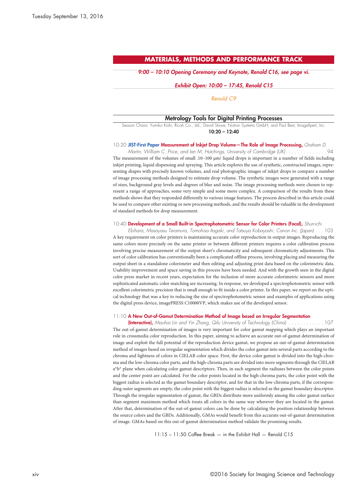## **MATERIALS, METHODS AND PERFORMANCE TRACK**

*9:00 – 10:10 Opening Ceremony and Keynote, Renold C16, see page vi.*

#### *Exhibit Open: 10:00 – 17:45, Renold C15*

#### *Renold C9*

#### **Metrology Tools for Digital Printing Processes**

Session Chairs: Yumiko Kishi, Ricoh Co., Ltd.; David Stüwe, Notion Systems GmbH; and Paul Best, ImageXpert, Inc. **10:20 – 12:40**

#### 10:20 **JIST-First Paper Measurement of Inkjet Drop Volume—The Role of Image Processing,** *Graham D.*

Martin, William C. Price, and Ian M. Hutchings, University of Cambridge (UK). . . . . . . . . . . . . . 94 The measurement of the volumes of small .10–100 μm/ liquid drops is important in a number of fields including inkjet printing, liquid dispensing and spraying. This article explores the use of synthetic, constructed images, representing shapes with precisely known volumes, and real photographic images of inkjet drops to compare a number of image processing methods designed to estimate drop volume. The synthetic images were generated with a range of sizes, background gray levels and degrees of blur and noise. The image processing methods were chosen to represent a range of approaches, some very simple and some more complex. A comparison of the results from these methods shows that they responded differently to various image features. The process described in this article could be used to compare other existing or new processing methods, and the results should be valuable in the development of standard methods for drop measurement.

#### 10:40 **Development of a Small Built-in Spectrophotometric Sensor for Color Printers (Focal),** *Shun-ichi*

*Ebihara, Masayasu Teramura, Tomohisa Itagaki, and Tatsuya Kobayashi, Canon Inc. (Japan) . . .* 103 A key requirement on color printers is maintaining accurate color reproduction in output images. Reproducing the same colors more precisely on the same printer or between different printers requires a color calibration process involving precise measurement of the output sheet's chromaticity and subsequent chromaticity adjustments. This sort of color calibration has conventionally been a complicated offline process, involving placing and measuring the output sheet in a standalone colorimeter and then editing and adjusting print data based on the colorimetric data. Usability improvement and space saving in this process have been needed. And with the growth seen in the digital color press market in recent years, expectation for the inclusion of more accurate colorimetric sensors and more sophisticated automatic color matching are increasing. In response, we developed a spectrophotometric sensor with excellent colorimetric precision that is small enough to fit inside a color printer. In this paper, we report on the optical technology that was a key to reducing the size of spectrophotometric sensor and examples of applications using the digital press device, imagePRESS C10000VP, which makes use of the developed sensor.

#### 11:10 **A New Out-of-Gamut Determination Method of Image based on Irregular Segmentation**

(Interactive), Maohai Lin and Yin Zhang, Qilu University of Technology (China) . . . . . . . . . . . . 107 The out-of-gamut determination of images is very important for color gamut mapping which plays an important role in crossmedia color reproduction. In this paper, aiming to achieve an accurate out-of-gamut determination of image and exploit the full potential of the reproduction device gamut, we propose an out-of-gamut determination method of images based on irregular segmentation which divides the color gamut into several parts according to the chroma and lightness of colors in CIELAB color space. First, the device color gamut is divided into the high-chroma and the low-chroma color parts, and the high-chroma parts are divided into more segments through the CIELAB a\*b\* plane when calculating color gamut descriptors. Then, in each segment the radiuses between the color points and the center point are calculated. For the color points located in the high-chroma parts, the color point with the biggest radius is selected as the gamut boundary descriptor, and for that in the low-chroma parts, if the corresponding outer segments are empty, the color point with the biggest radius is selected as the gamut boundary descriptor. Through the irregular segmentation of gamut, the GBDs distribute more uniformly among the color gamut surface than segment maximum method which treats all colors in the same way wherever they are located in the gamut. After that, determination of the out-of-gamut colors can be done by calculating the position relationship between the source colors and the GBDs. Additionally, GMAs would benefit from this accurate out-of-gamut determination of image. GMAs based on this out-of-gamut determination method validate the promising results.

11:15 – 11:50 Coffee Break — in the Exhibit Hall — Renold C15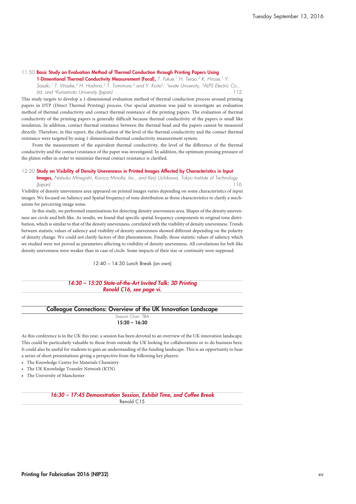#### 11:50 **Basic Study on Evaluation Method of Thermal Conduction through Printing Papers Using**

**1-Dimentional Thermal Conductivity Measurement (Focal),** *T. Fukue, <sup>1</sup> H. Terao, <sup>2</sup> K. Hirose, <sup>1</sup> Y.* , Sasaki, <sup>1</sup> T. Wauke,<sup>2</sup> H. Hoshino,<sup>2</sup> T. Tomimura,<sup>3</sup> and Y. Koito<sup>3</sup>; <sup>1</sup>Iwate University, <sup>2</sup>AlPS Electric Co

*Ltd, and 3Kumamoto University (Japan) . . . . . . . . . . . . . . . . . . . . . . . . . . . . . . . . . . . . . . . .* 112 This study targets to develop a 1-dimensional evaluation method of thermal conduction process around printing papers in DTP (Direct Thermal Printing) process. Our special attention was paid to investigate an evaluation method of thermal conductivity and contact thermal resistance of the printing papers. The evaluation of thermal conductivity of the printing papers is generally difficult because thermal conductivity of the papers is small like insulation. In addition, contact thermal resistance between the thermal head and the papers cannot be measured directly. Therefore, in this report, the clarification of the level of the thermal conductivity and the contact thermal resistance were targeted by using 1-dimensional thermal conductivity measurement system.

From the measurement of the equivalent thermal conductivity, the level of the difference of the thermal conductivity and the contact resistance of the paper was investigated. In addition, the optimum pressing pressure of the platen roller in order to minimize thermal contact resistance is clarified.

#### 12:20 **Study on Visibility of Density Unevenness in Printed Images Affected by Characteristics in Input**

**Images,** *Natsuko Minegishi, Konica Minolta, Inc., and Keiji Uchikawa, Tokyo Institute of Technology (Japan) . . . . . . . . . . . . . . . . . . . . . . . . . . . . . . . . . . . . . . . . . . . . . . . . . . . . . . . . . . . . .* 116

Visibility of density unevenness area appeared on printed images varies depending on some characteristics of input images. We focused on Saliency and Spatial frequency of tone distribution as those characteristics to clarify a mechanism for perceiving image noise.

In this study, we performed examinations for detecting density unevenness area. Shapes of the density unevenness are circle and belt-like. As results, we found that specific spatial frequency components in original tone distribution, which is similar to that of the density unevenness, correlated with the visibility of density unevenness. Trends between statistic values of saliency and visibility of density unevenness showed different depending on the polarity of density change. We could not clarify factors of this phenomenon. Finally, those statistic values of saliency which we studied were not proved as parameters affecting to visibility of density unevenness. All correlations for belt-like density unevenness were weaker than in case of circle. Some impacts of their size or continuity were supposed.

12:40 – 14:30 Lunch Break (on own)

#### *14:30 – 15:20 State-of-the-Art Invited Talk: 3D Printing Renold C16, see page vi.*

#### **Colleague Connections: Overview of the UK Innovation Landscape** Session Chair: TBA

**15:20 – 16:30**

As this conference is in the UK this year, a session has been devoted to an overview of the UK innovation landscape. This could be particularly valuable to those from outside the UK looking for collaborations or to do business here. It could also be useful for students to gain an understanding of the funding landscape. This is an opportunity to hear a series of short presentations giving a perspective from the following key players:

- The Knowledge Centre for Materials Chemistry
- The UK Knowledge Transfer Network (KTN)
- The University of Manchester

*16:30 – 17:45 Demonstration Session, Exhibit Time, and Coffee Break* Renold C15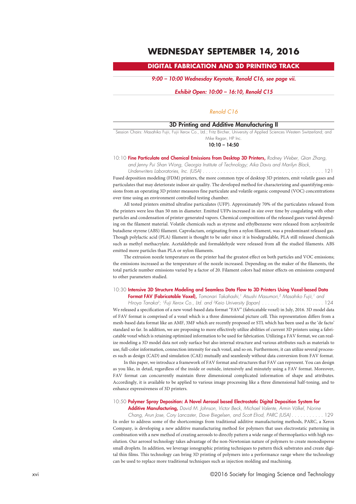## **WEDNESDAY SEPTEMBER 14, 2016**

## **DIGITAL FABRICATION AND 3D PRINTING TRACK**

*9:00 – 10:00 Wednesday Keynote, Renold C16, see page vii.*

#### *Exhibit Open: 10:00 – 16:10, Renold C15*

### *Renold C16*

## **3D Printing and Additive Manufacturing II**

Session Chairs: Masahiko Fujii, Fujii Xerox Co., Ltd.; Fritz Bircher, University of Applied Sciences Western Switzerland; and Mike Regan, HP Inc.

**10:10 – 14:50**

#### 10:10 **Fine Particulate and Chemical Emissions from Desktop 3D Printers,** *Rodney Weber, Qian Zhang,*

*and Jenny Pui Shan Wong, Georgia Institute of Technology; Aika Davis and Marilyn Black,*

*Underwriters Laboratories, Inc. (USA) . . . . . . . . . . . . . . . . . . . . . . . . . . . . . . . . . . . . . . . . .* 121 Fused deposition modeling (FDM) printers, the more common type of desktop 3D printers, emit volatile gases and particulates that may deteriorate indoor air quality. The developed method for characterizing and quantifying emissions from an operating 3D printer measures fine particulate and volatile organic compound (VOC) concentrations over time using an environment controlled testing chamber.

All tested printers emitted ultrafine particulates (UFP). Approximately 70% of the particulates released from the printers were less than 50 nm in diameter. Emitted UFPs increased in size over time by coagulating with other particles and condensation of printer-generated vapors. Chemical compositions of the released gases varied depending on the filament material. Volatile chemicals such as styrene and ethylbenzene were released from acrylonitrile butadiene styrene (ABS) filament. Caprolactam, originating from a nylon filament, was a predominant released gas. Though polylactic acid (PLA) filament is thought to be safer since it is biodegradable, PLA still released chemicals such as methyl methacrylate. Acetaldehyde and formaldehyde were released from all the studied filaments. ABS emitted more particles than PLA or nylon filaments.

The extrusion nozzle temperature on the printer had the greatest effect on both particles and VOC emissions; the emissions increased as the temperature of the nozzle increased. Depending on the maker of the filaments, the total particle number emissions varied by a factor of 20. Filament colors had minor effects on emissions compared to other parameters studied.

#### 10:30 **Intensive 3D Structure Modeling and Seamless Data Flow to 3D Printers Using Voxel-based Data**

**Format FAV (Fabricatable Voxel),** *Tomonari Takahashi, <sup>1</sup> Atsushi Masumori, <sup>2</sup> Masahiko Fujii, <sup>1</sup> and Hiroya Tanaka2; 1Fuji Xerox Co., Ltd. and 2Keio University (Japan) . . . . . . . . . . . . . . . . . . . . .* 124 We released a specification of a new voxel-based data format "FAV" (fabricatable voxel) in July, 2016. 3D model data of FAV format is comprised of a voxel which is a three dimensional picture cell. This representation differs from a mesh-based data format like an AMF, 3MF which are recently proposed or STL which has been used as the 'de facto' standard so far. In addition, we are proposing to more effectively utilize abilities of current 3D printers using a fabricatable voxel which is retaining optimized information to be used for fabrication. Utilizing a FAV format, we can realize modeling a 3D model data not only surface but also internal structure and various attributes such as materials to use, full-color information, connection intensity for each voxel, and so on. Furthermore, it can utilize several processes such as design (CAD) and simulation (CAE) mutually and seamlessly without data conversion from FAV format.

In this paper, we introduce a framework of FAV format and structures that FAV can represent. You can design as you like, in detail, regardless of the inside or outside, intensively and minutely using a FAV format. Moreover, FAV format can concurrently maintain three dimensional complicated information of shape and attributes. Accordingly, it is available to be applied to various image processing like a three dimensional half-toning, and to enhance expressiveness of 3D printers.

#### 10:50 **Polymer Spray Deposition: A Novel Aerosol based Electrostatic Digital Deposition System for**

can be used to replace more traditional techniques such as injection molding and machining.

**Additive Manufacturing,** *David M. Johnson, Victor Beck, Michael Valente, Armin Völkel, Norine* Chang, Arun Jose, Cory Lancaster, Dave Biegelsen, and Scott Elrod, PARC (USA) . . . . . . . . . . . 129 In order to address some of the shortcomings from traditional additive manufacturing methods, PARC, a Xerox Company, is developing a new additive manufacturing method for polymers that uses electrostatic patterning in combination with a new method of creating aerosols to directly pattern a wide range of thermoplastics with high resolution. Our aerosol technology takes advantage of the non-Newtonian nature of polymers to create monodisperse small droplets. In addition, we leverage ionographic printing techniques to pattern thick substrates and create digital thin films. This technology can bring 3D printing of polymers into a performance range where the technology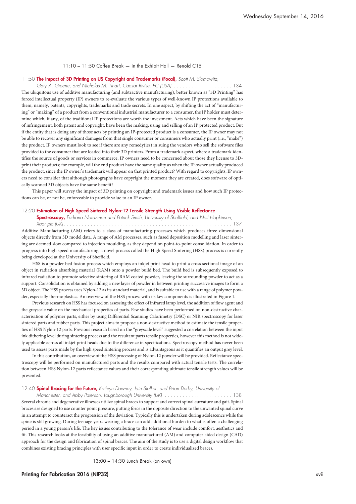#### 11:10 – 11:50 Coffee Break — in the Exhibit Hall — Renold C15

#### 11:50 **The Impact of 3D Printing on US Copyright and Trademarks (Focal),** *Scott M. Slomowitz,*

*Gary A. Greene, and Nicholas M. Tinari, Caesar Rivise, PC (USA) . . . . . . . . . . . . . . . . . . . .* 134 The ubiquitous use of additive manufacturing (and subtractive manufacturing), better known as "3D Printing" has forced intellectual property (IP) owners to re-evaluate the various types of well-known IP protections available to them, namely, patents, copyrights, trademarks and trade secrets. In one aspect, by shifting the act of "manufacturing" or "making" of a product from a conventional industrial manufacturer to a consumer, the IP holder must determine which, if any, of the traditional IP protections are worth the investment. Acts which have been the signature of infringement, both patent and copyright, have been the making, using and selling of an IP protected product. But if the entity that is doing any of those acts by printing an IP-protected product is a consumer, the IP owner may not be able to recover any significant damages from that single consumer or consumers who actually print (i.e., "make") the product. IP owners must look to see if there are any remedy(ies) in suing the vendors who sell the software files provided to the consumer that are loaded into their 3D printers. From a trademark aspect, where a trademark identifies the source of goods or services in commerce, IP owners need to be concerned about those they license to 3Dprint their products; for example, will the end product have the same quality as when the IP owner actually produced the product, since the IP owner's trademark will appear on that printed product? With regard to copyrights, IP owners need to consider that although photographs have copyright the moment they are created, does software of optically scanned 3D objects have the same benefit?

This paper will survey the impact of 3D printing on copyright and trademark issues and how such IP protections can be, or not be, enforceable to provide value to an IP owner.

#### 12:20 **Estimation of High Speed Sintered Nylon-12 Tensile Strength Using Visible Reflectance**

**Spectroscopy,** *Farhana Norazman and Patrick Smith, University of Sheffield, and Neil Hopkinson, Xaar plc (UK) . . . . . . . . . . . . . . . . . . . . . . . . . . . . . . . . . . . . . . . . . . . . . . . . . . . . . . . . .* 137

Additive Manufacturing (AM) refers to a class of manufacturing processes which produces three dimensional objects directly from 3D model data. A range of AM processes, such as fused deposition modelling and laser sintering are deemed slow compared to injection moulding, as they depend on point-to-point consolidation. In order to progress into high speed manufacturing, a novel process called the High Speed Sintering (HSS) process is currently being developed at the University of Sheffield.

HSS is a powder bed fusion process which employs an inkjet print head to print a cross sectional image of an object in radiation absorbing material (RAM) onto a powder build bed. The build bed is subsequently exposed to infrared radiation to promote selective sintering of RAM coated powder, leaving the surrounding powder to act as a support. Consolidation is obtained by adding a new layer of powder in between printing successive images to form a 3D object. The HSS process uses Nylon-12 as its standard material, and is suitable to use with a range of polymer powder, especially thermoplastics. An overview of the HSS process with its key components is illustrated in Figure 1.

Previous research on HSS has focused on assessing the effect of infrared lamp level, the addition of flow agent and the greyscale value on the mechanical properties of parts. Few studies have been performed on non-destructive characterisation of polymer parts, either by using Differential Scanning Calorimetry (DSC) or NIR spectroscopy for laser sintered parts and rubber parts. This project aims to propose a non-destructive method to estimate the tensile properties of HSS Nylon-12 parts. Previous research based on the "greyscale level" suggested a correlation between the input ink dithering level during sintering process and the resultant parts tensile properties, however this method is not widely applicable across all inkjet print heads due to the difference in specifications. Spectroscopy method has never been used to assess parts made by the high speed sintering process and is advantageous as it quantifies an output grey level.

In this contribution, an overview of the HSS processing of Nylon-12 powder will be provided. Reflectance spectroscopy will be performed on manufactured parts and the results compared with actual tensile tests. The correlation between HSS Nylon-12 parts reflectance values and their corresponding ultimate tensile strength values will be presented.

### 12:40 **Spinal Bracing for the Future,** *Kathryn Downey, Iain Stalker, and Brian Derby, University of*

*Manchester, and Abby Paterson, Loughborough University (UK) . . . . . . . . . . . . . . . . . . . . . . .* 138 Several chronic and degenerative illnesses utilize spinal braces to support and correct spinal curvature and gait. Spinal braces are designed to use counter point pressure, putting force in the opposite direction to the unwanted spinal curve in an attempt to counteract the progression of the deviation. Typically this is undertaken during adolescence while the spine is still growing. During teenage years wearing a brace can add additional burden to what is often a challenging period in a young person's life. The key issues contributing to the tolerance of wear include comfort, aesthetics and fit. This research looks at the feasibility of using an additive manufactured (AM) and computer aided design (CAD) approach for the design and fabrication of spinal braces. The aim of the study is to use a digital design workflow that combines existing bracing principles with user specific input in order to create individualized braces.

13:00 – 14:30 Lunch Break (on own)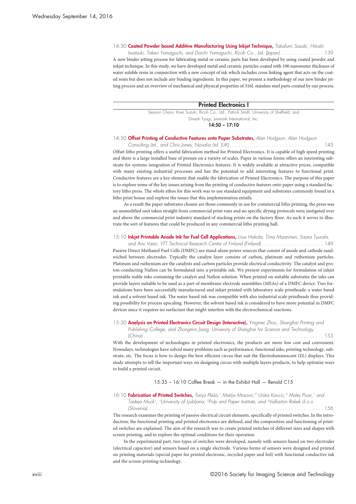14:30 **Coated Powder based Additive Manufacturing Using Inkjet Technique,** *Takafumi Sasaki, Hitoshi*

Iwatsuki, Takeo Yamaguchi, and Daichi Yamaguchi, Ricoh Co., Ltd. (Japan). . . . . . . . . . . . . . . 139 A new binder jetting process for fabricating metal or ceramic parts has been developed by using coated powder and inkjet technique. In this study, we have developed metal and ceramic particles coated with 100 nanometer thickness of water soluble resin in conjunction with a new concept of ink which includes cross linking agent that acts on the coated resin but does not include any binding ingredients. In this paper, we present a methodology of our new binder jetting process and an overview of mechanical and physical properties of 316L stainless steel parts created by our process.

**Printed Electronics I**

Session Chairs: Koei Suzuki, Ricoh Co., Ltd.; Patrick Smith, University of Sheffield; and Dinesh Tyagi, Lexmark International, Inc.

**14:50 – 17:10**

#### 14:50 **Offset Printing of Conductive Features onto Paper Substrates,** *Alan Hodgson, Alan Hodgson*

*Consulting Ltd., and Chris Jones, Novalia Ltd. (UK). . . . . . . . . . . . . . . . . . . . . . . . . . . . . . . .* 143 Offset litho printing offers a useful fabrication method for Printed Electronics. It is capable of high speed printing and there is a large installed base of presses on a variety of scales. Paper in various forms offers an interesting substrate for systems integration of Printed Electronics features. It is widely available at attractive prices, compatible with many existing industrial processes and has the potential to add interesting features to functional print. Conductive features are a key element that enable the fabrication of Printed Electronics. The purpose of this paper is to explore some of the key issues arising from the printing of conductive features onto paper using a standard factory litho press. The whole ethos for this work was to use standard equipment and substrates commonly found in a litho print house and explore the issues that this implementation entails.

As a result the paper substrates chosen are those commonly in use for commercial litho printing, the press was an unmodified unit taken straight from commercial print runs and no specific drying protocols were instigated over and above the commercial print industry standard of stacking prints on the factory floor. As such it serves to illustrate the sort of features that could be produced in any commercial litho printing hall.

#### 15:10 **Inkjet Printable Anode Ink for Fuel Cell Applications,** *Liisa Hakola, Tiina Maaninen, Saara Tuurala,*

*and Anu Vaari, VTT Technical Research Centre of Finland (Finland) . . . . . . . . . . . . . . . . . . . . .* 149 Passive Direct Methanol Fuel Cells (DMFC) are stand-alone power sources that consist of anode and cathode sandwiched between electrodes. Typically the catalyst layer consists of carbon, platinum and ruthenium particles. Platinum and ruthenium are the catalysts and carbon particles provide electrical conductivity. The catalyst and proton-conducting Nafion can be formulated into a printable ink. We present experiments for formulation of inkjet printable stable inks containing the catalyst and Nafion solution. When printed on suitable substrates the inks can provide layers suitable to be used as a part of membrane electrode assemblies (MEAs) of a DMFC device. Two formulations have been successfully manufactured and inkjet printed with laboratory scale printheads: a water based ink and a solvent based ink. The water based ink was compatible with also industrial scale printheads thus providing possibility for process upscaling. However, the solvent based ink is considered to have more potential in DMFC devices since it requires no surfactant that might interfere with the electrochemical reactions.

15:30 **Analysis on Printed Electronics Circuit Design (Interactive),** *Yingmei Zhou, Shanghai Printing and Publishing College, and Zhongmin Jiang, University of Shanghai for Science and Technology*

*(China) . . . . . . . . . . . . . . . . . . . . . . . . . . . . . . . . . . . . . . . . . . . . . . . . . . . . . . . . . . . . .* 153

With the development of technologies in printed electronics, the products are more low cost and convenient. Nowadays, technologies have solved many problems such as performance, functional inks, printing technology, substrate, etc. The focus is how to design the best efficient circus that suit the Electroluminescent (EL) displays. This study attempts to tell the important ways on designing circus with multiple layers products, to help optimize ways to build a printed circuit.

#### 15:35 – 16:10 Coffee Break — in the Exhibit Hall — Renold C15

16:10 **Fabrication of Printed Switches,** Tanja Pleša,<sup>1</sup> Matija Mraovic,<sup>2</sup> Urska Kavcic,<sup>3</sup> Matej Pivar,<sup>1</sup> and *Tadeja Muck1; 1University of Ljubljana, 2Pulp and Paper Institute, and 3Valkarton Rakek d.o.o*

*(Slovenia) . . . . . . . . . . . . . . . . . . . . . . . . . . . . . . . . . . . . . . . . . . . . . . . . . . . . . . . . . . .* 156 The research examines the printing of passive electrical circuit elements, specifically of printed switches. In the introduction, the functional printing and printed electronics are defined, and the composition and functioning of printed switches are explained. The aim of the research was to create printed switches of different sizes and shapes with screen printing, and to explore the optimal conditions for their operation.

In the experimental part, two types of switches were developed, namely with sensors based on two electrodes (electrical capacitor) and sensors based on a single electrode. Various forms of sensors were designed and printed on printing materials (special paper for printed electronic, recycled paper and foil) with functional conductive ink and the screen-printing technology.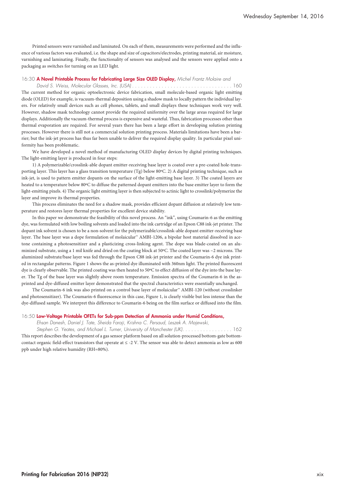Printed sensors were varnished and laminated. On each of them, measurements were performed and the influence of various factors was evaluated, i.e. the shape and size of capacitors/electrodes, printing material, air moisture, varnishing and laminating. Finally, the functionality of sensors was analysed and the sensors were applied onto a packaging as switches for turning on an LED light.

#### 16:30 **A Novel Printable Process for Fabricating Large Size OLED Display,** *Michel Frantz Molaire and*

*David S. Weiss, Molecular Glasses, Inc. (USA) . . . . . . . . . . . . . . . . . . . . . . . . . . . . . . . . . .* 160 The current method for organic optoelectronic device fabrication, small molecule-based organic light emitting diode (OLED) for example, is vacuum-thermal deposition using a shadow mask to locally pattern the individual layers. For relatively small devices such as cell phones, tablets, and small displays these techniques work very well. However, shadow mask technology cannot provide the required uniformity over the large areas required for large displays. Additionally the vacuum-thermal process is expensive and wasteful. Thus, fabrication processes other than thermal evaporation are required. For several years there has been a large effort in developing solution printing processes. However there is still not a commercial solution printing process. Materials limitations have been a barrier; but the ink-jet process has thus far been unable to deliver the required display quality. In particular pixel uniformity has been problematic.

We have developed a novel method of manufacturing OLED display devices by digital printing techniques. The light-emitting layer is produced in four steps:

1) A polymerizable/crosslink-able dopant emitter-receiving base layer is coated over a pre-coated hole-transporting layer. This layer has a glass transition temperature (Tg) below 80ºC. 2) A digital printing technique, such as ink-jet, is used to pattern emitter dopants on the surface of the light-emitting base layer. 3) The coated layers are heated to a temperature below 80ºC to diffuse the patterned dopant emitters into the base emitter layer to form the light-emitting pixels. 4) The organic light emitting layer is then subjected to actinic light to crosslink/polymerize the layer and improve its thermal properties.

This process eliminates the need for a shadow mask, provides efficient dopant diffusion at relatively low temperature and restores layer thermal properties for excellent device stability.

In this paper we demonstrate the feasibility of this novel process. An "ink", using Coumarin-6 as the emitting dye, was formulated with low boiling solvents and loaded into the ink cartridge of an Epson C88 ink-jet printer. The dopant ink solvent is chosen to be a non-solvent for the polymerizable/crosslink-able dopant emitter-receiving base layer. The base layer was a dope formulation of molaicular™ AMBI-1206, a bipolar host material dissolved in acetone containing a photosensitizer and a plasticizing cross-linking agent. The dope was blade-coated on an aluminized substrate, using a 1 mil knife and dried on the coating block at 50ºC. The coated layer was ~2 microns. The aluminized substrate/base layer was fed through the Epson C88 ink-jet printer and the Coumarin-6 dye ink printed in rectangular patterns. Figure 1 shows the as-printed dye illuminated with 360nm light. The printed fluorescent dye is clearly observable. The printed coating was then heated to 50ºC to effect diffusion of the dye into the base layer. The Tg of the base layer was slightly above room temperature. Emission spectra of the Coumarin-6 in the asprinted and dye-diffused emitter layer demonstrated that the spectral characteristics were essentially unchanged.

The Coumarin-6 ink was also printed on a control base layer of molaicular™ AMBI-120 (without crosslinker and photosensitizer). The Coumarin-6 fluorescence in this case, Figure 1, is clearly visible but less intense than the dye-diffused sample. We interpret this difference to Coumarin-6 being on the film surface or diffused into the film.

#### 16:50 **Low-Voltage Printable OFETs for Sub-ppm Detection of Ammonia under Humid Conditions,**

*Ehsan Danesh, Daniel J. Tate, Sheida Faraji, Krishna C. Persaud, Leszek A. Majewski,*

Stephen G. Yeates, and Michael L. Turner, University of Manchester (UK). . . . . . . . . . . . . . . . 162 This report describes the development of a gas sensor platform based on all solution-processed bottom-gate bottomcontact organic field-effect transistors that operate at  $\leq$  -2 V. The sensor was able to detect ammonia as low as 600 ppb under high relative humidity (RH=80%).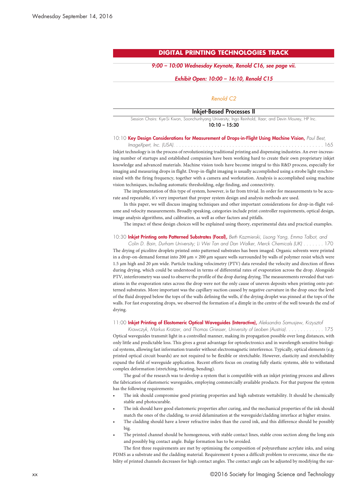## **DIGITAL PRINTING TECHNOLOGIES TRACK**

#### *9:00 – 10:00 Wednesday Keynote, Renold C16, see page vii.*

#### *Exhibit Open: 10:00 – 16:10, Renold C15*

## *Renold C2*

#### **Inkjet-Based Processes II**

Session Chairs: Kye-Si Kwon, Soonchunhyang University; Ingo Reinhold, Xaar; and Devin Mourey, HP Inc. **10:10 – 15:30**

### 10:10 **Key Design Considerations for Measurement of Drops-in-Flight Using Machine Vision,** *Paul Best,*

*ImageXpert, Inc. (USA). . . . . . . . . . . . . . . . . . . . . . . . . . . . . . . . . . . . . . . . . . . . . . . . . . .* 165 Inkjet technology is in the process of revolutionizing traditional printing and dispensing industries. An ever-increasing number of startups and established companies have been working hard to create their own proprietary inkjet knowledge and advanced materials. Machine vision tools have become integral to this R&D process, especially for imaging and measuring drops in flight. Drop-in-flight imaging is usually accomplished using a strobe light synchronized with the firing frequency, together with a camera and workstation. Analysis is accomplished using machine vision techniques, including automatic thresholding, edge finding, and connectivity.

The implementation of this type of system, however, is far from trivial. In order for measurements to be accurate and repeatable, it's very important that proper system design and analysis methods are used.

In this paper, we will discuss imaging techniques and other important considerations for drop-in-flight volume and velocity measurements. Broadly speaking, categories include print controller requirements, optical design, image analysis algorithms, and calibration, as well as other factors and pitfalls.

The impact of these design choices will be explained using theory, experimental data and practical examples.

#### 10:30 **Inkjet Printing onto Patterned Substrates (Focal),** *Beth Kazmierski, Lisong Yang, Emma Talbot, and*

Colin D. Bain, Durham University; Li Wei Tan and Dan Walker, Merck Chemicals (UK) . . . . . . . 170 The drying of picolitre droplets printed onto patterned substrates has been imaged. Organic solvents were printed in a drop-on-demand format into 200  $\mu$ m  $\times$  200  $\mu$ m square wells surrounded by walls of polymer resist which were 1.5 μm high and 20 μm wide. Particle tracking velocimetry (PTV) data revealed the velocity and direction of flows during drying, which could be understood in terms of differential rates of evaporation across the drop. Alongside PTV, interferometry was used to observe the profile of the drop during drying. The measurements revealed that variations in the evaporation rates across the drop were not the only cause of uneven deposits when printing onto patterned substrates. More important was the capillary suction caused by negative curvature in the drop once the level of the fluid dropped below the tops of the walls defining the wells, if the drying droplet was pinned at the tops of the walls. For fast evaporating drops, we observed the formation of a dimple in the centre of the well towards the end of drying.

#### 11:00 **Inkjet Printing of Elastomeric Optical Waveguides (Interactive),** *Aleksandra Samusjew, Krzysztof*

Krawczyk, Markus Kratzer, and Thomas Griesser, University of Leoben (Austria). . . . . . . . . . . . . 175 Optical waveguides transmit light in a controlled manner, making its propagation possible over long distances, with only little and predictable loss. This gives a great advantage for optoelectronics and in wavelength sensitive biological systems, allowing fast information transfer without electromagnetic interference. Typically, optical elements (e.g. printed optical circuit boards) are not required to be flexible or stretchable. However, elasticity and stretchability expand the field of waveguide application. Recent efforts focus on creating fully elastic systems, able to withstand complex deformation (stretching, twisting, bending).

The goal of the research was to develop a system that is compatible with an inkjet printing process and allows the fabrication of elastomeric waveguides, employing commercially available products. For that purpose the system has the following requirements:

- The ink should compromise good printing properties and high substrate wettability. It should be chemically stable and photocurable.
- The ink should have good elastomeric properties after curing, and the mechanical properties of the ink should match the ones of the cladding, to avoid delamination at the waveguide/cladding interface at higher strains.
- The cladding should have a lower refractive index than the cured ink, and this difference should be possibly big.
- The printed channel should be homogenous, with stable contact lines, stable cross section along the long axis and possibly big contact angle. Bulge formation has to be avoided.

The first three requirements are met by optimising the composition of polyurethane acrylate inks, and using PDMS as a substrate and the cladding material. Requirement 4 poses a difficult problem to overcome, since the stability of printed channels decreases for high contact angles. The contact angle can be adjusted by modifying the sur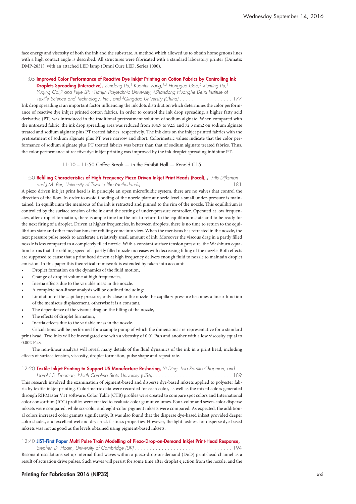face energy and viscosity of both the ink and the substrate. A method which allowed us to obtain homogenous lines with a high contact angle is described. All structures were fabricated with a standard laboratory printer (Dimatix DMP-2831), with an attached LED lamp (Omni Cure LED, Series 1000).

#### 11:05 **Improved Color Performance of Reactive Dye Inkjet Printing on Cotton Fabrics by Controlling Ink**

**Droplets Spreading (Interactive),** *Zundong Liu, <sup>1</sup> Kuanjun Fang, 1,3 Hongguo Gao, <sup>2</sup> Xiuming Liu, 1 Yuqing Cai, <sup>3</sup> and Fujie Li 3; 1Tianjin Polytechnic University, 2Shandong Huanghe Delta Institute of* Textile Science and Technology, Inc., and <sup>3</sup>Qingdao University (China).....................177

Ink drop spreading is an important factor influencing the ink dots distribution which determines the color performance of reactive dye inkjet printed cotton fabrics. In order to control the ink drop spreading, a higher fatty acid derivative (PT) was introduced in the traditional pretreatment solution of sodium alginate. When compared with the untreated fabric, the ink drop spreading area was reduced from 104.9 to 92.5 and 72.3 mm2 on sodium alginate treated and sodium alginate plus PT treated fabrics, respectively. The ink dots on the inkjet printed fabrics with the pretreatment of sodium alginate plus PT were narrow and short. Colorimetric values indicate that the color performance of sodium alginate plus PT treated fabrics was better than that of sodium alginate treated fabrics. Thus, the color performance of reactive dye inkjet printing was improved by the ink droplet spreading inhibitor PT.

11:10 – 11:50 Coffee Break — in the Exhibit Hall — Renold C15

#### 11:50 **Refilling Characteristics of High Frequency Piezo Driven Inkjet Print Heads (Focal),** *J. Frits Dijksman*

*and J.M. Bur, University of Twente (the Netherlands) . . . . . . . . . . . . . . . . . . . . . . . . . . . . . . .* 181 A piezo driven ink jet print head is in principle an open microfluidic system, there are no valves that control the direction of the flow. In order to avoid flooding of the nozzle plate at nozzle level a small under-pressure is maintained. In equilibrium the meniscus of the ink is retracted and pinned to the rim of the nozzle. This equilibrium is controlled by the surface tension of the ink and the setting of under-pressure controller. Operated at low frequencies, after droplet formation, there is ample time for the ink to return to the equilibrium state and to be ready for the next firing of a droplet. Driven at higher frequencies, in between droplets, there is no time to return to the equilibrium state and other mechanisms for refilling come into view. When the meniscus has retracted in the nozzle, the next pressure pulse needs to accelerate a relatively small amount of ink. Moreover the viscous drag in a partly filled nozzle is less compared to a completely filled nozzle. With a constant surface tension pressure, the Washburn equation learns that the refilling speed of a partly filled nozzle increases with decreasing filling of the nozzle. Both effects are supposed to cause that a print head driven at high frequency delivers enough fluid to nozzle to maintain droplet emission. In this paper this theoretical framework is extended by taken into account:

- Droplet formation on the dynamics of the fluid motion,
- Change of droplet volume at high frequencies,
- Inertia effects due to the variable mass in the nozzle.
- A complete non-linear analysis will be outlined including:
- Limitation of the capillary pressure; only close to the nozzle the capillary pressure becomes a linear function of the meniscus displacement, otherwise it is a constant,
- The dependence of the viscous drag on the filling of the nozzle,
- The effects of droplet formation,
- Inertia effects due to the variable mass in the nozzle.

Calculations will be performed for a sample pump of which the dimensions are representative for a standard print head. Two inks will be investigated one with a viscosity of 0.01 Pa.s and another with a low viscosity equal to 0.002 Pa.s.

The non-linear analysis will reveal many details of the fluid dynamics of the ink in a print head, including effects of surface tension, viscosity, droplet formation, pulse shape and repeat rate.

12:20 **Textile Inkjet Printing to Support US Manufacture Reshoring,** *Yi Ding, Lisa Parrillo Chapman, and*

*Harold S. Freeman, North Carolina State University (USA) . . . . . . . . . . . . . . . . . . . . . . . . . . .* 189 This research involved the examination of pigment-based and disperse dye-based inksets applied to polyester fabric by textile inkjet printing. Colorimetric data were recorded for each color, as well as the mixed colors generated through RIPMaster V11 software. Color Table (CTB) profiles were created to compare spot colors and International color consortium (ICC) profiles were created to evaluate color gamut volumes. Four-color and seven-color disperse inksets were compared, while six-color and eight-color pigment inksets were compared. As expected, the additional colors increased color gamuts significantly. It was also found that the disperse dye-based inkset provided deeper color shades, and excellent wet and dry crock fastness properties. However, the light fastness for disperse dye-based inksets was not as good as the levels obtained using pigment-based inksets.

#### 12:40 **JIST-First Paper Multi Pulse Train Modelling of Piezo-Drop-on-Demand Inkjet Print-Head Response,**

*Stephen D. Hoath, University of Cambridge (UK) . . . . . . . . . . . . . . . . . . . . . . . . . . . . . . . . .* 194 Resonant oscillations set up internal fluid waves within a piezo-drop-on-demand (DoD) print-head channel as a result of actuation drive pulses. Such waves will persist for some time after droplet ejection from the nozzle, and the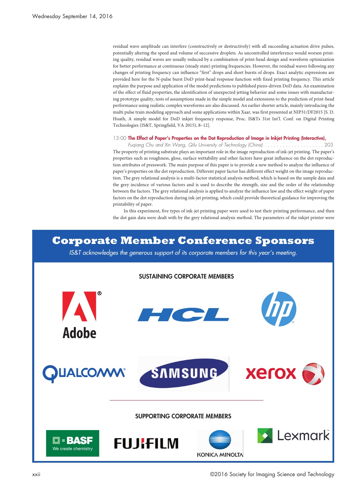residual wave amplitude can interfere (constructively or destructively) with all succeeding actuation drive pulses, potentially altering the speed and volume of successive droplets. As uncontrolled interference would worsen printing quality, residual waves are usually reduced by a combination of print-head design and waveform optimization for better performance at continuous (steady state) printing frequencies. However, the residual waves following any changes of printing frequency can influence "first" drops and short bursts of drops. Exact analytic expressions are provided here for the N-pulse burst DoD print-head response function with fixed printing frequency. This article explains the purpose and application of the model predictions to published piezo-driven DoD data. An examination of the effect of fluid properties, the identification of unexpected jetting behavior and some issues with manufacturing prototype quality, tests of assumptions made in the simple model and extensions to the prediction of print-head performance using realistic complex waveforms are also discussed. An earlier shorter article, mainly introducing the multi pulse train modeling approach and some applications within Xaar, was first presented at NIP31/DF2015 [S. D. Hoath, A simple model for DoD inkjet frequency response, Proc. IS&Ts 31st Int'l. Conf. on Digital Printing Technologies (IS&T, Springfield, VA 2015), 8–12].

#### 13:00 **The Effect of Paper's Properties on the Dot Reproduction of Image in Inkjet Printing (Interactive),**

Fugiang Chu and Xin Wang, Qilu University of Technology (China) . . . . . . . . . . . . . . . . . . 203 The property of printing substrate plays an important role in the image reproduction of ink-jet printing. The paper's properties such as roughness, gloss, surface wettability and other factors have great influence on the dot reproduction attributes of presswork. The main purpose of this paper is to provide a new method to analyze the influence of paper's properties on the dot reproduction. Different paper factor has different effect weight on the image reproduction. The grey relational analysis is a multi-factor statistical analysis method, which is based on the sample data and the grey incidence of various factors and is used to describe the strength, size and the order of the relationship between the factors. The grey relational analysis is applied to analyze the influence law and the effect weight of paper factors on the dot reproduction during ink-jet printing, which could provide theoretical guidance for improving the printability of paper.

In this experiment, five types of ink-jet printing paper were used to test their printing performance, and then the dot gain data were dealt with by the grey relational analysis method. The parameters of the inkjet printer were

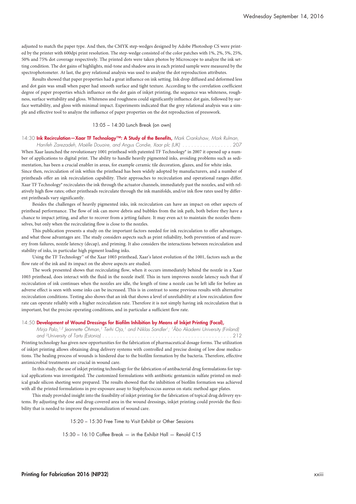adjusted to match the paper type. And then, the CMYK step-wedges designed by Adobe Photoshop CS were printed by the printer with 600dpi print resolution. The step-wedge consisted of the color patches with 1%, 2%, 5%, 25%, 50% and 75% dot coverage respectively. The printed dots were taken photos by Microscope to analyze the ink setting condition. The dot gains of highlights, mid-tone and shadow area in each printed sample were measured by the spectrophotometer. At last, the grey relational analysis was used to analyze the dot reproduction attributes.

Results showed that paper properties had a great influence on ink setting. Ink drop diffused and deformed less and dot gain was small when paper had smooth surface and tight texture. According to the correlation coefficient degree of paper properties which influence on the dot gain of inkjet printing, the sequence was whiteness, roughness, surface wettability and gloss. Whiteness and roughness could significantly influence dot gain, followed by surface wettability, and gloss with minimal impact. Experiments indicated that the grey relational analysis was a simple and effective tool to analyze the influence of paper properties on the dot reproduction of presswork.

#### 13:05 – 14:30 Lunch Break (on own)

14:30 **Ink Recirculation—Xaar TF Technology™: A Study of the Benefits,** *Mark Crankshaw, Mark Rulman,*

Hanifeh Zarezadeh, Maëlle Douaire, and Angus Condie, Xaar plc (UK) ...................207 When Xaar launched the revolutionary 1001 printhead with patented TF Technology® in 2007 it opened up a number of applications to digital print. The ability to handle heavily pigmented inks, avoiding problems such as sedimentation, has been a crucial enabler in areas, for example ceramic tile decoration, glazes, and for white inks.

Since then, recirculation of ink within the printhead has been widely adopted by manufacturers, and a number of printheads offer an ink recirculation capability. Their approaches to recirculation and operational ranges differ. Xaar TF Technology® recirculates the ink through the actuator channels, immediately past the nozzles, and with relatively high flow rates; other printheads recirculate through the ink manifolds, and/or ink flow rates used by different printheads vary significantly.

Besides the challenges of heavily pigmented inks, ink recirculation can have an impact on other aspects of printhead performance. The flow of ink can move debris and bubbles from the ink path, both before they have a chance to impact jetting, and after to recover from a jetting failure. It may even act to maintain the nozzles themselves, but only when the recirculating flow is close to the nozzles.

This publication presents a study on the important factors needed for ink recirculation to offer advantages, and what those advantages are. The study considers aspects such as print reliability, both prevention of and recovery from failures, nozzle latency (decap), and priming. It also considers the interactions between recirculation and stability of inks, in particular high pigment loading inks.

Using the TF Technology™ of the Xaar 1003 printhead, Xaar's latest evolution of the 1001, factors such as the flow rate of the ink and its impact on the above aspects are studied.

The work presented shows that recirculating flow, when it occurs immediately behind the nozzle in a Xaar 1003 printhead, does interact with the fluid in the nozzle itself. This in turn improves nozzle latency such that if recirculation of ink continues when the nozzles are idle, the length of time a nozzle can be left idle for before an adverse effect is seen with some inks can be increased. This is in contrast to some previous results with alternative recirculation conditions. Testing also shows that an ink that shows a level of unreliability at a low recirculation flow rate can operate reliably with a higher recirculation rate. Therefore it is not simply having ink recirculation that is important, but the precise operating conditions, and in particular a sufficient flow rate.

#### 14:50 **Development of Wound Dressings for Biofilm Inhibition by Means of Inkjet Printing (Focal),**

*Mirja Palo, 1,2 Jeannette Öhman, <sup>1</sup> Terhi Oja, <sup>1</sup> and Niklas Sandler 1; 1Åbo Akademi University (Finland) and 2University of Tartu (Estonia) . . . . . . . . . . . . . . . . . . . . . . . . . . . . . . . . . . . . . . . . . . . .* 212 Printing technology has given new opportunities for the fabrication of pharmaceutical dosage forms. The utilization of inkjet printing allows obtaining drug delivery systems with controlled and precise dosing of low dose medications. The healing process of wounds is hindered due to the biofilm formation by the bacteria. Therefore, effective antimicrobial treatments are crucial in wound care.

In this study, the use of inkjet printing technology for the fabrication of antibacterial drug formulations for topical applications was investigated. The customized formulations with antibiotic gentamicin sulfate printed on medical grade silicon sheeting were prepared. The results showed that the inhibition of biofilm formation was achieved with all the printed formulations in pre-exposure assay to Staphylococcus aureus on static method agar plates.

This study provided insight into the feasibility of inkjet printing for the fabrication of topical drug delivery systems. By adjusting the dose and drug-covered area in the wound dressings, inkjet printing could provide the flexibility that is needed to improve the personalization of wound care.

15:20 – 15:30 Free Time to Visit Exhibit or Other Sessions

15:30 – 16:10 Coffee Break — in the Exhibit Hall — Renold C15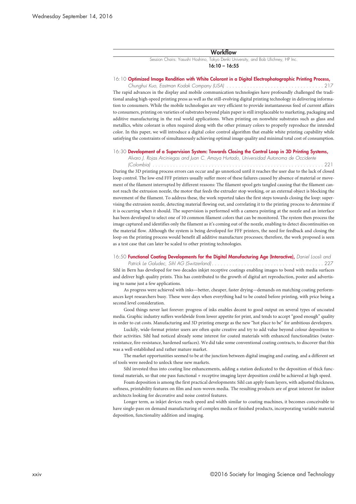#### **Workflow**

Session Chairs: Yasushi Hoshino, Tokyo Denki University, and Bob Ulichney, HP Inc. **16:10 – 16:55**

#### 16:10 **Optimized Image Rendition with White Colorant in a Digital Electrophotographic Printing Process,**

*Chunghui Kuo, Eastman Kodak Company (USA) . . . . . . . . . . . . . . . . . . . . . . . . . . . . . . . . .* 217 The rapid advances in the display and mobile communication technologies have profoundly challenged the traditional analog high-speed printing press as well as the still-evolving digital printing technology in delivering information to consumers. While the mobile technologies are very efficient to provide instantaneous feed of current affairs to consumers, printing on varieties of substrates beyond plain paper is still irreplaceable to marketing, packaging and additive manufacturing in the real world applications. When printing on nonwhite substrates such as glass and metallics, white colorant is often required along with the other primary colors to properly reproduce the intended color. In this paper, we will introduce a digital color control algorithm that enable white printing capability while satisfying the constraints of simultaneously achieving optimal image quality and minimal total cost of consumption.

#### 16:30 **Development of a Supervision System: Towards Closing the Control Loop in 3D Printing Systems,**

*Alvaro J. Rojas Arciniegas and Juan C. Amaya Hurtado, Universidad Autonoma de Occidente*

*(Colombia) . . . . . . . . . . . . . . . . . . . . . . . . . . . . . . . . . . . . . . . . . . . . . . . . . . . . . . . . . .* 221 During the 3D printing process errors can occur and go unnoticed until it reaches the user due to the lack of closed loop control. The low-end FFF printers usually suffer more of these failures caused by absence of material or movement of the filament interrupted by different reasons: The filament spool gets tangled causing that the filament cannot reach the extrusion nozzle, the motor that feeds the extruder stop working, or an external object is blocking the movement of the filament. To address these, the work reported takes the first steps towards closing the loop: supervising the extrusion nozzle, detecting material flowing out, and correlating it to the printing process to determine if it is occurring when it should. The supervision is performed with a camera pointing at the nozzle and an interface has been developed to select one of 10 common filament colors that can be monitored. The system then process the image captured and identifies only the filament as it's coming out of the nozzle, enabling to detect discontinuities on the material flow. Although the system is being developed for FFF printers, the need for feedback and closing the loop on the printing process would benefit all additive manufacture processes; therefore, the work proposed is seen as a test case that can later be scaled to other printing technologies.

#### 16:50 **Functional Coating Developments for the Digital Manufacturing Age (Interactive),** *Daniel Loosli and*

*Patrick Le Galudec, Sihl AG (Switzerland) . . . . . . . . . . . . . . . . . . . . . . . . . . . . . . . . . . . . . .* 227 Sihl in Bern has developed for two decades inkjet receptive coatings enabling images to bond with media surfaces and deliver high quality prints. This has contributed to the growth of digital art reproduction, poster and advertising to name just a few applications.

As progress were achieved with inks—better, cheaper, faster drying—demands on matching coating performances kept researchers busy. These were days when everything had to be coated before printing, with price being a second level consideration.

Good things never last forever: progress of inks enables decent to good output on several types of uncoated media. Graphic industry suffers worldwide from lower appetite for print, and tends to accept "good enough" quality in order to cut costs. Manufacturing and 3D printing emerge as the new "hot place to be" for ambitious developers.

Luckily, wide-format printer users are often quite creative and try to add value beyond colour deposition to their activities. Sihl had noticed already some interest for coated materials with enhanced functionalities (waterresistance, fire-resistance, hardened surfaces). We did take some conventional coating contracts, to discover that this was a well-established and rather mature market.

The market opportunities seemed to be at the junction between digital imaging and coating, and a different set of tools were needed to unlock these new markets.

Sihl invested thus into coating line enhancements, adding a station dedicated to the deposition of thick functional materials, so that one pass functional + receptive imaging layer deposition could be achieved at high speed.

Foam deposition is among the first practical developments: Sihl can apply foam layers, with adjusted thickness, softness, printability features on film and non-woven media. The resulting products are of great interest for indoor architects looking for decorative and noise control features.

Longer term, as inkjet devices reach speed and width similar to coating machines, it becomes conceivable to have single-pass on demand manufacturing of complex media or finished products, incorporating variable material deposition, functionality addition and imaging.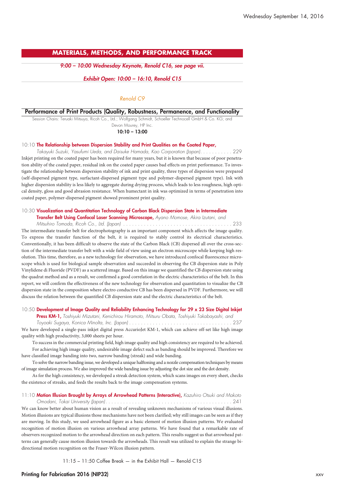## **MATERIALS, METHODS, AND PERFORMANCE TRACK**

*9:00 – 10:00 Wednesday Keynote, Renold C16, see page vii.*

#### *Exhibit Open: 10:00 – 16:10, Renold C15*

## *Renold C9*

#### **Performance of Print Products (Quality, Robustness, Permanence, and Functionality**

Session Chairs: Teruaki Mitsuya, Ricoh Co., Ltd.; Wolfgang Schmidt, Schoeller Technocell GmbH & Co. KG; and Devon Mourey, HP Inc.

**10:10 – 13:00**

### 10:10 **The Relationship between Dispersion Stability and Print Qualities on the Coated Paper,**

Takayuki Suzuki, Yasufumi Ueda, and Daisuke Hamada, Kao Corporation (Japan). . . . . . . . . . 229 Inkjet printing on the coated paper has been required for many years, but it is known that because of poor penetration ability of the coated paper, residual ink on the coated paper causes bad effects on print performance. To investigate the relationship between dispersion stability of ink and print quality, three types of dispersion were prepared (self-dispersed pigment type, surfactant-dispersed pigment type and polymer-dispersed pigment type). Ink with higher dispersion stability is less likely to aggregate during drying process, which leads to less roughness, high optical density, gloss and good abrasion resistance. When humectant in ink was optimized in terms of penetration into coated paper, polymer-dispersed pigment showed prominent print quality.

#### 10:30 **Visualization and Quantitation Technology of Carbon Black Dispersion State in Intermediate Transfer Belt Using Confocal Laser Scanning Microscope,** *Ayano Momose, Akira Izutani, and*

*Mitsuhiro Tomoda, Ricoh Co., Ltd. (Japan) . . . . . . . . . . . . . . . . . . . . . . . . . . . . . . . . . . . . .* 233 The intermediate transfer belt for electrophotography is an important component which affects the image quality. To express the transfer function of the belt, it is required to stably control its electrical characteristics. Conventionally, it has been difficult to observe the state of the Carbon Black (CB) dispersed all over the cross-section of the intermediate transfer belt with a wide field of view using an electron microscope while keeping high resolution. This time, therefore, as a new technology for observation, we have introduced confocal fluorescence microscope which is used for biological sample observation and succeeded in observing the CB dispersion state in Poly Vinylidene di Fluoride (PVDF) as a scattered image. Based on this image we quantified the CB dispersion state using the quadrat method and as a result, we confirmed a good correlation in the electric characteristics of the belt. In this report, we will confirm the effectiveness of the new technology for observation and quantitation to visualize the CB dispersion state in the composition where electro conductive CB has been dispersed in PVDF. Furthermore, we will discuss the relation between the quantified CB dispersion state and the electric characteristics of the belt.

#### 10:50 **Development of Image Quality and Reliability Enhancing Technology for 29 x 23 Size Digital Inkjet**

**Press KM-1,** *Toshiyuki Mizutani, Kenichirou Hiramoto, Mitsuru Obata, Toshiyuki Takabayashi, and*

*Toyoaki Sugaya, Konica Minolta, Inc. (Japan) . . . . . . . . . . . . . . . . . . . . . . . . . . . . . . . . . . .* 237 We have developed a single-pass inkjet digital press AccurioJet KM-1, which can achieve off-set like high image quality with high productivity, 3,000 sheets per hour.

To success in the commercial printing field, high image quality and high consistency are required to be achieved. For achieving high image quality, undesirable image defect such as banding should be improved. Therefore we have classified image banding into two, narrow banding (streak) and wide banding.

To solve the narrow banding issue, we developed a unique halftoning and a nozzle compensation techniques by means of image simulation process. We also improved the wide banding issue by adjusting the dot size and the dot density.

As for the high consistency, we developed a streak detection system, which scans images on every sheet, checks the existence of streaks, and feeds the results back to the image compensation systems.

11:10 **Motion Illusion Brought by Arrays of Arrowhead Patterns (Interactive),** *Kazuhiro Otsuki and Makoto Omodani, Tokai University (Japan). . . . . . . . . . . . . . . . . . . . . . . . . . . . . . . . . . . . . . . . . . .* 241 We can know better about human vision as a result of revealing unknown mechanisms of various visual illusions. Motion illusions are typical illusions those mechanisms have not been clarified; why still images can be seen as if they are moving. In this study, we used arrowhead figure as a basic element of motion illusion patterns. We evaluated recognition of motion illusion on various arrowhead array patterns. We have found that a remarkable rate of observers recognized motion to the arrowhead direction on each pattern. This results suggest us that arrowhead patterns can generally cause motion illusion towards the arrowheads. This result was utilized to explain the strange bidirectional motion recognition on the Fraser-Wilcox illusion pattern.

11:15 – 11:50 Coffee Break — in the Exhibit Hall — Renold C15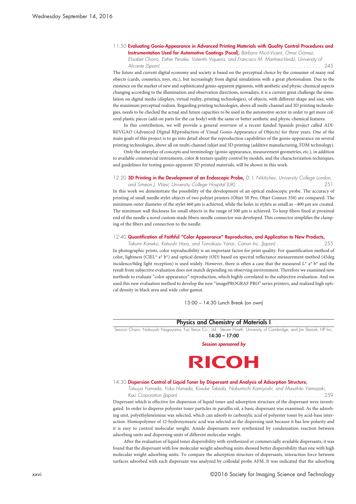#### 11:50 **Evaluating Gonio-Appearance in Advanced Printing Materials with Quality Control Procedures and Instrumentation Used for Automotive Coatings (Focal),** *Bárbara Micó-Vicent, Omar Gómez,*

*Elisabet Chorro, Esther Perales, Valentín Viqueira, and Francisco M. Martínez-Verdú, University of Alicante (Spain) . . . . . . . . . . . . . . . . . . . . . . . . . . . . . . . . . . . . . . . . . . . . . . . . . . . . . . .* 245

The future and current digital economy and society is based on the perceptual choice by the consumer of many real objects (cards, cosmetics, toys, etc.), but increasingly from digital simulations with a great photorealism. Due to the existence on the market of new and sophisticated gonio-apparent pigments, with aesthetic and physic-chemical aspects changing according to the illumination and observation directions, nowadays, it is a current great challenge the simulation on digital media (displays, virtual reality, printing technologies), of objects, with different shape and size, with the maximum perceptual realism. Regarding printing technologies, above all multi-channel and 3D printing technologies, needs to be checked the actual and future capacities to be used in the automotive sector in order to get more colored plastic pieces (add-on parts for the car body) with the same or better aesthetic and physic-chemical features.

In this contribution, we will provide a general overview of a recent funded Spanish project called ADI-REVGAO (Advanced DIgital REproduction of Visual Gonio-Appearance of Objects) for three years. One of the main goals of this project is to go into detail about the reproduction capabilities of the gonio-appearance on several printing technologies, above all on multi-channel inkjet and 3D printing (additive manufacturing, FDM technology).

Only the interplay of concepts and terminology (gonio-appearance, measurement geometries, etc.), in addition to available commercial instruments, color & texture quality control by models, and the characterization techniques, and guidelines for testing gonio-apparent 3D printed materials, will be shown in this work.

#### 12:20 **3D Printing in the Development of an Endoscopic Probe,** *D. I. Nikitichev, University College London,*

*and Simeon J. West, University College Hospital (UK). . . . . . . . . . . . . . . . . . . . . . . . . . . . . .* 251 In this work we demonstrate the possibility of the development of an optical endoscopic probe. The accuracy of printing of small needle stylet objects of two polyjet printers (Objet 30 Pro, Objet Connex 350) are compared. The minimum outer diameter of the stylet 460 µm is achieved, while the holes in stylets as small as ~400 µm are created. The minimum wall thickness for small objects in the range of 500 µm is achieved. To keep fibers fixed at proximal end of the needle a novel custom made fibers-needle connector was developed. This connector simplifies the clamping of the fibers and connection to the needle.

#### 12:40 **Quantification of Faithful "Color Appearance" Reproduction, and Application to New Products,**

Takumi Kaneko, Katsushi Hara, and Tomokazu Yanai, Canon Inc. (Japan) . . . . . . . . . . . . . . . . 255 In photographic prints, color reproducibility is an important factor for print quality. For quantification method of color, lightness (CIEL\* a\* b\*) and optical density (OD) based on spectral reflectance measurement method (45deg incidence/0deg light reception) is used widely. However, there is often a case that the measured  $L^*$  a\*  $b^*$  and the result from subjective evaluation does not match depending on observing environment. Therefore we examined new methods to evaluate "color appearance" reproduction, which highly correlated to the subjective evaluation. And we used this new evaluation method to develop the new "imagePROGRAF PRO" series printers, and realized high optical density in black area and wide color gamut.

13:00 – 14:30 Lunch Break (on own)

#### **Physics and Chemistry of Materials I**

Session Chairs: Nobuyuki Nagayama, Fuji Xerox Co., Ltd.; Steven Hoath, University of Cambridge; and Jim Stasiak, HP Inc. **14:30 – 17:00**

*Session sponsored by*



#### 14:30 **Dispersion Control of Liquid Toner by Dispersant and Analysis of Adsorption Structure,**

*Tatsuya Yamada, Yoko Hanada, Kosuke Takeda, Nobumichi Kamiyoshi, and Masahito Yamazaki,*

*Kao Corporation (Japan) . . . . . . . . . . . . . . . . . . . . . . . . . . . . . . . . . . . . . . . . . . . . . . . . .* 259 Dispersant which is effective for dispersion of liquid toner and adsorption structure of the dispersant were investigated. In order to disperse polyester toner particles in paraffin oil, a basic dispersant was examined. As the adsorbing unit, polyethyleneimine was selected, which can adsorb to carboxylic acid of polyester toner by acid-base interaction. Homopolymer of 12-hydroxystearic acid was selected as the dispersing unit because it has low polarity and it is easy to control molecular weight. Amide dispersants were synthesized by condensation reaction between adsorbing units and dispersing units of different molecular weight.

After the evaluation of liquid toner dispersibility with synthesized or commercially available dispersants, it was found that the dispersant with low molecular weight adsorbing units showed better dispersibility than one with high molecular weight adsorbing units. To compare the adsorption structure of dispersants, interaction force between surfaces adsorbed with each dispersant was analyzed by colloidal probe AFM. It was indicated that the adsorbing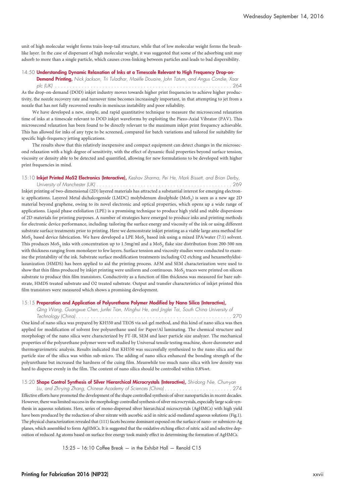unit of high molecular weight forms train-loop-tail structure, while that of low molecular weight forms the brushlike layer. In the case of dispersant of high molecular weight, it was suggested that some of the adsorbing unit may adsorb to more than a single particle, which causes cross-linking between particles and leads to bad dispersibility.

#### 14:50 **Understanding Dynamic Relaxation of Inks at a Timescale Relevant to High Frequency Drop-on-**

**Demand Printing,** *Nick Jackson, Tri Tuladhar, Maëlle Douaire, John Tatum, and Angus Condie, Xaar plc (UK) . . . . . . . . . . . . . . . . . . . . . . . . . . . . . . . . . . . . . . . . . . . . . . . . . . . . . . . . . . . .* 264 As the drop-on-demand (DOD) inkjet industry moves towards higher print frequencies to achieve higher productivity, the nozzle recovery rate and turnover time becomes increasingly important, in that attempting to jet from a nozzle that has not fully recovered results in meniscus instability and poor reliability.

We have developed a new, simple, and rapid quantitative technique to measure the microsecond relaxation time of inks at a timescale relevant to DOD inkjet waveforms by exploiting the Piezo-Axial Vibrator (PAV). This microsecond relaxation has been found to be directly relevant to the maximum inkjet print frequency achievable. This has allowed for inks of any type to be screened, compared for batch variations and tailored for suitability for specific high-frequency jetting applications.

The results show that this relatively inexpensive and compact equipment can detect changes in the microsecond relaxation with a high degree of sensitivity, with the effect of dynamic fluid properties beyond surface tension, viscosity or density able to be detected and quantified, allowing for new formulations to be developed with higher print frequencies in mind.

#### 15:10 **Inkjet Printed MoS2 Electronics (Interactive),** *Keshav Sharma, Pei He, Mark Bissett, and Brian Derby, University of Manchester (UK) . . . . . . . . . . . . . . . . . . . . . . . . . . . . . . . . . . . . . . . . . . . . . .* 269

Inkjet printing of two-dimensional (2D) layered materials has attracted a substantial interest for emerging electronic applications. Layered Metal dichalcogenide (LMDC) molybdenum disulphide (MoS<sub>2</sub>) is seen as a new age 2D material beyond graphene, owing to its novel electronic and optical properties, which opens up a wide range of applications. Liquid phase exfoliation (LPE) is a promising technique to produce high yield and stable dispersions of 2D materials for printing purposes. A number of strategies have emerged to produce inks and printing methods for electronic device performance, including: tailoring the surface energy and viscosity of the ink or using different substrate surface treatments prior to printing. Here we demonstrate inkjet printing as a viable large area method for MoS<sub>2</sub> based device fabrication. We have developed a LPE MoS<sub>2</sub> based ink using a mixed IPA/water (7:1) solvent. This produces MoS<sub>2</sub> inks with concentration up to 1.5mg/ml and a MoS<sub>2</sub> flake size distribution from 200-500 nm with thickness ranging from monolayer to few layers. Surface tension and viscosity studies were conducted to examine the printability of the ink. Substrate surface modification treatments including O2 etching and hexamethyldisilazanization (HMDS) has been applied to aid the printing process. AFM and SEM characterization were used to show that thin films produced by inkjet printing were uniform and continuous. MoS<sub>2</sub> traces were printed on silicon substrate to produce thin film transistors. Conductivity as a function of film thickness was measured for bare substrate, HMDS treated substrate and O2 treated substrate. Output and transfer characteristics of inkjet printed thin film transistors were measured which shows a promising development.

#### 15:15 **Preparation and Application of Polyurethane Polymer Modified by Nano Silica (Interactive),**

*Qing Wang, Guangxue Chen, Junfei Tian, Minghui He, and Jinglei Tai, South China University of Technology (China). . . . . . . . . . . . . . . . . . . . . . . . . . . . . . . . . . . . . . . . . . . . . . . . . . . . .* 270 One kind of nano silica was prepared by KH550 and TEOS via sol-gel method, and this kind of nano silica was then applied for modification of solvent free polyurethane used for Paper/Al laminating. The chemical structure and morphology of the nano silica were characterized by FT-IR, SEM and laser particle size analyzer. The mechanical properties of the polyurethane polymer were well studied by Universal tensile testing machine, shore durometer and thermogravimetric analysis. Results indicated that KH550 was successfully synthesized to the nano silica and the particle size of the silica was within sub-micro. The adding of nano silica enhanced the bonding strength of the polyurethane but increased the hardness of the cuing film. Meanwhile too much nano silica with low density was hard to disperse evenly in the film. The content of nano silica should be controlled within 0.8%wt.

### 15:20 **Shape Control Synthesis of Silver Hierarchical Microcrystals (Interactive),** *Shi-dong Nie, Chun-yan*

*Liu, and Zhi-ying Zhang, Chinese Academy of Sciences (China) . . . . . . . . . . . . . . . . . . . . . . .* 274 Effective efforts have promoted the development of the shape controlled synthesis of silver nanoparticles in recent decades. However, there was limited success in the morphology controlled synthesis of silver microcrystals, especially large scale synthesis in aqueous solutions. Here, series of mono-dispersed silver hierarchical microcrystals (AgHMCs) with high yield have been produced by the reduction of silver nitrate with ascorbic acid in nitric acid-mediated aqueous solutions (Fig.1). The physical characterization revealed that (111) facets become dominant exposed on the surface of nano- or submicro-Ag planes, which assembled to form AgHMCs. It is suggested that the oxidative etching effect of nitric acid and selective deposition of reduced Ag atoms based on surface free energy took mainly effect in determining the formation of AgHMCs.

15:25 – 16:10 Coffee Break — in the Exhibit Hall — Renold C15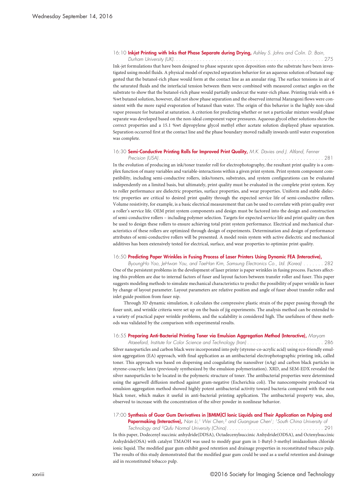#### 16:10 **Inkjet Printing with Inks that Phase Separate during Drying,** *Ashley S. Johns and Colin. D. Bain,*

*Durham University (UK). . . . . . . . . . . . . . . . . . . . . . . . . . . . . . . . . . . . . . . . . . . . . . . . . . .* 275 Ink-jet formulations that have been designed to phase separate upon deposition onto the substrate have been investigated using model fluids. A physical model of expected separation behavior for an aqueous solution of butanol suggested that the butanol-rich phase would form at the contact line as an annular ring. The surface tensions in air of the saturated fluids and the interfacial tension between them were combined with measured contact angles on the substrate to show that the butanol-rich phase would partially undercut the water-rich phase. Printing trials with a 6 %wt butanol solution, however, did not show phase separation and the observed internal Marangoni flows were consistent with the more rapid evaporation of butanol than water. The origin of this behavior is the highly non-ideal vapor pressure for butanol at saturation. A criterion for predicting whether or not a particular mixture would phase separate was developed based on the non-ideal component vapor pressures. Aqueous glycol ether solutions show the correct properties and a 15.1 %wt dipropylene glycol methyl ether acetate solution displayed phase separation. Separation occurred first at the contact line and the phase boundary moved radially inwards until water evaporation was complete.

#### 16:30 **Semi-Conductive Printing Rolls for Improved Print Quality,** *M.K. Davies and J. Altland, Fenner*

*Precision (USA). . . . . . . . . . . . . . . . . . . . . . . . . . . . . . . . . . . . . . . . . . . . . . . . . . . . . . . .* 281 In the evolution of producing an ink/toner transfer roll for electrophotography, the resultant print quality is a complex function of many variables and variable-interactions within a given print system. Print system component compatibility, including semi-conductive rollers, inks/toners, substrates, and system configurations can be evaluated independently on a limited basis, but ultimately, print quality must be evaluated in the complete print system. Key to roller performance are dielectric properties, surface properties, and wear properties. Uniform and stable dielectric properties are critical to desired print quality through the expected service life of semi-conductive rollers. Volume resistivity, for example, is a basic electrical measurement that can be used to correlate with print quality over a roller's service life. OEM print system components and design must be factored into the design and construction of semi-conductive rollers – including polymer selection. Targets for expected service life and print quality can then be used to design these rollers to ensure achieving total print system performance. Electrical and mechanical characteristics of these rollers are optimized through design of experiments. Determination and design of performance attributes of semi-conductive rollers will be presented. A model resin system with active dielectric and mechanical additives has been extensively tested for electrical, surface, and wear properties to optimize print quality.

#### 16:50 **Predicting Paper Wrinkles in Fusing Process of Laser Printers Using Dynamic FEA (Interactive),**

ByoungHo Yoo, JeHwan You, and TaeHan Kim, Samsung Electronics Co., Ltd. (Korea) . . . . . . . 282 One of the persistent problems in the development of laser printer is paper wrinkles in fusing process. Factors affecting this problem are due to internal factors of fuser and layout factors between transfer roller and fuser. This paper suggests modeling methods to simulate mechanical characteristics to predict the possibility of paper wrinkle in fuser by change of layout parameter. Layout parameters are relative position and angle of fuser about transfer roller and inlet guide position from fuser nip.

Through 3D dynamic simulation, it calculates the compressive plastic strain of the paper passing through the fuser unit, and wrinkle criteria were set up on the basis of jig experiments. The analysis method can be extended to a variety of practical paper wrinkle problems, and the scalability is considered high. The usefulness of these methods was validated by the comparison with experimental results.

#### 16:55 **Preparing Anti-Bacterial Printing Toner via Emulsion Aggregation Method (Interactive),** *Maryam*

*Ataeefard, Institute for Color Science and Technology (Iran) . . . . . . . . . . . . . . . . . . . . . . . . . .* 286 Silver nanoparticles and carbon black were incorporated into poly (styrene-co-acrylic acid) using eco-friendly emulsion aggregation (EA) approach, with final application as an antibacterial electrophotographic printing ink, called toner. This approach was based on dispersing and coagulating the nanosilver (nAg) and carbon black particles in styrene-coacrylic latex (previously synthesized by the emulsion polymerization). XRD, and SEM-EDX revealed the silver nanoparticles to be located in the polymeric structure of toner. The antibacterial properties were determined using the agarwell diffusion method against gram-negative (Escherichia coli). The nanocomposite produced via emulsion aggregation method showed highly potent antibacterial activity toward bacteria compared with the neat black toner, which makes it useful in anti-bacterial printing application. The antibacterial property was, also, observed to increase with the concentration of the silver powder in nonlinear behavior.

## 17:00 **Synthesis of Guar Gum Derivatives in [BMIM]Cl Ionic Liquids and Their Application on Pulping and**

**Papermaking (Interactive),** *Nan Li, <sup>1</sup> Wei Chen, <sup>2</sup> and Guangxue Chen1; 1South China University of*

*Technology and 2Qufu Normal University (China). . . . . . . . . . . . . . . . . . . . . . . . . . . . . . . . .* 291 In this paper, Dodecenyl succinic anhydride(DDSA), Octadecenylsuccinic Anhydride(ODSA), and Octenylsuccinic Anhydride(OSA) with catalyst TMAOH was used to modify guar gum in 1-Butyl-3-methyl imidazolium chloride ionic liquid. The modified guar gum exhibit good retention and drainage properties in reconstituted tobacco pulp. The results of this study demonstrated that the modified guar gum could be used as a useful retention and drainage aid in reconstituted tobacco pulp.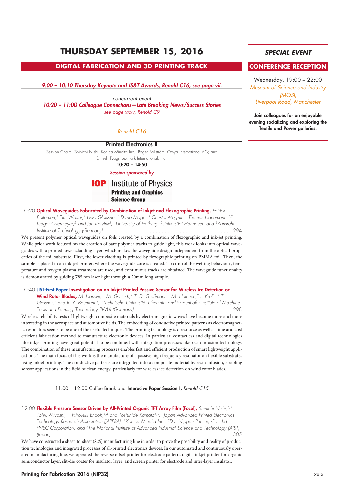## **THURSDAY SEPTEMBER 15, 2016**

## **DIGITAL FABRICATION AND 3D PRINTING TRACK**

*9:00 – 10:10 Thursday Keynote and IS&T Awards, Renold C16, see page vii.*

*concurrent event 10:20 – 11:00 Colleague Connections—Late Breaking News/Success Stories see page xxxv, Renold C9*

## *Renold C16*

### **Printed Electronics II**

Session Chairs: Shinichi Nishi, Konica Minolta Inc.; Roger Bollström, Omya International AG; and

Dinesh Tyagi, Lexmark International, Inc.

**10:20 – 14:50**

### *Session sponsored by*

## **IOP** Institute of Physics **Printing and Graphics Science Group**

10:20 **Optical Waveguides Fabricated by Combination of Inkjet and Flexographic Printing,** *Patrick*

*Bollgruen,1 Tim Wolfer,2 Uwe Gleissner,1 Dario Mager,3 Christof Megnin,1 Thomas Hanemann,1,3 Ludger Overmeyer,2 and Jan Korvink3; 1University of Freiburg, 2Universitat Hannover, and 3Karlsruhe Institute of Technology (Germany) . . . . . . . . . . . . . . . . . . . . . . . . . . . . . . . . . . . . . . . . . . .* 294 We present polymer optical waveguides on foils created by a combination of flexographic and ink-jet printing. While prior work focused on the creation of bare polymer tracks to guide light, this work looks into optical waveguides with a printed lower cladding layer, which makes the waveguide design independent from the optical properties of the foil substrate. First, the lower cladding is printed by flexographic printing on PMMA foil. Then, the sample is placed in an ink-jet printer, where the waveguide core is created. To control the wetting behaviour, temperature and oxygen plasma treatment are used, and continuous tracks are obtained. The waveguide functionality is demonstrated by guiding 785 nm laser light through a 20mm long sample.

10:40 **JIST-First Paper Investigation on an Inkjet Printed Passive Sensor for Wireless Ice Detection on**

**Wind Rotor Blades,** *M. Hartwig,1 M. Gaitzsh,1 T. D. Großmann,1 M. Heinrich,2 L. Kroll,1,2 T. Gessner,1 and R. R. Baumann1; 1Technische Universität Chemnitz and 2Fraunhofer Institute of Machine Tools and Forming Technology (IWU) (Germany) . . . . . . . . . . . . . . . . . . . . . . . . . . . . . . . . .* 298 Wireless reliability tests of lightweight composite materials by electromagnetic waves have become more and more interesting in the aerospace and automotive fields. The embedding of conductive printed patterns as electromagnetic resonators seems to be one of the useful techniques. The printing technology is a resource as well as time and cost efficient fabrication method to manufacture electronic devices. In particular, contactless and digital technologies like inkjet printing have great potential to be combined with integration processes like resin infusion technology. The combination of these manufacturing processes enables fast and efficient production of smart lightweight applications. The main focus of this work is the manufacture of a passive high frequency resonator on flexible substrates using inkjet printing. The conductive patterns are integrated into a composite material by resin infusion, enabling sensor applications in the field of clean energy, particularly for wireless ice detection on wind rotor blades.

11:00 – 12:00 Coffee Break and **Interacive Paper Session I,** *Renold C15*

12:00 **Flexible Pressure Sensor Driven by All-Printed Organic TFT Array Film (Focal),** *Shinichi Nishi,1,2 Tohru Miyoshi,1,3 Hiroyuki Endoh,1,4 and Toshihide Kamata1,5; 1Japan Advanced Printed Electronics Technology Research Association (JAPERA), 2Konica Minolta Inc., 3Dai Nippon Printing Co., Ltd., 4NEC Corporation, and 5The National Institute of Advanced Industrial Science and Technology (AIST) (Japan) . . . . . . . . . . . . . . . . . . . . . . . . . . . . . . . . . . . . . . . . . . . . . . . . . . . . . . . . . . . . .* 305 We have constructed a sheet-to-sheet (S2S) manufacturing line in order to prove the possibility and reality of production technologies and integrated processes of all-printed electronics devices. In our automated and continuously operated manufacturing line, we operated the reverse offset printer for electrode pattern, digital inkjet printer for organic semiconductor layer, slit-die coater for insulator layer, and screen printer for electrode and inter-layer insulator.

#### **Printing for Fabrication 2016 (NIP32)** xxix

## *SPECIAL EVENT*

## **CONFERENCE RECEPTION**

Wednesday, 19:00 – 22:00 *Museum of Science and Industry (MOSI) Liverpool Road, Manchester*

**Join colleagues for an enjoyable evening socializing and exploring the Textile and Power galleries.**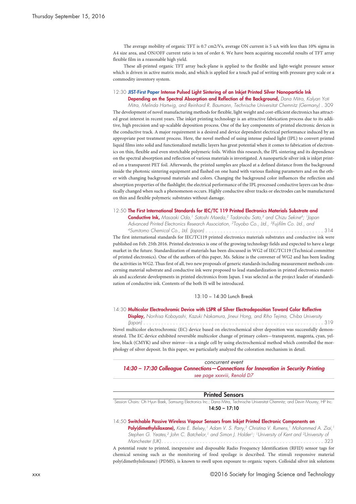The average mobility of organic TFT is 0.7 cm2/Vs, average ON current is 5 uA with less than 10% sigma in A4 size area, and ON/OFF current ratio is ten of order 6. We have been acquiring successful results of TFT array flexible film in a reasonable high yield.

These all-printed organic TFT array back-plane is applied to the flexible and light-weight pressure sensor which is driven in active matrix mode, and which is applied for a touch pad of writing with pressure grey scale or a commodity inventory system.

#### 12:30 **JIST-First Paper Intense Pulsed Light Sintering of an Inkjet Printed Silver Nanoparticle Ink**

**Depending on the Spectral Absorption and Reflection of the Background,** *Dana Mitra, Kalyan Yoti Mitra, Melinda Hartwig, and Reinhard R. Baumann, Technische Universitat Chemnitz (Germany) .* 309 The development of novel manufacturing methods for flexible, light weight and cost-efficient electronics has attracted great interest in recent years. The inkjet printing technology is an attractive fabrication process due to its additive, high precision and up-scalable deposition process. One of the key components of printed electronic devices is the conductive track. A major requirement is a desired and device dependent electrical performance induced by an appropriate post treatment process. Here, the novel method of using intense pulsed light (IPL) to convert printed liquid films into solid and functionalized metallic layers has great potential when it comes to fabrication of electronics on thin, flexible and even stretchable polymeric foils. Within this research, the IPL sintering and its dependence on the spectral absorption and reflection of various materials is investigated. A nanoparticle silver ink is inkjet printed on a transparent PET foil. Afterwards, the printed samples are placed at a defined distance from the background inside the photonic sintering equipment and flashed on one hand with various flashing parameters and on the other with changing background materials and colors. Changing the background color influences the reflection and absorption properties of the flashlight; the electrical performance of the IPL processed conductive layers can be drastically changed when such a phenomenon occurs. Highly conductive silver tracks or electrodes can be manufactured on thin and flexible polymeric substrates without damage.

#### 12:50 **The First International Standards for IEC/TC 119 Printed Electronics Materials Substrate and**

**Conductive Ink,** *Masaaki Oda, <sup>1</sup> Satoshi Maeda, <sup>2</sup> Tadanobu Sato, <sup>3</sup> and Chizu Sekine4; 1Japan Advanced Printed Electronics Research Association, 2Toyobo Co., Ltd., 3Fujifilm Co. Ltd., and 4Sumitomo Chemical Co., Ltd. (Japan) . . . . . . . . . . . . . . . . . . . . . . . . . . . . . . . . . . . . . . . .* 314

The first international standards for IEC/TC119 printed electronics materials substrates and conductive ink were published on Feb. 25th 2016. Printed electronics is one of the growing technology fields and expected to have a large market in the future. Standardization of materials has been discussed in WG2 of IEC/TC119 (Technical committee of printed electronics). One of the authors of this paper, Ms. Sekine is the convener of WG2 and has been leading the activities in WG2. Thus first of all, two new proposals of generic standards including measurement methods concerning material substrate and conductive ink were proposed to lead standardization in printed electronics materials and accelerate developments in printed electronics from Japan. I was selected as the project leader of standardization of conductive ink. Contents of the both IS will be introduced.

13:10 – 14:30 Lunch Break

#### 14:30 **Multicolor Electrochromic Device with LSPR of Silver Electrodeposition Toward Color Reflective**

**Display,** *Norihisa Kobayashi, Kazuki Nakamura, Jineui Hong, and Riho Tejima, Chiba University*

*(Japan) . . . . . . . . . . . . . . . . . . . . . . . . . . . . . . . . . . . . . . . . . . . . . . . . . . . . . . . . . . . . .* 319 Novel multicolor electrochromic (EC) device based on electrochemical silver deposition was successfully demonstrated. The EC device exhibited reversible multicolor change of primary colors—transparent, magenta, cyan, yellow, black (CMYK) and silver mirror—in a single cell by using electrochemical method which controlled the morphology of silver deposit. In this paper, we particularly analyzed the coloration mechanism in detail.

*concurrent event 14:30 – 17:30 Colleague Connections—Connections for Innovation in Security Printing see page xxxviii, Renold D7*

## **Printed Sensors**

Session Chairs: Oh Hyun Baek, Samsung Electronics Inc.; Dana Mitra, Technische Universitat Chemnitz; and Devin Mourey, HP Inc. **14:50 – 17:10**

#### 14:50 **Switchable Passive Wireless Vapour Sensors from Inkjet Printed Electronic Components on**

Poly(dimethylsiloxane), Kate E. Belsey, <sup>1</sup> Adam V. S. Parry, <sup>2</sup> Christina V. Rumens, <sup>1</sup> Mohammed A. Ziai, <sup>1</sup> Stephen G. Yeates,<sup>2</sup> John C. Batchelor,<sup>1</sup> and Simon J. Holder<sup>1</sup>; <sup>1</sup>University of Kent and <sup>2</sup>University oi *Manchester (UK). . . . . . . . . . . . . . . . . . . . . . . . . . . . . . . . . . . . . . . . . . . . . . . . . . . . . . .* 323

A potential route to printed, inexpensive and disposable Radio Frequency Identification (RFID) sensor tags for chemical sensing such as the monitoring of food spoilage is described. The stimuli responsive material poly(dimethylsiloxane) (PDMS), is known to swell upon exposure to organic vapors. Colloidal silver ink solutions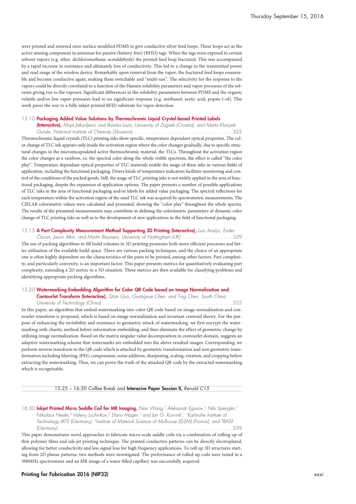were printed and sintered onto surface modified PDMS to give conductive silver feed loops. These loops act as the active sensing component in antennae for passive (battery-free) (RFID) tags. When the tags were exposed to certain solvent vapors (e.g. ether, dichloromethane, acetaldehyde) the printed feed loop fractured. This was accompanied by a rapid increase in resistance and ultimately loss of conductivity. This led to a change in the transmitted power and read range of the wireless device. Remarkably upon removal from the vapor, the fractured feed loops reassemble and become conductive again, making them switchable and "multi-use". The selectivity for the response to the vapors could be directly correlated to a function of the Hansen solubility parameters and vapor pressures of the solvents giving rise to the vapours. Significant differences in the solubility parameters between PDMS and the organic volatile and/or low vapor pressures lead to no significant response (e.g. methanol, acetic acid, popan-1-ol). This work paves the way to a fully inkjet printed RFID substrate for vapor detection.

#### 15:10 **Packaging Added Value Solutions by Thermochromic Liquid Crystal-based Printed Labels**

**(Interactive),** *Maja Jakovljevic and Branka Lozo, University of Zagreb (Croatia), and Marta Klanjsek Gunde, National Institute of Chemisty (Slovenia). . . . . . . . . . . . . . . . . . . . . . . . . . . . . . . . . .* 325 Thermochromic liquid crystals (TLC) printing inks show specific, temperature dependant optical properties. The color change of TLC ink appears only inside the activation region where the color changes gradually, due to specific structural changes in the microencapsulated active thermochromic material, the TLCs. Throughout the activation region the color changes as a rainbow, i.e. the spectral color along the whole visible spectrum, the effect is called "the color play". Temperature dependant optical properties of TLC materials enable the usage of these inks in various fields of application, including the functional packaging. Divers kinds of temperature indicators facilitate monitoring and control of the conditions of the packed goods. Still, the usage of TLC printing inks is not widely applied in the area of functional packaging, despite the expansion of application options. The paper presents a number of possible applications of TLC inks in the area of functional packaging and/or labels for added value packaging. The spectral reflections for each temperature within the activation region of the used TLC ink was acquired by spectrometric measurements. The CIELAB colorimetric values were calculated and presented, showing the "color play" throughout the whole spectra. The results of the presented measurements may contribute in defining the colorimetric parameters of dynamic color change of TLC printing inks as well as to the development of new applications in the field of functional packaging.

#### 15:15 **A Part Complexity Measurement Method Supporting 3D Printing (Interactive),** *Luiz Araújo, Ender*

Özcan, Jason Atkin, and Martin Baumers, University of Nottingham (UK) . . . . . . . . . . . . . . . . . 329 The use of packing algorithms to fill build volumes in 3D printing promotes both more efficient processes and better utilisation of the available build space. There are various packing techniques, and the choice of an appropriate one is often highly dependent on the characteristics of the parts to be printed, among other factors. Part complexity, and particularly convexity, is an important factor. This paper presents metrics for quantitatively evaluating part complexity, extending a 2D metric to a 3D situation. These metrics are then available for classifying problems and identifying appropriate packing algorithms.

#### 15:20 **Watermarking Embedding Algorithm for Color QR Code based on Image Normalization and**

**Contourlet Transform (Interactive),** *Qian Guo, Guangxue Chen, and Ting Chen, South China University of Technology (China) . . . . . . . . . . . . . . . . . . . . . . . . . . . . . . . . . . . . . . . . . . . .* 335 In this paper, an algorithm that embed watermarking into color QR code based on image normalization and contourlet transform is proposed, which is based on image normalization and invariant centroid theory. For the purpose of enhancing the invisibility and resistance to geometric attack of watermarking, we first encrypt the watermarking with chaotic method before information embedding, and then eliminate the effect of geometric change by utilizing image normalization. Based on the matrix singular value decomposition in contourlet domain, suggests an adaptive watermarking scheme that watermarks are embedded into the above resulted images. Corresponding, we perform inverse transform to the QR code which is attacked by geometric transformation and non geometric transformation including blurring, JPEG compression, noise addition, sharpening, scaling, rotation, and cropping before extracting the watermarking. Thus, we can prove the truth of the attacked QR code by the extracted watermarking which is recognizable.

#### 15:25 – 16:30 Coffee Break and **Interacive Paper Session II,** *Renold C15*

16:30 **Inkjet Printed Micro Saddle Coil for MR Imaging,** *Nan Wang, <sup>1</sup> Aleksandr Egunov, <sup>2</sup> Nils Spengler, 1 Nikolaus Nestle, <sup>3</sup> Valeriy Luchnikov, <sup>2</sup> Dario Mager, <sup>1</sup> and Jan G. Korvink1; 1Karlsruhe Institute of Technology (KIT) (Germany), 2Institute of Material Science of Mulhouse (IS2M) (France), and 3BASF (Germany) . . . . . . . . . . . . . . . . . . . . . . . . . . . . . . . . . . . . . . . . . . . . . . . . . . . . . . . . . . .* 339

This paper demonstrates novel approaches to fabricate micro-scale saddle coils via a combination of rolling-up of thin polymer films and ink-jet printing technique. The printed conductive patterns can be directly electroplated, allowing for better conductivity and less signal loss for high frequency applications. To roll up 3D structures starting from 2D planar patterns, two methods were investigated. The performance of rolled-up coils were tested in a 500MHz spectrometer and an MR image of a water-filled capillary was successfully acquired.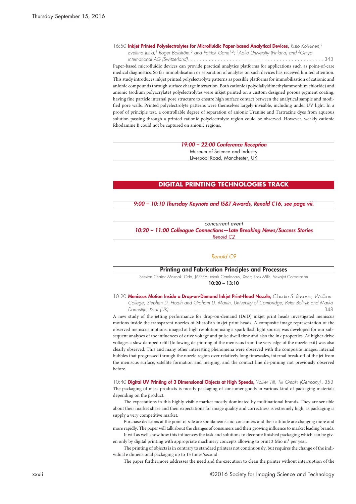16:50 **Inkjet Printed Polyelectrolytes for Microfluidic Paper-based Analytical Devices,** *Risto Koivunen, 1 Eveliina Jutila, <sup>1</sup> Roger Bollström, <sup>2</sup> and Patrick Gane1,2; 1Aalto University (Finland) and 2Omya*

*International AG (Switzerland). . . . . . . . . . . . . . . . . . . . . . . . . . . . . . . . . . . . . . . . . . . . . .* 343 Paper-based microfluidic devices can provide practical analytics platforms for applications such as point-of-care medical diagnostics. So far immobilisation or separation of analytes on such devices has received limited attention. This study introduces inkjet printed polyelectrolyte patterns as possible platforms for immobilisation of cationic and anionic compounds through surface charge interaction. Both cationic (polydiallyldimethylammonium chloride) and anionic (sodium polyacrylate) polyelectrolytes were inkjet printed on a custom designed porous pigment coating, having fine particle internal pore structure to ensure high surface contact between the analytical sample and modified pore walls. Printed polyelectrolyte patterns were themselves largely invisible, including under UV light. In a proof of principle test, a controllable degree of separation of anionic Uranine and Tartrazine dyes from aqueous solution passing through a printed cationic polyelectrolyte region could be observed. However, weakly cationic Rhodamine B could not be captured on anionic regions.

> *19:00 – 22:00 Conference Reception* Museum of Science and Industry Liverpool Road, Manchester, UK

### **DIGITAL PRINTING TECHNOLOGIES TRACK**

*9:00 – 10:10 Thursday Keynote and IS&T Awards, Renold C16, see page vii.*

*concurrent event 10:20 – 11:00 Colleague Connections—Late Breaking News/Success Stories Renold C2*

#### *Renold C9*

#### **Printing and Fabrication Principles and Processes**

Session Chairs: Masaaki Oda, JAPERA; Mark Crankshaw, Xaar; Ross Mills, Vexajet Corporation **10:20 – 13:10**

10:20 **Meniscus Motion Inside a Drop-on-Demand Inkjet Print-Head Nozzle,** *Claudio S. Ravasio, Wolfson College; Stephen D. Hoath and Graham D. Martin, University of Cambridge; Peter Boltryk and Marko Dorrestijn, Xaar (UK) . . . . . . . . . . . . . . . . . . . . . . . . . . . . . . . . . . . . . . . . . . . . . . . . . . . .* 348

A new study of the jetting performance for drop-on-demand (DoD) inkjet print heads investigated meniscus motions inside the transparent nozzles of MicroFab inkjet print heads. A composite image representation of the observed meniscus motions, imaged at high resolution using a spark flash light source, was developed for our subsequent analyses of the influences of drive voltage and pulse dwell time and also the ink properties. At higher drive voltages a slow damped refill (following de-pinning of the meniscus from the very edge of the nozzle exit) was also clearly observed. This and many other interesting phenomena were observed with the composite images: internal bubbles that progressed through the nozzle region over relatively long timescales, internal break-off of the jet from the meniscus surface, satellite formation and merging, and the contact line de-pinning not previously observed before.

10:40 **Digital UV Printing of 3 Dimensional Objects at High Speeds,** *Volker Till, Till GmbH (Germany) .* 353 The packaging of mass products is mostly packaging of consumer goods in various kind of packaging materials depending on the product.

The expectations in this highly visible market mostly dominated by multinational brands. They are sensible about their market share and their expectations for image quality and correctness is extremely high, as packaging is supply a very competitive market.

Purchase decisions at the point of sale are spontaneous and consumers and their attitude are changing more and more rapidly. The paper will talk about the changes of consumers and their growing influence to market leading brands.

It will as well show how this influences the task and solutions to decorate finished packaging which can be given only by digital printing with appropriate machinery concepts allowing to print 3 Mio m² per year.

The printing of objects is in contrary to standard printers not continuously, but requires the change of the individual e dimensional packaging up to 15 times/second.

The paper furthermore addresses the need and the execution to clean the printer without interruption of the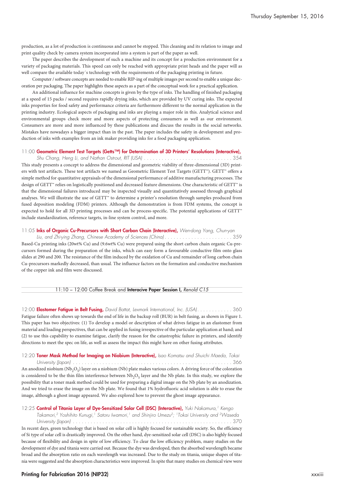production, as a lot of production is continuous and cannot be stopped. This cleaning and its relation to image and print quality check by camera system incorporated into a system is part of the paper as well.

The paper describes the development of such a machine and its concept for a production environment for a variety of packaging materials. This speed can only be reached with appropriate print heads and the paper will as well compare the available today´s technology with the requirements of the packaging printing in future.

Computer / software concepts are needed to enable RIP-ing of multiple images per second to enable a unique decoration per packaging. The paper highlights these aspects as a part of the conceptual work for a practical application.

An additional influence for machine concepts is given by the type of inks. The handling of finished packaging at a speed of 15 packs / second requires rapidly drying inks, which are provided by UV curing inks. The expected inks properties for food safety and performance criteria are furthermore different to the normal application in the printing industry. Ecological aspects of packaging and inks are playing a major role in this. Analytical science and environmental groups check more and more aspects of protecting consumers as well as our environment. Consumers are more and more influenced by these publications and discuss the results in the social networks. Mistakes have nowadays a bigger impact than in the past. The paper includes the safety in development and production of inks with examples from an ink maker providing inks for a food packaging application.

#### 11:00 **Geometric Element Test Targets (Getts™) for Determination of 3D Printers' Resolutions (Interactive),**

Shu Chang, Heng Li, and Nathan Ostrout, RIT (USA) ...................................354 This study presents a concept to address the dimensional and geometric viability of three-dimensional (3D) printers with test artifacts. These test artifacts we named as Geometric Element Test Targets (GETT™). GETT™ offers a simple method for quantitative appraisals of the dimensional performance of additive manufacturing processes. The design of GETT™ relies on logistically positioned and decreased feature dimensions. One characteristic of GETT™ is that the dimensional failures introduced may be inspected visually and quantitatively assessed through graphical analyses. We will illustrate the use of GETT™ to determine a printer's resolution through samples produced from fused deposition modeling (FDM) printers. Although the demonstration is from FDM systems, the concept is expected to hold for all 3D printing processes and can be process-specific. The potential applications of GETT include standardization, reference targets, in-line system control, and more.

#### 11:05 **Inks of Organic Cu-Precursors with Short Carbon Chain (Interactive),** *Wen-dong Yang, Chun-yan*

Liu, and Zhi-ying Zhang, Chinese Academy of Sciences (China).........................359 Based-Cu printing inks (20wt% Cu) and (9.6wt% Cu) were prepared using the short carbon chain organic Cu-precursors formed during the preparation of the inks, which can easy form a favourable conductive film onto glass slides at 290 and 200. The resistance of the film induced by the oxidation of Cu and remainder of long carbon chain Cu-precursors markedly decreased, than usual. The influence factors on the formation and conductive mechanism of the copper ink and film were discussed.

#### 11:10 – 12:00 Coffee Break and **Interacive Paper Session I,** *Renold C15*

12:00 Elastomer Fatigue in Belt Fusing, David Battat, Lexmark International, Inc. (USA). . . . . . . . . . . . 360 Fatigue failure often shows up towards the end of life in the backup roll (BUR) in belt fusing, as shown in Figure 1. This paper has two objectives: (1) To develop a model or description of what drives fatigue in an elastomer from material and loading perspectives, that can be applied in fusing irrespective of the particular application at hand; and (2) to use this capability to examine fatigue, clarify the reason for the catastrophic failure in printers, and identify directions to meet the spec on life, as well as assess the impact this might have on other fusing attributes.

### 12:20 **Toner Mask Method for Imaging on Niobium (Interactive),** *Isao Komatsu and Shuichi Maeda, Tokai*

*University (Japan) . . . . . . . . . . . . . . . . . . . . . . . . . . . . . . . . . . . . . . . . . . . . . . . . . . . . . .* 366 An anodized niobium ( $Nb_2O_5$ ) layer on a niobium (Nb) plate makes various colors. A driving force of the coloration is considered to be the thin film interference between  $Nb<sub>2</sub>O<sub>5</sub>$  layer and the Nb plate. In this study, we explore the possibility that a toner mask method could be used for preparing a digital image on the Nb plate by an anodization. And we tried to erase the image on the Nb plate. We found that 1% hydrofluoric acid solution is able to erase the image, although a ghost image appeared. We also explored how to prevent the ghost image appearance.

#### 12:25 **Control of Titania Layer of Dye-Sensitized Solar Cell (DSC) (Interactive),** *Yuki Nakamura, <sup>1</sup> Kengo*

*Takamori, <sup>2</sup> Yoshihito Kunugi, <sup>1</sup> Satoru Iwamori, <sup>1</sup> and Shinjiro Umezu2; 1Tokai University and 2Waseda University (Japan) . . . . . . . . . . . . . . . . . . . . . . . . . . . . . . . . . . . . . . . . . . . . . . . . . . . . . .* 370

In recent days, green technology that is based on solar cell is highly focused for sustainable society. So, the efficiency of Si type of solar cell is drastically improved. On the other hand, dye-sensitized solar cell (DSC) is also highly focused because of flexibility and design in spite of low efficiency. To clear the low efficiency problem, many studies on the development of dye and titania were carried out. Because the dye was developed, then the absorbed wavelength became broad and the absorption ratio on each wavelength was increased. Due to the study on titania, unique shapes of titania were suggested and the absorption characteristics were improved. In spite that many studies on chemical view were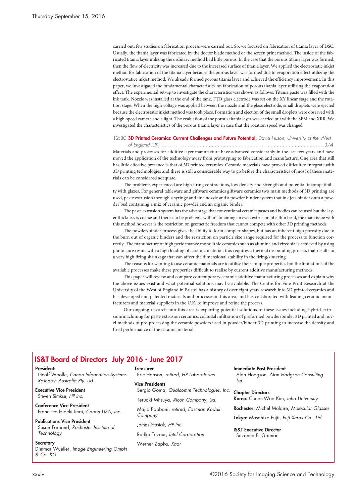carried out, few studies on fabrication process were carried out. So, we focused on fabrication of titania layer of DSC. Usually, the titania layer was fabricated by the doctor blade method or the screen print method. The inside of the fabricated titania layer utilizing the ordinary method had little porous. In the case that the porous titania layer was formed, then the flow of electricity was increased due to the increased surface of titania layer. We applied the electrostatic inkjet method for fabrication of the titania layer because the porous layer was formed due to evaporation effect utilizing the electrostatice inkjet method. We already formed porous titania layer and achieved the efficiency improvement. In this paper, we investigated the fundamental characteristics on fabrication of porous titania layer utilizing the evaporation effect. The experimental set-up to investigate the characteristics was shown as follows. Titania paste was filled with the ink tank. Nozzle was installed at the end of the tank. FTO glass electrode was set on the XY linear stage and the rotation stage. When the high voltage was applied between the nozzle and the glass electrode, small droplets were ejected because the electrostatic inkjet method was took place. Formation and ejection of the small droplets were observed with a high-speed camera and a light. The evaluation of the porous titania layer was carried out with the SEM and XRR. We investigated the characteristics of the porous titania layer in case that the rotation speed was changed.

### 12:30 **3D Printed Ceramics: Current Challenges and Future Potential,** *David Huson, University of the West of England (UK) . . . . . . . . . . . . . . . . . . . . . . . . . . . . . . . . . . . . . . . . . . . . . . . . . . . . . . .* 374

Materials and processes for additive layer manufacture have advanced considerably in the last few years and have moved the application of the technology away from prototyping to fabrication and manufacture. One area that still has little effective presence is that of 3D printed ceramics. Ceramic materials have proved difficult to integrate with 3D printing technologies and there is still a considerable way to go before the characteristics of most of these materials can be considered adequate.

The problems experienced are high firing contractions, low density and strength and potential incompatibility with glazes. For general tableware and giftware ceramics giftware ceramics two main methods of 3D printing are used, paste extrusion through a syringe and fine nozzle and a powder binder system that ink jets binder onto a powder bed containing a mix of ceramic powder and an organic binder.

The paste extrusion system has the advantage that conventional ceramic pastes and bodies can be used but the layer thickness is coarse and there can be problems with maintaining an even extrusion of a thin bead, the main issue with this method however is the restriction on geometric freedom that cannot compete with other 3D printing methods.

The powder/binder process gives the ability to form complex shapes, but has an inherent high porosity due to the burn out of organic binders and the restriction on particle size range required for the process to function correctly. The manufacture of high performance monolithic ceramics such as alumina and zirconia is achieved by using photo cure resins with a high loading of ceramic material, this requires a thermal de-bonding process that results in a very high firing shrinkage that can affect the dimensional stability in the firing/sintering.

The reasons for wanting to use ceramic materials are to utilise their unique properties but the limitations of the available processes make these properties difficult to realise by current additive manufacturing methods.

This paper will review and compare contemporary ceramic additive manufacturing processes and explain why the above issues exist and what potential solutions may be available. The Centre for Fine Print Research at the University of the West of England in Bristol has a history of over eight years research into 3D printed ceramics and has developed and patented materials and processes in this area, and has collaborated with leading ceramic manufacturers and material suppliers in the U.K. to improve and refine the process.

Our ongoing research into this area is exploring potential solutions to these issues including hybrid extrusion/machining for paste extrusion ceramics, colloidal infiltration of preformed powder/binder 3D printed and novel methods of pre-processing the ceramic powders used in powder/binder 3D printing to increase the density and fired performance of the ceramic material.

## **IS&T Board of Directors July 2016 - June 2017**

#### **President:**

Geoff Woolfe, *Canon Information Systems Research Australia Pty. Ltd*

**Executive Vice President** Steven Simkse, *HP Inc.*

**Conference Vice President** Francisco Hideki Imai, *Canon USA, Inc.*

**Publications Vice President** Susan Farnand, *Rochester Institute of Technology*

**Secretary** Dietmar Wueller, *Image Engineering GmbH & Co. KG*

#### **Treasurer**

Eric Hanson, *retired, HP Laboratories*

#### **Vice Presidents**

Sergio Goma, *Qualcomm Technologies, Inc.*

Teruaki Mitsuya, *Ricoh Company, Ltd.*

Majid Rabbani, *retired, Eastman Kodak Company*

James Stasiak, *HP Inc.*

Radka Tezaur, *Intel Corporation*

Werner Zapka, *Xaar*

#### **Immediate Past President**

Alan Hodgson, *Alan Hodgson Consulting Ltd.*

**Chapter Directors Korea:** Choon-Woo Kim, *Inha University*

**Rochester:** Michel Molaire, *Molecular Glasses*

**Tokyo:** Masahiko Fujii, *Fuji Xerox Co., Ltd.*

**IS&T Executive Director** Suzanne E. Grinnan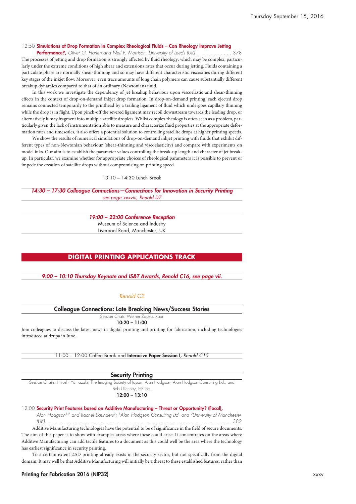#### 12:50 **Simulations of Drop Formation in Complex Rheological Fluids – Can Rheology Improve Jetting**

Performance?, Oliver G. Harlen and Neil F. Morrison, University of Leeds (UK) ..............378 The processes of jetting and drop formation is strongly affected by fluid rheology, which may be complex, particularly under the extreme conditions of high shear and extensions rates that occur during jetting. Fluids containing a particulate phase are normally shear-thinning and so may have different characteristic viscosities during different key stages of the inkjet flow. Moreover, even trace amounts of long chain polymers can cause substantially different breakup dynamics compared to that of an ordinary (Newtonian) fluid.

In this work we investigate the dependency of jet breakup behaviour upon viscoelastic and shear-thinning effects in the context of drop-on-demand inkjet drop formation. In drop-on-demand printing, each ejected drop remains connected temporarily to the printhead by a trailing ligament of fluid which undergoes capillary thinning while the drop is in flight. Upon pinch-off the severed ligament may recoil downstream towards the leading drop, or alternatively it may fragment into multiple satellite droplets. Whilst complex rheology is often seen as a problem, particularly given the lack of instrumentation able to measure and characterize fluid properties at the appropriate deformation rates and timescales, it also offers a potential solution to controlling satellite drops at higher printing speeds.

We show the results of numerical simulations of drop-on-demand inkjet printing with fluids that exhibit different types of non-Newtonian behaviour (shear-thinning and viscoelasticity) and compare with experiments on model inks. Our aim is to establish the parameter values controlling the break-up length and character of jet breakup. In particular, we examine whether for appropriate choices of rheological parameters it is possible to prevent or impede the creation of satellite drops without compromising on printing speed.

#### 13:10 – 14:30 Lunch Break

*14:30 – 17:30 Colleague Connections—Connections for Innovation in Security Printing see page xxxviii, Renold D7*

#### *19:00 – 22:00 Conference Reception*

Museum of Science and Industry Liverpool Road, Manchester, UK

#### **DIGITAL PRINTING APPLICATIONS TRACK**

#### *9:00 – 10:10 Thursday Keynote and IS&T Awards, Renold C16, see page vii.*

#### *Renold C2*

## **Colleague Connections: Late Breaking News/Success Stories**

Session Chair: Werner Zapka, Xaar

**10:20 – 11:00**

Join colleagues to discuss the latest news in digital printing and printing for fabrication, including technologies introduced at drupa in June.

11:00 – 12:00 Coffee Break and **Interacive Paper Session I,** *Renold C15*

## **Security Printing**

Session Chairs: Hiroshi Yamazaki, The Imaging Society of Japan; Alan Hodgson, Alan Hodgson Consulting Ltd.; and Bob Ulichney, HP Inc.

#### **12:00 – 13:10**

#### 12:00 **Security Print Features based on Additive Manufacturing – Threat or Opportunity? (Focal),**

*Alan Hodgson1,2 and Rachel Saunders2; 1Alan Hodgson Consulting Ltd. and 2University of Manchester*

*(UK) . . . . . . . . . . . . . . . . . . . . . . . . . . . . . . . . . . . . . . . . . . . . . . . . . . . . . . . . . . . . . . .* 382

Additive Manufacturing technologies have the potential to be of significance in the field of secure documents. The aim of this paper is to show with examples areas where these could arise. It concentrates on the areas where Additive Manufacturing can add tactile features to a document as this could well be the area where the technology has earliest significance in security printing.

To a certain extent 2.5D printing already exists in the security sector, but not specifically from the digital domain. It may well be that Additive Manufacturing will initially be a threat to these established features, rather than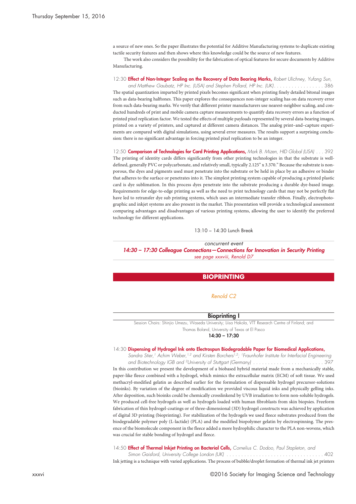a source of new ones. So the paper illustrates the potential for Additive Manufacturing systems to duplicate existing tactile security features and then shows where this knowledge could be the source of new features.

The work also considers the possibility for the fabrication of optical features for secure documents by Additive Manufacturing.

12:30 **Effect of Non-Integer Scaling on the Recovery of Data Bearing Marks,** *Robert Ulichney, Yufang Sun,*

and Matthew Gaubatz, HP Inc. (USA) and Stephen Pollard, HP Inc. (UK). . . . . . . . . . . . . . . . . 386 The spatial quantization imparted by printed pixels becomes significant when printing finely detailed bitonal images such as data-bearing halftones. This paper explores the consequences non-integer scaling has on data recovery error from such data-bearing marks. We verify that different printer manufacturers use nearest-neighbor scaling, and conducted hundreds of print and mobile camera capture measurements to quantify data recovery errors as a function of printed pixel replication factor. We tested the effects of multiple payloads represented by several data-bearing images, printed on a variety of printers, and captured at different camera distances. The analog print–and–capture experiments are compared with digital simulations, using several error measures. The results support a surprising conclusion: there is no significant advantage in forcing printed pixel replication to be an integer.

12:50 **Comparison of Technologies for Card Printing Applications,** *Mark B. Mizen, HID Global (USA) . . .* 392 The printing of identity cards differs significantly from other printing technologies in that the substrate is welldefined, generally PVC or polycarbonate, and relatively small, typically 2.125" x 3.370." Because the substrate is nonporous, the dyes and pigments used must penetrate into the substrate or be held in place by an adhesive or binder that adheres to the surface or penetrates into it. The simplest printing system capable of producing a printed plastic card is dye sublimation. In this process dyes penetrate into the substrate producing a durable dye-based image. Requirements for edge-to-edge printing as well as the need to print technology cards that may not be perfectly flat have led to retransfer dye sub printing systems, which uses an intermediate transfer ribbon. Finally, electrophotographic and inkjet systems are also present in the market. This presentation will provide a technological assessment comparing advantages and disadvantages of various printing systems, allowing the user to identify the preferred technology for different applications.

13:10 – 14:30 Lunch Break

*concurrent event*

*14:30 – 17:30 Colleague Connections—Connections for Innovation in Security Printing see page xxxviii, Renold D7*

#### **BIOPRINTING**

#### *Renold C2*

#### **Bioprinting I**

Session Chairs: Shinjio Umezu, Waseda University; Liisa Hakola, VTT Research Centre of Finland; and Thomas Boland, University of Texas at El Pasco

**14:30 – 17:30**

#### 14:30 **Dispensing of Hydrogel Ink onto Electrospun Biodegradable Paper for Biomedical Applications,**

*Sandra Stier, <sup>1</sup> Achim Weber, 1,2 and Kirsten Borchers1,2; 1Fraunhofer Institute for Interfacial Engineering and Biotechnology IGB and 2University of Stuttgart (Germany) . . . . . . . . . . . . . . . . . . . . . . . .* 397 In this contribution we present the development of a biobased hybrid material made from a mechanically stable, paper-like fleece combined with a hydrogel, which mimics the extracellular matrix (ECM) of soft tissue. We used methacryl-modified gelatin as described earlier for the formulation of dispensable hydrogel precursor-solutions (bioinks). By variation of the degree of modification we provided viscous liquid inks and physically gelling inks. After deposition, such bioinks could be chemically crosslinkend by UVB irradiation to form non-soluble hydrogels. We produced cell-free hydrogels as well as hydrogels loaded with human fibroblasts from skin biopsies. Freeform fabrication of thin hydrogel-coatings or of three-dimensional (3D) hydrogel constructs was achieved by application of digital 3D printing (bioprinting). For stabilization of the hydrogels we used fleece substrates produced from the biodegradable polymer poly (L-lactide) (PLA) and the modified biopolymer gelatin by electrospinning. The presence of the biomolecule component in the fleece added a more hydrophilic character to the PLA non-wovens, which was crucial for stable bonding of hydrogel and fleece.

14:50 **Effect of Thermal Inkjet Printing on Bacterial Cells,** *Cornelius C. Dodoo, Paul Stapleton, and*

*Simon Gaisford, University College London (UK) . . . . . . . . . . . . . . . . . . . . . . . . . . . . . . . . .* 402 Ink jetting is a technique with varied applications. The process of bubble/droplet formation of thermal ink jet printers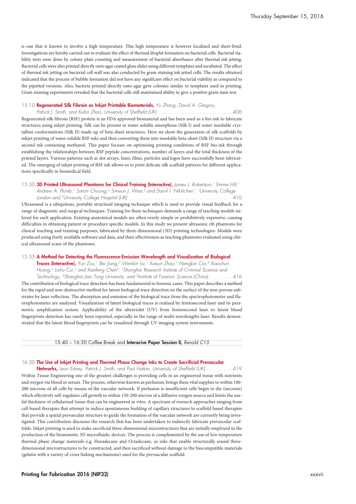is one that is known to involve a high temperature. This high temperature is however localized and short-lived. Investigations are hereby carried out to evaluate the effect of thermal droplet formation on bacterial cells. Bacterial viability tests were done by colony plate counting and measurement of bacterial absorbance after thermal ink jetting. Bacterial cells were also printed directly onto agar coated glassslides using different templates and incubated. The effect of thermal ink jetting on bacterial cell wall was also conducted by gram staining ink jetted cells. The results obtained indicated that the process of bubble formation did not have any significant effect on bacterial viability as compared to the pipetted versions. Also, bacteria printed directly onto agar gave colonies similar to templates used in printing. Gram staining experiments revealed that the bacterial cells still maintained ability to give a positive gram stain test.

#### 15:10 **Regenerated Silk Fibroin as Inkjet Printable Biomaterials,** *Yu Zhang, David A. Gregory,*

*Patrick J. Smith, and Xiubo Zhao, University of Sheffield (UK) . . . . . . . . . . . . . . . . . . . . . . . . .* 406 Regenerated silk fibroin (RSF) protein is an FDA approved biomaterial and has been used as a bio-ink to fabricate structures using inkjet printing. Silk can be present in water soluble amorphous (Silk I) and water insoluble crystalline conformations (Silk II) made up of beta-sheet structures. Here we show the generation of silk scaffolds by inkjet printing of water soluble RSF inks and then converting them into insoluble beta-sheet (Silk II) structure via a second ink containing methanol. This paper focuses on optimising printing conditions of RSF bio-ink through establishing the relationships between RSF peptide concentrations, number of layers and the total thickness of the printed layers. Various patterns such as dot arrays, lines, films, particles and logos have successfully been fabricated. The emerging of inkjet printing of RSF ink allows us to print delicate silk scaffold patterns for different applications specifically in biomedical field.

#### 15:30 **3D Printed Ultrasound Phantoms for Clinical Training (Interactive),** *James L. Robertson, <sup>1</sup> Emma Hill, 1*

*Andrew A. Plumb, <sup>1</sup> Simon Choong, <sup>2</sup> Simeon J. West, <sup>2</sup> and Daniil I. Nikitichev1; 1University College London and 2University College Hospital (UK) . . . . . . . . . . . . . . . . . . . . . . . . . . . . . . . . . . .* 410 Ultrasound is a ubiquitous, portable structural imaging technique which is used to provide visual feedback for a range of diagnostic and surgical techniques. Training for these techniques demands a range of teaching models tailored for each application. Existing anatomical models are often overly simple or prohibitively expensive, causing difficulties in obtaining patient or procedure specific models. In this study we present ultrasonic rib phantoms for clinical teaching and training purposes, fabricated by three-dimensional (3D) printing technologies. Models were produced using freely available software and data, and their effectiveness as teaching phantoms evaluated using clinical ultrasound scans of the phantoms.

#### 15:35 **A Method for Detecting the Fluorescence-Emission Wavelength and Visualization of Biological**

**Traces (Interactive),** *Yun Zou, <sup>1</sup> Bei Jiang, <sup>2</sup> Wenbin Liu, <sup>1</sup> Xuejun Zhao, <sup>1</sup> Nengbin Cai, <sup>3</sup> Xiaochun Huang, <sup>3</sup> Liuhu Cui, <sup>3</sup> and Xianfeng Chen2; 1Shanghai Research Institute of Criminal Science and* Technology, <sup>2</sup>Shanghai Jiao Tong University, and <sup>3</sup>Institute of Forensic Science (China)........ 416 The contribution of biological trace detection has been fundamental in forensic cases. This paper describes a method for the rapid and non-destructive method for latent biological trace detection on the surface of the non-porous substrates by laser reflection. The absorption and emission of the biological trace from the spectrophotometer and fluorophotometer are analyzed. Visualization of latent biological traces is realized by femtosecond laser and its parametric amplification system. Applicability of the ultraviolet (UV) from femtosecond laser to latent blood fingerprints detection has rarely been reported, especially in the range of multi-wavelengths laser. Results demonstrated that the latent blood fingerprints can be visualized through UV imaging system instruments.

#### 15:40 – 16:30 Coffee Break and **Interacive Paper Session II,** *Renold C15*

#### 16:30 **The Use of Inkjet Printing and Thermal Phase Change Inks to Create Sacrificial Prevascular**

Networks, Leon Edney, Patrick J. Smith, and Paul Hatton, University of Sheffield (UK) . . . . . . . . . 419 Within Tissue Engineering one of the greatest challenges is providing cells in an engineered tissue with nutrients and oxygen via blood or serum. The process, otherwise known as perfusion, brings these vital supplies to within 100- 200 microns of all cells by means of the vascular network. If perfusion is insufficient cells begin to die (necrosis) which effectively self-regulates cell growth to within 150-200 micron of a diffusive oxygen source and limits the useful thickness of cellularised tissue that can be engineered in vitro. A spectrum of research approaches ranging from cell-based therapies that attempt to induce spontaneous budding of capillary structures to scaffold based therapies that provide a spatial prevascular structure to guide the formation of the vascular network are currently being investigated. This contribution discusses the research that has been undertaken to indirectly fabricate prevascular scaffolds. Inkjet printing is used to make sacrificial three-dimensional microstructures that are initially employed in the production of the biomimetic 3D microfluidic devices. The process is complimented by the use of low temperature thermal phase change materials e.g. Hexadecane and Octadecane, as inks that enable structurally sound threedimensional microstructures to be constructed, and then sacrificed without damage to the biocompatible materials (gelatin with a variety of cross linking mechanisms) used for the prevascular scaffold.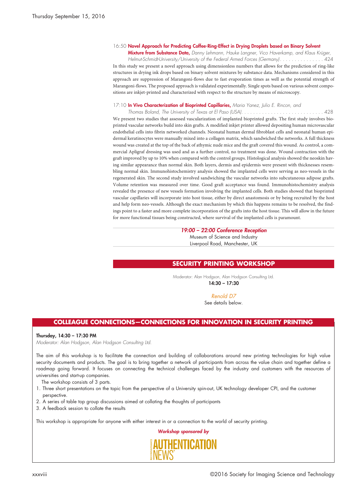#### 16:50 **Novel Approach for Predicting Coffee-Ring-Effect in Drying Droplets based on Binary Solvent**

**Mixture from Substance Data,** *Danny Lehmann, Hauke Langner, Vico Haverkamp, and Klaus Krüger,* Helmut-Schmidt-University/University of the Federal Armed Forces (Germany). . . . . . . . . . . . . . . 424 In this study we present a novel approach using dimensionless numbers that allows for the prediction of ring-like structures in drying ink drops based on binary solvent mixtures by substance data. Mechanisms considered in this approach are suppression of Marangoni-flows due to fast evaporation times as well as the potential strength of Marangoni-flows. The proposed approach is validated experimentally. Single spots based on various solvent compositions are inkjet-printed and characterized with respect to the structure by means of microscopy.

#### 17:10 **In Vivo Characterization of Bioprinted Capillaries,** *Maria Yanez, Julio E. Rincon, and*

*Thomas Boland, The University of Texas at El Paso (USA). . . . . . . . . . . . . . . . . . . . . . . . . . . .* 428 We present two studies that assessed vascularization of implanted bioprinted grafts. The first study involves bioprinted vascular networks build into skin grafts. A modified inkjet printer allowed depositing human microvascular endothelial cells into fibrin networked channels. Neonatal human dermal fibroblast cells and neonatal human epidermal keratinocytes were manually mixed into a collagen matrix, which sandwiched the networks. A full thickness wound was created at the top of the back of athymic nude mice and the graft covered this wound. As control, a commercial Apligraf dressing was used and as a further control, no treatment was done. Wound contraction with the graft improved by up to 10% when compared with the control groups. Histological analysis showed the neoskin having similar appearance than normal skin. Both layers, dermis and epidermis were present with thicknesses resembling normal skin. Immunohistochemistry analysis showed the implanted cells were serving as neo-vessels in the regenerated skin. The second study involved sandwiching the vascular networks into subcutaneous adipose grafts. Volume retention was measured over time. Good graft acceptance was found. Immunohistochemistry analysis revealed the presence of new vessels formation involving the implanted cells. Both studies showed that bioprinted vascular capillaries will incorporate into host tissue, either by direct anastomosis or by being recruited by the host and help form neo-vessels. Although the exact mechanism by which this happens remains to be resolved, the findings point to a faster and more complete incorporation of the grafts into the host tissue. This will allow in the future for more functional tissues being constructed, where survival of the implanted cells is paramount.

#### *19:00 – 22:00 Conference Reception*

Museum of Science and Industry Liverpool Road, Manchester, UK

#### **SECURITY PRINTING WORKSHOP**

Moderator: Alan Hodgson, Alan Hodgson Consulting Ltd. **14:30 – 17:30**

#### *Renold D7*

See details below.

## **COLLEAGUE CONNECTIONS—CONNECTIONS FOR INNOVATION IN SECURITY PRINTING**

#### **Thursday, 14:30 – 17:30 PM**

*Moderator: Alan Hodgson, Alan Hodgson Consulting Ltd.*

The aim of this workshop is to facilitate the connection and building of collaborations around new printing technologies for high value security documents and products. The goal is to bring together a network of participants from across the value chain and together define a roadmap going forward. It focuses on connecting the technical challenges faced by the industry and customers with the resources of universities and start-up companies.

The workshop consists of 3 parts.

- 1. Three short presentations on the topic from the perspective of a University spin-out, UK technology developer CPI, and the customer perspective.
- 2. A series of table top group discussions aimed at collating the thoughts of participants
- 3. A feedback session to collate the results

This workshop is appropriate for anyone with either interest in or a connection to the world of security printing.

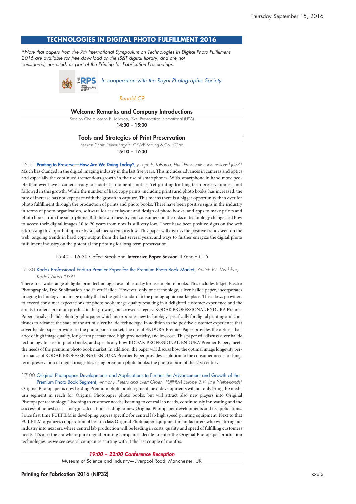## **TECHNOLOGIES IN DIGITAL PHOTO FULFILLMENT 2016**

*\*Note that papers from the 7th International Symposium on Technologies in Digital Photo Fulfillment 2016 are available for free download on the IS&T digital library, and are not considered, nor cited, as part of the Printing for Fabrication Proceedings.*



#### *Renold C9*

| <b>Welcome Remarks and Company Introductions</b>                         |  |
|--------------------------------------------------------------------------|--|
| Session Chair: Joseph E. LaBarca, Pixel Preservation International (USA) |  |
| $14:30 - 15:00$                                                          |  |
| <b>Tools and Strategies of Print Preservation</b>                        |  |
| Session Chair: Reiner Fageth, CEWE Stiftung & Co. KGaA                   |  |
| $15:10 - 17:30$                                                          |  |
|                                                                          |  |

15:10 **Printing to Preserve—How Are We Doing Today?,** *Joseph E. LaBarca, Pixel Preservation International (USA)* Much has changed in the digital imaging industry in the last five years. This includes advances in cameras and optics and especially the continued tremendous growth in the use of smartphones. With smartphone in hand more people than ever have a camera ready to shoot at a moment's notice. Yet printing for long term preservation has not followed in this growth. While the number of hard copy prints, including prints and photo books, has increased, the rate of increase has not kept pace with the growth in capture. This means there is a bigger opportunity than ever for photo fulfillment through the production of prints and photo books. There have been positive signs in the industry in terms of photo organization, software for easier layout and design of photo books, and apps to make prints and photo books from the smartphone. But the awareness by end consumers on the risks of technology change and how to access their digital images 10 to 20 years from now is still very low. There have been positive signs on the web addressing this topic but uptake by social media remains low. This paper will discuss the positive trends seen on the web, ongoing trends in hard copy output from the last several years, and ways to further energize the digital photo fulfillment industry on the potential for printing for long term preservation.

#### 15:40 – 16:30 Coffee Break and **Interacive Paper Session II** Renold C15

#### 16:30 Kodak Professional Endura Premier Paper for the Premium Photo Book Market, *Patrick W. Webber, Kodak Alaris (USA)*

There are a wide range of digital print technologies available today for use in photo books. This includes Inkjet, Electro Photographic, Dye Sublimation and Silver Halide. However, only one technology, silver halide paper, incorporates imaging technology and image quality that is the gold standard in the photographic marketplace. This allows providers to exceed consumer expectations for photo book image quality resulting in a delighted customer experience and the ability to offer a premium product in this growing, but crowed category. KODAK PROFESSIONAL ENDURA Premier Paperis a silver halide photographic paper which incorporates new technology specifically for digital printing and continues to advance the state of the art of silver halide technology. In addition to the positive customer experience that silver halide paper provides to the photo book market, the use of ENDURA Premier Paper provides the optimal balance of high image quality, long-term permanence, high productivity, and low cost. This paper will discuss silver halide technology for use in photo books, and specifically how KODAK PROFESSIONAL ENDURA Premier Paper, meets the needs of the premium photo book market. In addition, the paper will discuss how the optimal image longevity performance of KODAK PROFESSIONAL ENDURA Premier Paper provides a solution to the consumer needs for longterm preservation of digital image files using premium photo books, the photo album of the 21st century.

## 17:00 Original Photopaper Developments and Applications to Further the Advancement and Growth of the

Premium Photo Book Segment, *Anthony Pieters and Evert Groen, FUJIFILM Europe B.V. (the Netherlands)* Original Photopaper is now leading Premium photo book segment, next developments will not only bring the medium segment in reach for Original Photopaper photo books, but will attract also new players into Original Photopaper technology. Listening to customer needs, listening to central lab needs, continuously innovating and the success of honest cost – margin calculations leading to new Original Photopaper developments and its applications. Since first time FUJIFILM is developing papers specific for central lab high speed printing equipment. Next to that FUJIFILM organizes cooperation of best in class Original Photopaper equipment manufacturers who will bring our industry into next era where central lab production will be leading in costs, quality and speed of fulfilling customers needs. It's also the era where pure digital printing companies decide to enter the Original Photopaper production technologies, as we see several companies starting with it the last couple of months.

#### *19:00 – 22:00 Conference Reception*

Museum of Science and Industry—Liverpool Road, Manchester, UK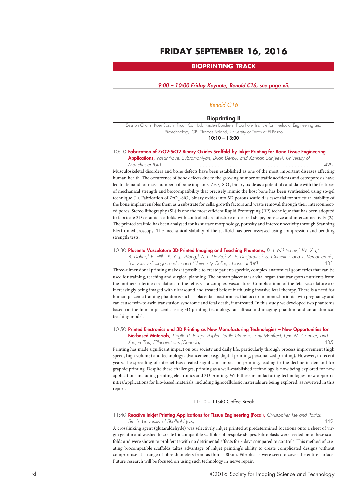## **FRIDAY SEPTEMBER 16, 2016**

## **BIOPRINTING TRACK**

#### *9:00 – 10:00 Friday Keynote, Renold C16, see page vii.*

### *Renold C16*

#### **Bioprinting II**

Session Chairs: Koei Suzuki, Ricoh Co., Ltd.; Kirsten Borchers, Fraunhofer Institute for Interfacial Engineering and Biotechnology IGB; Thomas Boland, University of Texas at El Pasco

**10:10 – 13:00**

#### 10:10 **Fabrication of ZrO2-SiO2 Binary Oxides Scaffold by Inkjet Printing for Bone Tissue Engineering**

**Applications,** *Vasanthavel Subramaniyan, Brian Derby, and Kannan Sanjeevi, University of*

*Manchester (UK). . . . . . . . . . . . . . . . . . . . . . . . . . . . . . . . . . . . . . . . . . . . . . . . . . . . . . .* 429 Musculoskeletal disorders and bone defects have been established as one of the most important diseases affecting human health. The occurrence of bone defects due to the growing number of traffic accidents and osteoporosis have led to demand for mass numbers of bone implants.  $ZrO<sub>2</sub>-SiO<sub>2</sub>$  binary oxide as a potential candidate with the features of mechanical strength and biocompatibility that precisely mimic the host bone has been synthesized using so-gel technique (1). Fabrication of ZrO<sub>2</sub>-SiO<sub>2</sub> binary oxides into 3D porous scaffold is essential for structural stability of the bone implant enables them as a substrate for cells, growth factors and waste removal through their interconnected pores. Stereo lithography (SL) is one the most efficient Rapid Prototyping (RP) technique that has been adopted to fabricate 3D ceramic scaffolds with controlled architecture of desired shape, pore size and interconnectivity (2). The printed scaffold has been analysed for its surface morphology, porosity and interconnectivity through Scanning Electron Microscopy. The mechanical stability of the scaffold has been assessed using compression and bending strength tests.

#### 10:30 **Placenta Vasculature 3D Printed Imaging and Teaching Phantoms,** *D. I. Nikitichev, <sup>1</sup> W. Xia, 1*

B. Daher, <sup>1</sup> E. Hill, <sup>1</sup> R. Y. J. Wong, <sup>1</sup> A. L. David, <sup>2</sup> A. E. Desjardins, <sup>1</sup> S. Ourselin, <sup>1</sup> and T. Vercauteren<sup>1</sup>; *1University College London and 2University College Hospital (UK) . . . . . . . . . . . . . . . . . . . . . .* 431 Three-dimensional printing makes it possible to create patient-specific, complex anatomical geometries that can be used for training, teaching and surgical planning. The human placenta is a vital organ that transports nutrients from the mothers' uterine circulation to the fetus via a complex vasculature. Complications of the fetal vasculature are increasingly being imaged with ultrasound and treated before birth using invasive fetal therapy. There is a need for human placenta training phantoms such as placental anastomoses that occur in monochorionic twin pregnancy and can cause twin-to-twin transfusion syndrome and fetal death, if untreated. In this study we developed two phantoms based on the human placenta using 3D printing technology: an ultrasound imaging phantom and an anatomical teaching model.

#### 10:50 **Printed Electronics and 3D Printing as New Manufacturing Technologies – New Opportunities for**

**Bio-based Materials,** *Tingjie Li, Joseph Aspler, Joelle Grenon, Tony Manfred, Lyne M. Cormier, and Xuejun Zou, FPInnovations (Canada) . . . . . . . . . . . . . . . . . . . . . . . . . . . . . . . . . . . . . . . . .* 435

Printing has made significant impact on our society and daily life, particularly through process improvement (high speed, high volume) and technology advancement (e.g. digital printing, personalized printing). However, in recent years, the spreading of internet has created significant impact on printing, leading to the decline in demand for graphic printing. Despite these challenges, printing as a well-established technology is now being explored for new applications including printing electronics and 3D printing. With these manufacturing technologies, new opportunities/applications for bio-based materials, including lignocellulosic materials are being explored, as reviewed in this report.

#### 11:10 – 11:40 Coffee Break

#### 11:40 **Reactive Inkjet Printing Applications for Tissue Engineering (Focal),** *Christopher Tse and Patrick*

*Smith, University of Sheffield (UK). . . . . . . . . . . . . . . . . . . . . . . . . . . . . . . . . . . . . . . . . . . .* 442 A crosslinking agent (glutaraldehyde) was selectively inkjet printed at predetermined locations onto a sheet of virgin gelatin and washed to create biocompatible scaffolds of bespoke shapes. Fibroblasts were seeded onto these scaffolds and were shown to proliferate with no detrimental effects for 3 days compared to controls. This method of creating biocompatible scaffolds takes advantage of inkjet printing's ability to create complicated designs without compromise at a range of fibre diameters from as thin as 80µm. Fibroblasts were seen to cover the entire surface. Future research will be focused on using such technology in nerve repair.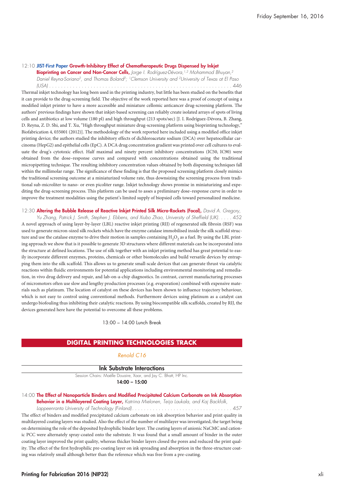### 12:10 **JIST-First Paper Growth-Inhibitory Effect of Chemotherapeutic Drugs Dispensed by Inkjet**

**Bioprinting on Cancer and Non-Cancer Cells,** *Jorge I. Rodríguez-Dévora, 1,2 Mohammod Bhuyan, 2 Daniel Reyna-Soriano2, and Thomas Boland2; 1Clemson University and 2University of Texas at El Paso (USA) . . . . . . . . . . . . . . . . . . . . . . . . . . . . . . . . . . . . . . . . . . . . . . . . . . . . . . . . . . . . . .* 446 Thermal inkjet technology has long been used in the printing industry, but little has been studied on the benefits that it can provide to the drug-screening field. The objective of the work reported here was a proof of concept of using a modified inkjet printer to have a more accessible and miniature cellomic anticancer drug-screening platform. The authors' previous findings have shown that inkjet-based screening can reliably create isolated arrays of spots of living cells and antibiotics at low volume (180 pl) and high throughput (213 spots/sec) [J. I. Rodríguez-Dévora, B. Zhang, D. Reyna, Z. D. Shi, and T. Xu, "High throughput miniature drug-screening platform using bioprinting technology," Biofabrication 4, 035001 (2012)]. The methodology of the work reported here included using a modified office inkjet printing device; the authors studied the inhibitory effects of dichloroacetate sodium (DCA) over hepatocellular carcinoma (HepG2) and epithelial cells (EpC). A DCA drug concentration gradient was printed over cell cultures to evaluate the drug's cytotoxic effect. Half maximal and ninety percent inhibitory concentrations (IC50, IC90) were obtained from the dose–response curves and compared with concentrations obtained using the traditional micropipetting technique. The resulting inhibitory concentration values obtained by both dispensing techniques fall within the millimolar range. The significance of these finding is that the proposed screening platform closely mimics the traditional screening outcome at a miniaturized volume rate, thus downsizing the screening process from traditional sub-microliter to nano- or even picoliter range. Inkjet technology shows promise in miniaturizing and expediting the drug-screening process. This platform can be used to asses a preliminary dose–response curve in order to improve the treatment modalities using the patient's limited supply of biopsied cells toward personalized medicine.

12:30 **Altering the Bubble Release of Reactive Inkjet Printed Silk Micro-Rockets (Focal),** *David A. Gregory,* Yu Zhang, Patrick J. Smith, Stephen J. Ebbens, and Xiubo Zhao, University of Sheffield (UK). . . . . 452 A novel approach of using layer-by-layer (LBL) reactive inkjet printing (RIJ) of regenerated silk fibroin (RSF) was used to generate micron-sized silk rockets which have the enzyme catalase immobilised inside the silk scaffold structure and use the catalase enzyme to drive their motion in samples containing  $H_2O_2$  as a fuel. By using the LBL printing approach we show that is it possible to generate 3D structures where different materials can be incorporated into the structure at defined locations. The use of silk together with an inkjet printing method has great potential to easily incorporate different enzymes, proteins, chemicals or other biomolecules and build versatile devices by entrapping them into the silk scaffold. This allows us to generate small-scale devices that can generate thrust via catalytic reactions within fluidic environments for potential applications including environmental monitoring and remediation, in vivo drug delivery and repair, and lab-on-a-chip diagnostics. In contrast, current manufacturing processes of micromotors often use slow and lengthy production processes (e.g. evaporation) combined with expensive materials such as platinum. The location of catalyst on these devices has been shown to influence trajectory behaviour, which is not easy to control using conventional methods. Furthermore devices using platinum as a catalyst can undergo biofouling thus inhibiting their catalytic reactions. By using biocompatible silk scaffolds, created by RIJ, the devices generated here have the potential to overcome all these problems.

13:00 – 14:00 Lunch Break

#### **DIGITAL PRINTING TECHNOLOGIES TRACK**

### *Renold C16*

#### **Ink Substrate Interactions**

Session Chairs: Maëlle Douaire, Xaar, and Jay C. Bhatt, HP Inc.

**14:00 – 15:00**

#### 14:00 **The Effect of Nanoparticle Binders and Modified Precipitated Calcium Carbonate on Ink Absorption Behavior in a Multilayered Coating Layer,** *Katriina Mielonen, Teija Laukala, and Kaj Backfolk,*

*Lappeenranta University of Technology (Finland). . . . . . . . . . . . . . . . . . . . . . . . . . . . . . . . . .* 457 The effect of binders and modified precipitated calcium carbonate on ink absorption behavior and print quality in multilayered coating layers was studied. Also the effect of the number of multilayer was investigated, the target being on determining the role of the deposited hydrophilic binder layer. The coating layers of anionic NaCMC and cationic PCC were alternately spray-coated onto the substrate. It was found that a small amount of binder in the outer coating layer improved the print quality, whereas thicker binder layers closed the pores and reduced the print quality. The effect of the first hydrophilic pre-coating layer on ink spreading and absorption in the three-structure coating was relatively small although better than the reference which was free from a pre-coating.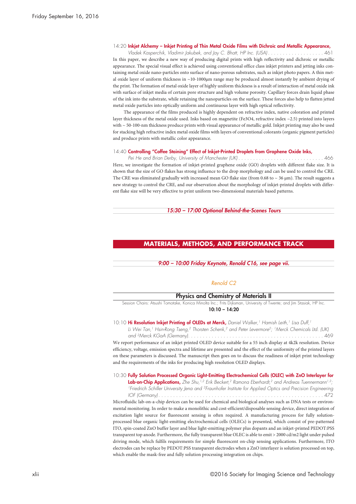#### 14:20 **Inkjet Alchemy – Inkjet Printing of Thin Metal Oxide Films with Dichroic and Metallic Appearance,**

Vladek Kasperchik, Vladimir Jakubek, and Jay C. Bhatt, HP Inc. (USA)..................... 461 In this paper, we describe a new way of producing digital prints with high reflectivity and dichroic or metallic appearance. The special visual effect is achieved using conventional office class inkjet printers and jetting inks containing metal oxide nano-particles onto surface of nano-porous substrates, such as inkjet photo papers. A thin metal oxide layer of uniform thickness in ~10-1000µm range may be produced almost instantly by ambient drying of the print. The formation of metal oxide layer of highly uniform thickness is a result of interaction of metal oxide ink with surface of inkjet media of certain pore structure and high volume porosity. Capillary forces drain liquid phase of the ink into the substrate, while retaining the nanoparticles on the surface. These forces also help to flatten jetted metal oxide particles into optically uniform and continuous layer with high optical reflectivity.

The appearance of the films produced is highly dependent on refractive index, native coloration and printed layer thickness of the metal oxide used. Inks based on magnetite (Fe3O4, refractive index ~2.5) printed into layers with ~ 50-100-nm thickness produce prints with visual appearance of metallic gold. Inkjet printing may also be used for stacking high refractive index metal oxide films with layers of conventional colorants (organic pigment particles) and produce prints with metallic color appearance.

#### 14:40 **Controlling "Coffee Staining" Effect of Inkjet-Printed Droplets from Graphene Oxide Inks,**

*Pei He and Brian Derby, University of Manchester (UK) . . . . . . . . . . . . . . . . . . . . . . . . . . . . .* 466 Here, we investigate the formation of inkjet-printed graphene oxide (GO) droplets with different flake size. It is shown that the size of GO flakes has strong influence to the drop morphology and can be used to control the CRE. The CRE was eliminated gradually with increased mean GO flake size (from 0.68 to  $\sim$  36  $\mu$ m). The result suggests a new strategy to control the CRE, and our observation about the morphology of inkjet-printed droplets with different flake size will be very effective to print uniform two-dimensional materials based patterns.

*15:30 – 17:00 Optional Behind-the-Scenes Tours*

### **MATERIALS, METHODS, AND PERFORMANCE TRACK**

*9:00 – 10:00 Friday Keynote, Renold C16, see page vii.*

#### *Renold C2*

#### **Physics and Chemistry of Materials II**

Session Chairs: Atsushi Tomotake, Konica Minolta Inc.; Frits Dijksman, University of Twente; and Jim Stasiak, HP Inc. **10:10 – 14:20**

#### 10:10 **Hi Resolution Inkjet Printing of OLEDs at Merck,** *Daniel Walker, <sup>1</sup> Hamish Leith, <sup>1</sup> Lisa Duff, 1*

*Li Wei Tan, <sup>1</sup> Hsin-Rong Tseng, <sup>2</sup> Thorsten Schenk, <sup>2</sup> and Peter Levermore2; 1Merck Chemicals Ltd. (UK) and 2Merck KGaA (Germany). . . . . . . . . . . . . . . . . . . . . . . . . . . . . . . . . . . . . . . . . . . . . .* 469

We report performance of an inkjet printed OLED device suitable for a 55 inch display at 4k2k resolution. Device efficiency, voltage, emission spectra and lifetime are presented and the effect of the uniformity of the printed layers on these parameters is discussed. The manuscript then goes on to discuss the readiness of inkjet print technology and the requirements of the inks for producing high resolution OLED displays.

### 10:30 **Fully Solution Processed Organic Light-Emitting Electrochemical Cells (OLEC) with ZnO Interlayer for**

**Lab-on-Chip Applications,** *Zhe Shu, 1,2 Erik Beckert, <sup>2</sup> Ramona Eberhardt, <sup>2</sup> and Andreas Tuennermann1,2; 1Friedrich Schiller University Jena and 2Fraunhofer Institute for Applied Optics and Precision Engineering IOF (Germany) . . . . . . . . . . . . . . . . . . . . . . . . . . . . . . . . . . . . . . . . . . . . . . . . . . . . . . . .* 472

Microfluidic lab-on-a-chip devices can be used for chemical and biological analyses such as DNA tests or environmental monitoring. In order to make a monolithic and cost-efficient/disposable sensing device, direct integration of excitation light source for fluorescent sensing is often required. A manufacturing process for fully solutionprocessed blue organic light-emitting electrochemical cells (OLECs) is presented, which consist of pre-patterned ITO, spin-coated ZnO buffer layer and blue light-emitting polymer plus dopants and an inkjet-printed PEDOT:PSS transparent top anode. Furthermore, the fully transparent blue OLEC is able to emit > 2000 cd/m2 light under pulsed driving mode, which fulfils requirements for simple fluorescent on-chip sensing applications. Furthermore, ITO electrodes can be replace by PEDOT:PSS transparent electrodes when a ZnO interlayer is solution processed on top, which enable the mask-free and fully solution processing integration on chips.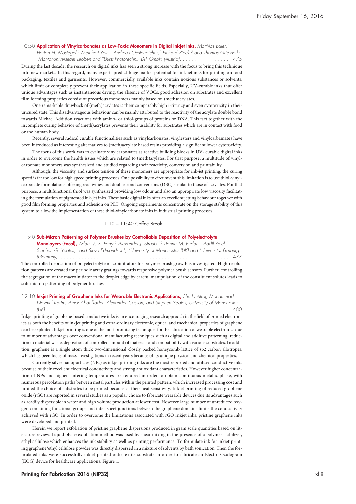#### 10:50 **Application of Vinylcarbonates as Low-Toxic Monomers in Digital Inkjet Inks,** *Matthias Edler, 1*

*Florian H. Mostegel, <sup>1</sup> Meinhart Roth, <sup>1</sup> Andreas Oesterreicher, <sup>1</sup> Richard Piock, <sup>2</sup> and Thomas Griesser 1;*

<sup>1</sup>Montanuniversitaet Leoben and <sup>2</sup>Durst Phototechnik DIT GmbH (Austria). . . . . . . . . . . . . . . . . . 475 During the last decade, the research on digital inks has seen a strong increase with the focus to bring this technique into new markets. In this regard, many experts predict huge market potential for ink-jet inks for printing on food packaging, textiles and garments. However, commercially available inks contain noxious substances or solvents, which limit or completely prevent their application in these specific fields. Especially, UV-curable inks that offer unique advantages such as instantaneous drying, the absence of VOCs, good adhesion on substrates and excellent film forming properties consist of precarious monomers mainly based on (meth)acrylates.

One remarkable drawback of (meth)acrylates is their comparably high irritancy and even cytotoxicity in their uncured state. This disadvantageous behaviour can be mainly attributed to the reactivity of the acrylate double bond towards Michael Addition reactions with amino- or thiol-groups of proteins or DNA. This fact together with the incomplete curing behavior of (meth)acrylates prevents their usability for substrates which are in contact with food or the human body.

Recently, several radical curable functionalities such as vinylcarbonates, vinylesters and vinylcarbamates have been introduced as interesting alternatives to (meth)acrylate based resins providing a significant lower cytotoxicity.

The focus of this work was to evaluate vinylcarbonates as reactive building blocks in UV- curable digital inks in order to overcome the health issues which are related to (meth)arylates. For that purpose, a multitude of vinylcarbonate monomers was synthesized and studied regarding their reactivity, conversion and printability.

Although, the viscosity and surface tension of these monomers are appropriate for ink-jet printing, the curing speed is far too low for high speed printing processes. One possibility to circumvent this limitation is to use thiol-vinylcarbonate formulations offering reactivities and double bond conversions (DBC) similar to those of acrylates. For that purpose, a multifunctional thiol was synthesized providing low odour and also an appropriate low viscosity facilitating the formulation of pigmented ink-jet inks. These basic digital inks offer an excellent jetting behaviour together with good film forming properties and adhesion on PET. Ongoing experiments concentrate on the storage stability of this system to allow the implementation of these thiol-vinylcarbonate inks in industrial printing processes.

#### 11:10 – 11:40 Coffee Break

#### 11:40 **Sub-Micron Patterning of Polymer Brushes by Controllable Deposition of Polyelectrolyte**

**Monolayers (Focal),** Adam V. S. Parry,<sup>1</sup> Alexander J. Straub,<sup>1,2</sup> Lianne M. Jordan,<sup>1</sup> Aadil Patel,<sup>1</sup> *Stephen G. Yeates, <sup>1</sup> and Steve Edmondson1; 1University of Manchester (UK) and 2Universitat Freiburg (Germany) . . . . . . . . . . . . . . . . . . . . . . . . . . . . . . . . . . . . . . . . . . . . . . . . . . . . . . . . . . .* 477 The controlled deposition of polyelectrolyte macroinitiators for polymer brush growth is investigated. High resolution patterns are created for periodic array gratings towards responsive polymer brush sensors. Further, controlling the segregation of the macroinitiator to the droplet edge by careful manipulation of the constituent solutes leads to sub-micron patterning of polymer brushes.

### 12:10 **Inkjet Printing of Graphene Inks for Wearable Electronic Applications,** *Shaila Afroj, Mohammad Nazmul Karim, Amor Abdelkader, Alexander Casson, and Stephen Yeates, University of Manchester*

*(UK) . . . . . . . . . . . . . . . . . . . . . . . . . . . . . . . . . . . . . . . . . . . . . . . . . . . . . . . . . . . . . . .* 480 Inkjet printing of graphene-based conductive inks is an encouraging research approach in the field of printed electronics as both the benefits of inkjet printing and extra-ordinary electronic, optical and mechanical properties of graphene can be exploited. Inkjet printing is one of the most promising techniques for the fabrication of wearable electronics due to number of advantages over conventional manufacturing techniques such as digital and additive patterning, reduction in material waste, deposition of controlled amount of materials and compatibility with various substrates. In addition, graphene is a single atom thick two-dimensional closely packed honeycomb lattice of sp2 carbon allotropes, which has been focus of mass investigations in recent years because of its unique physical and chemical properties.

Currently silver nanoparticles (NPs) as inkjet printing inks are the most reported and utilised conductive inks because of their excellent electrical conductivity and strong antioxidant characteristics. However higher concentration of NPs and higher sintering temperatures are required in order to obtain continuous metallic phase, with numerous percolation paths between metal particles within the printed pattern, which increased processing cost and limited the choice of substrates to be printed because of their heat sensitivity. Inkjet printing of reduced graphene oxide (rGO) are reported in several studies as a popular choice to fabricate wearable devices due its advantages such as readily dispersible in water and high volume production at lower cost. However large number of unreduced oxygen-containing functional groups and inter-sheet junctions between the graphene domains limits the conductivity achieved with rGO. In order to overcome the limitations associated with rGO inkjet inks, pristine graphene inks were developed and printed.

Herein we report exfoliation of pristine graphene dispersions produced in gram scale quantities based on literature review. Liquid phase exfoliation method was used by shear mixing in the presence of a polymer stabilizer, ethyl cellulose which enhances the ink stability as well as printing performance. To formulate ink for inkjet printing graphene/ethyl cellulose powder was directly dispersed in a mixture of solvents by bath sonication. Then the formulated inks were successfully inkjet printed onto textile substrate in order to fabricate an Electro-Oculogram (EOG) device for healthcare applications, Figure 1.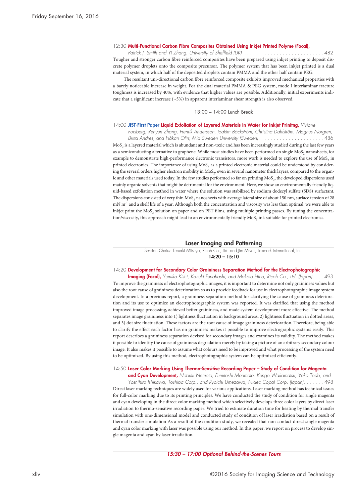#### 12:30 **Multi-Functional Carbon Fibre Composites Obtained Using Inkjet Printed Polyme (Focal),**

*Patrick J. Smith and Yi Zhang, University of Sheffield (UK) . . . . . . . . . . . . . . . . . . . . . . . . . . .* 482 Tougher and stronger carbon fibre reinforced composites have been prepared using inkjet printing to deposit discrete polymer droplets onto the composite precursor. The polymer system that has been inkjet printed is a dual material system, in which half of the deposited droplets contain PMMA and the other half contain PEG.

The resultant uni-directional carbon fibre reinforced composite exhibits improved mechanical properties with a barely noticeable increase in weight. For the dual material PMMA & PEG system, mode I interlaminar fracture toughness is increased by 40%, with evidence that higher values are possible. Additionally, initial experiments indicate that a significant increase  $({\sim}5\%)$  in apparent interlaminar shear strength is also observed.

#### 13:00 – 14:00 Lunch Break

#### 14:00 **JIST-First Paper Liquid Exfoliation of Layered Materials in Water for Inkjet Prinitng,** *Viviane*

*Forsberg, Renyun Zhang, Henrik Andersson, Joakim Bäckström, Christina Dahlström, Magnus Norgren,* Britta Andres, and Håkan Olin; Mid Sweden University (Sweden)..........................486 MoS<sub>2</sub> is a layered material which is abundant and non-toxic and has been increasingly studied during the last few years as a semiconducting alternative to graphene. While most studies have been performed on single MoS<sub>2</sub> nanosheets, for example to demonstrate high-performance electronic transistors, more work is needed to explore the use of MoS<sub>2</sub> in printed electronics. The importance of using MoS<sub>2</sub> as a printed electronic material could be understood by considering the several orders higher electron mobility in  $MoS<sub>2</sub>$ , even in several nanometer thick layers, compared to the organic and other materials used today. In the few studies performed so far on printing MoS<sub>2</sub>, the developed dispersions used mainly organic solvents that might be detrimental for the environment. Here, we show an environmentally friendly liquid-based exfoliation method in water where the solution was stabilized by sodium dodecyl sulfate (SDS) surfactant. The dispersions consisted of very thin MoS<sub>2</sub> nanosheets with average lateral size of about 150 nm, surface tension of 28 mN m<sup>-1</sup> and a shelf life of a year. Although both the concentration and viscosity was less than optimal, we were able to inkjet print the MoS<sub>2</sub> solution on paper and on PET films, using multiple printing passes. By tuning the concentration/viscosity, this approach might lead to an environmentally friendly MoS<sub>2</sub> ink suitable for printed electronics.

#### **Laser Imaging and Patterning**

Session Chairs: Teruaki Mitsuya, Ricoh Co., Ltd. and Jim Mrvos, Lexmark International, Inc. **14:20 – 15:10**

### 14:20 **Development for Secondary Color Graininess Separation Method for the Electrophotographic**

**Imaging (Focal),** *Yumiko Kishi, Kazuki Funahashi, and Makoto Hino, Ricoh Co., Ltd. (Japan). . . .* 493 To improve the graininess of electrophotographic images, it is important to determine not only graininess values but also the root cause of graininess deterioration so as to provide feedback for use in electrophotographic image system development. In a previous report, a graininess separation method for clarifying the cause of graininess deterioration and its use to optimize an electrophotographic system was reported. It was clarified that using the method improved image processing, achieved better graininess, and made system development more effective. The method separates image graininess into 1) lightness fluctuation in background areas, 2) lightness fluctuation in dotted areas, and 3) dot size fluctuation. These factors are the root cause of image graininess deterioration. Therefore, being able to clarify the effect each factor has on graininess makes it possible to improve electrographic systems easily. This report describes a graininess separation devised for secondary images and examines its validity. The method makes it possible to identify the cause of graininess degradation merely by taking a picture of an arbitrary secondary colour image. It also makes it possible to assume what colours need to be improved and what processing of the system need to be optimized. By using this method, electrophotographic system can be optimized efficiently.

#### 14:50 **Laser Color Marking Using Thermo-Sensitive Recording Paper – Study of Condition for Magenta**

**and Cyan Development,** *Nobuki Nemoto, Fumitoshi Morimoto, Kengo Wakamatsu, Yoko Todo, and Yoshihiro Ishikawa, Toshiba Corp., and Ryoichi Umezawa, Nidec Copal Corp. (Japan). . . . . . .* 498 Direct laser marking techniques are widely used for various applications. Laser marking method has technical issues for full-color marking due to its printing principles. We have conducted the study of condition for single magenta and cyan developing in the direct color marking method which selectively develops three color layers by direct laser irradiation to thermo-sensitive recording paper. We tried to estimate duration time for heating by thermal transfer simulation with one-dimensional model and conducted study of condition of laser irradiation based on a result of thermal transfer simulation As a result of the condition study, we revealed that non-contact direct single magenta and cyan color marking with laser was possible using our method. In this paper, we report on process to develop single magenta and cyan by laser irradiation.

*15:30 – 17:00 Optional Behind-the-Scenes Tours*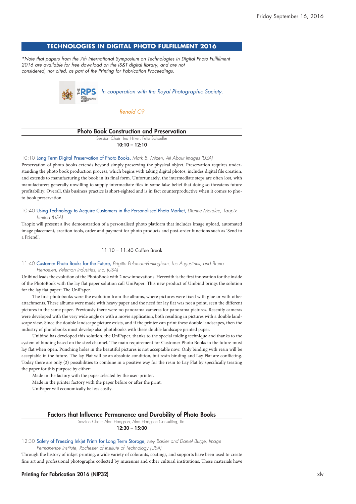## **TECHNOLOGIES IN DIGITAL PHOTO FULFILLMENT 2016**

*\*Note that papers from the 7th International Symposium on Technologies in Digital Photo Fulfillment 2016 are available for free download on the IS&T digital library, and are not considered, nor cited, as part of the Printing for Fabrication Proceedings.*



*Renold C9*

#### **Photo Book Construction and Preservation**

Session Chair: Ina Hilker, Felix Schoeller **10:10 – 12:10**

10:10 Long-Term Digital Preservation of Photo Books, *Mark B. Mizen, All About Images (USA)*

Preservation of photo books extends beyond simply preserving the physical object. Preservation requires understanding the photo book production process, which begins with taking digital photos, includes digital file creation, and extends to manufacturing the book in its final form. Unfortunately, the intermediate steps are often lost, with manufacturers generally unwilling to supply intermediate files in some false belief that doing so threatens future profitability. Overall, this business practice is short-sighted and is in fact counterproductive when it comes to photo book preservation.

10:40 Using Technology to Acquire Customers in the Personalised Photo Market, *Dianne Moralee, Taopix Limited (USA)*

Taopix will present a live demonstration of a personalised photo platform that includes image upload, automated image placement, creation tools, order and payment for photo products and post-order functions such as 'Send to a Friend'.

### 11:10 – 11:40 Coffee Break

11:40 Customer Photo Books for the Future, *Brigitte Peleman-Vantieghem, Luc Augustinus, and Bruno Herroelen, Peleman Industries, Inc. (USA)*

Unibind leads the evolution of the PhotoBook with 2 new innovations. Herewith is the first innovation for the inside of the PhotoBook with the lay flat paper solution call UniPaper. This new product of Unibind brings the solution for the lay flat paper: The UniPaper.

The first photobooks were the evolution from the albums, where pictures were fixed with glue or with other attachments. These albums were made with heavy paper and the need for lay flat was not a point, seen the different pictures in the same paper. Previously there were no panorama cameras for panorama pictures. Recently cameras were developed with the very wide angle or with a movie application, both resulting in pictures with a double landscape view. Since the double landscape picture exists, and if the printer can print these double landscapes, then the industry of photobooks must develop also photobooks with these double landscape printed paper.

Unibind has developed this solution, the UniPaper, thanks to the special folding technique and thanks to the system of binding based on the steel channel. The main requirement for Customer Photo Books in the future must lay flat when open. Punching holes in the beautiful pictures is not acceptable now. Only binding with resin will be acceptable in the future. The lay Flat will be an absolute condition, but resin binding and Lay Flat are conflicting. Today there are only (2) possibilities to combine in a positive way for the resin to Lay Flat by specifically treating the paper for this purpose by either:

Made in the factory with the paper selected by the user-printer.

Made in the printer factory with the paper before or after the print.

UniPaper will economically be less costly.

### **Factors that Influence Permanence and Durability of Photo Books**

Session Chair: Alan Hodgson, Alan Hodgson Consulting, Ltd. **12:30 – 15:00**

#### 12:30 Safety of Freezing Inkjet Prints for Long Term Storage, *Ivey Barker and Daniel Burge, Image Permanence Institute, Rochester of Institute of Technology (USA)*

Through the history of inkjet printing, a wide variety of colorants, coatings, and supports have been used to create fine art and professional photographs collected by museums and other cultural institutions. These materials have

#### **Printing for Fabrication 2016 (NIP32)** xlv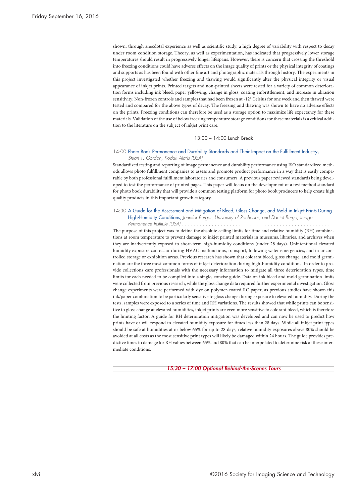shown, through anecdotal experience as well as scientific study, a high degree of variability with respect to decay under room condition storage. Theory, as well as experimentation, has indicated that progressively lower storage temperatures should result in progressively longer lifespans. However, there is concern that crossing the threshold into freezing conditions could have adverse effects on the image quality of prints or the physical integrity of coatings and supports as has been found with other fine art and photographic materials through history. The experiments in this project investigated whether freezing and thawing would significantly alter the physical integrity or visual appearance of inkjet prints. Printed targets and non-printed sheets were tested for a variety of common deterioration forms including ink bleed, paper yellowing, change in gloss, coating embrittlement, and increase in abrasion sensitivity. Non-frozen controls and samples that had been frozen at -12° Celsius for one week and then thawed were tested and compared for the above types of decay. The freezing and thawing was shown to have no adverse effects on the prints. Freezing conditions can therefore be used as a storage option to maximize life expectancy for these materials. Validation of the use of below freezing temperature storage conditions for these materials is a critical addition to the literature on the subject of inkjet print care.

#### 13:00 – 14:00 Lunch Break

### 14:00 Photo Book Permanence and Durability Standards and Their Impact on the Fulfillment Industry, *Stuart T. Gordon, Kodak Alaris (USA)*

Standardized testing and reporting of image permanence and durability performance using ISO standardized methods allows photo fulfillment companies to assess and promote product performance in a way that is easily comparable by both professional fulfillment laboratories and consumers. A previous paper reviewed standards being developed to test the performance of printed pages. This paper will focus on the development of a test method standard for photo book durability that will provide a common testing platform for photo book producers to help create high quality products in this important growth category.

#### 14:30 A Guide for the Assessment and Mitigation of Bleed, Gloss Change, and Mold in Inkjet Prints During High-Humidity Conditions, *Jennifer Burger, University of Rochester, and Daniel Burge, Image Permanence Institute (USA) . . . . . . . . . . . . . . . . . . . . . . . . . . . . . . . . . . . . . . . . . . . . . . . . . . .*

The purpose of this project was to define the absolute ceiling limits for time and relative humidity (RH) combinations at room temperature to prevent damage to inkjet printed materials in museums, libraries, and archives when they are inadvertently exposed to short-term high-humidity conditions (under 28 days). Unintentional elevated humidity exposure can occur during HVAC malfunctions, transport, following water emergencies, and in uncontrolled storage or exhibition areas. Previous research has shown that colorant bleed, gloss change, and mold germination are the three most common forms of inkjet deterioration during high-humidity conditions. In order to provide collections care professionals with the necessary information to mitigate all three deterioration types, time limits for each needed to be compiled into a single, concise guide. Data on ink bleed and mold germination limits were collected from previous research, while the gloss change data required further experimental investigation. Gloss change experiments were performed with dye on polymer-coated RC paper, as previous studies have shown this ink/paper combination to be particularly sensitive to gloss change during exposure to elevated humidity. During the tests, samples were exposed to a series of time and RH variations. The results showed that while prints can be sensitive to gloss change at elevated humidities, inkjet prints are even more sensitive to colorant bleed, which is therefore the limiting factor. A guide for RH deterioration mitigation was developed and can now be used to predict how prints have or will respond to elevated humidity exposure for times less than 28 days. While all inkjet print types should be safe at humidities at or below 65% for up to 28 days, relative humidity exposures above 80% should be avoided at all costs as the most sensitive print types will likely be damaged within 24 hours. The guide provides predictive times to damage for RH values between 65% and 80% that can be interpolated to determine risk at these intermediate conditions.

*15:30 – 17:00 Optional Behind-the-Scenes Tours*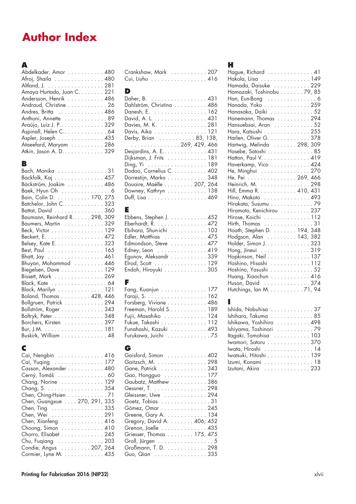# **Author Index**

## **A**

| Abdelkader, Amor 480       |
|----------------------------|
| Afroj, Shaila 480          |
| Altland, J. 281            |
| Amaya Hurtado, Juan C. 221 |
| Andersson, Henrik 486      |
| Andraud, Christine 26      |
| Andres, Britta 486         |
| Anthoni, Annette 89        |
| Arαύjo, Luiz J. P. 329     |
| Aspinall, Helen C 64       |
| Aspler, Joseph 435         |
| Ataeefard, Maryam 286      |
| Atkin, Jason A. D. 329     |

## **B**

| Bach, Monika 31               |
|-------------------------------|
| Backfolk, Kaj 457             |
| Bäckström, Joakim 486         |
| Baek, Hyun Oh 6               |
| Bain, Colin D. 170, 275       |
| Batchelor, John C323          |
| Battat, David 360             |
| Baumann, Reinhard R. 298, 309 |
| Baumers, Martin  329          |
| Beck, Victor 129              |
| Beckert, E. 472               |
| Belsey, Kate E. 323           |
| Best, Paul 165                |
| Bhatt, Jay 461                |
| Bhuyan, Mohammod  446         |
| Biegelsen, Dave 129           |
| Bissett, Mark 269             |
| Black, Kate 64                |
| Black, Marilyn 121            |
| Boland, Thomas 428, 446       |
| Bollgruen, Patrick 294        |
| Bollström, Roger 343          |
| Boltryk, Peter 348            |
| Borchers, Kirsten 397         |
|                               |
| Buskirk, William 48           |
|                               |

## **C**

| Cai, Nengbin 416             |
|------------------------------|
| Cai, Yuqing  177             |
| Casson, Alexander 480        |
| Cerný, Tomáš60               |
| Chang, Norine  129           |
| Chang, S. 354                |
| Chen, Ching-Hsien 71         |
| Chen, Guangxue 270, 291, 335 |
| Chen, Ting 335               |
| Chen, Wei 291                |
| Chen, Xianfeng  416          |
| Choong, Simon 410            |
| Chorro, Elisabet 245         |
| Chu, Fuqiang 203             |
| Condie, Angus 207, 264       |
| Cormier, Lyne M. 435         |
|                              |

## Crankshaw, Mark . . . . . . . . . . . 207 Cui, Liuhu . . . . . . . . . . . . . . . . . 416

## **D**

| Daher, B. 431            |
|--------------------------|
| Dahlström, Christina 486 |
| Danesh, E. 162           |
| David, A. L. 431         |
| Davies, M. K. 281        |
| Davis, Aika 121          |
| Derby, Brian 83, 138,    |
| . 269, 429, 466          |
| Desjardins, A. E 431     |
| Dijksman, J. Frits 181   |
|                          |
| Dodoo, Cornelius C. 402  |
| Dorrestijn, Marko 348    |
| Douaire, Maëlle 207, 264 |
| Downey, Kathryn 138      |
| Duff, Lisa 469           |

## **E**

| Ebbens, Stephen J. 452                      |
|---------------------------------------------|
| Eberhardt, R. 472                           |
| Ebihara, Shun-ichi 103                      |
| Edler, Matthias  475                        |
| Edmondson, Steve 477                        |
| Edney, Leon $\dots\dots\dots\dots\dots$ 419 |
| Egunov, Aleksandr 339                       |
| Elrod, Scott 129                            |
| Endoh, Hiroyuki 305                         |

## **F**

| Fang, Kuanjun 177     |
|-----------------------|
|                       |
| Forsberg, Viviane 486 |
| Freeman, Harold S 189 |
| Fujii, Masahiko  124  |
| Fukue, Takashi 112    |
| Funahashi, Kazuki 493 |
| Furukawa, Juichi 75   |

## **G**

## **H**

| Hague, Richard 41          |
|----------------------------|
| Hakola, Liisa 149          |
| Hamada, Daisuke 229        |
| Hamazaki, Toshinobu 79, 85 |
| Han, Eun-Bong 6            |
| Hanada, Yoko 259           |
| Hanasaka, Daiki 52         |
| Hanemann, Thomas 294       |
| Hansuebsai, Aran 52        |
| Hara, Katsushi 255         |
| Harlen, Oliver G. 378      |
| Hartwig, Melinda  298, 309 |
| Hasebe, Satoshi 85         |
| Hatton, Paul V. 419        |
| Haverkamp, Vico 424        |
| He, Minghui 270            |
| He, Pei 269, 466           |
|                            |
|                            |
| Hino, Makoto 493           |
| Hirakata, Susumu 79        |
| Hiramoto, Kenichirou  237  |
| Hirose, Koichi 112         |
| Hirth, Thomas 31           |
| Hoath, Stephen D. 194, 348 |
| Hodgson, Alan 143, 382     |
| Holder, Simon J. 323       |
| Hong, Jineui 319           |
| Hopkinson, Neil 137        |
| Hoshino, Hisashi 112       |
| Hoshino, Yasushi 52        |
| Huang, Xiaochun  416       |
| Huson, David 374           |
| Hutchings, Ian M. 71, 94   |
|                            |

## **I**

| Ishida, Nobuhisa 37      |
|--------------------------|
| Ishihara, Takuma 85      |
| Ishikawa, Yoshihiro  498 |
| Ishiyama, Toshinori  79  |
| Itagaki, Tomohisa 103    |
| Iwamori, Satoru 370      |
| Iwata, Hiroshi 14        |
| Iwatsuki, Hitoshi 139    |
| Izumi, Konami 18         |
| Izutani, Akira  233      |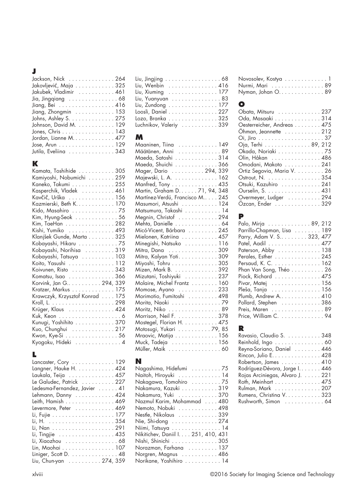## **J**

| Jackson, Nick 264                               |
|-------------------------------------------------|
| Jakovljević, Maja 325                           |
| Jakubek, Vladimir 461                           |
| Jia, Jingqiang 68                               |
| Jiang, Bei 416                                  |
| Jiang, Zhongmin $\dots \dots \dots \dots 153$   |
| Johns, Ashley S. 275                            |
| Johnson, David M. 129                           |
| Jones, Chris 143                                |
| Jordan, Lianne M. 477                           |
| Jose, Arun $\dots\dots\dots\dots\dots\dots$ 129 |
| Jutila, Eveliina 343                            |

## **K**

| Kamata, Toshihide 305           |  |
|---------------------------------|--|
| Kamiyoshi, Nobumichi 259        |  |
| Kaneko, Takumi 255              |  |
| Kasperchik, Vladek 461          |  |
| Kavčič, Urška  156              |  |
| Kazmierski, Beth K. 170         |  |
| Kido, Masahiro 75               |  |
| Kim, Hyung-Seok 56              |  |
| Kim, TaeHan 282                 |  |
| Kishi, Yumiko 493               |  |
| Klanjšek Gunde, Marta 325       |  |
| Kobayashi, Hikaru 75            |  |
| Kobayashi, Norihisa 319         |  |
| Kobayashi, Tatsuya 103          |  |
| Koito, Yasushi 112              |  |
| Koivunen, Risto 343             |  |
| Komatsu, Isao 366               |  |
| Korvink, Jan G 294, 339         |  |
| Kratzer, Markus 175             |  |
| Krawczyk, Krzysztof Konrad  175 |  |
|                                 |  |
| Krüger, Klaus  424              |  |
|                                 |  |
| Kunugi, Yoshihito 370           |  |
| Kuo, Chunghui 217               |  |
| Kwon, Kye-Si 56                 |  |
| Kyogoku, Hideki 4               |  |

## **L**

| Lancaster, Cory  129         |
|------------------------------|
| Langner, Hauke H. 424        |
| Laukala, Teija 457           |
| Le Galudec, Patrick 227      |
| Ledesma-Fernandez, Javier 41 |
| Lehmann, Danny  424          |
| Leith, Hamish 469            |
| Levermore, Peter 469         |
|                              |
|                              |
|                              |
| Li, Tingjie 435              |
| Li, Xiaozhou  68             |
| Lin, Maohai 107              |
| Liniger, Scott D. 48         |
| Liu, Chun-yan  274, 359      |
|                              |

| Liu, Jingjing 68        |  |
|-------------------------|--|
| Liu, Wenbin  416        |  |
| Liu, Xiuming 177        |  |
| Liu, Yuanyuan 83        |  |
| Liu, Zundong 177        |  |
| Loosli, Daniel 227      |  |
| Lozo, Branka 325        |  |
| Luchnikov, Valeriy  339 |  |

## **M**

| Maaninen, Tiina  149                               |
|----------------------------------------------------|
| Määtänen, Anni 89                                  |
| Maeda, Satoshi 314                                 |
|                                                    |
| Maeda, Shuichi 366<br>Mager, Dario 294, 339        |
| Majewski, L. A. 162                                |
|                                                    |
| Manfred, Tony 435<br>Martin, Graham D. 71, 94, 348 |
| Martínez-Verdú, Francisco M 245                    |
| Masumori, Atsushi 124                              |
| Matsumura, Takashi 14                              |
| Megnin, Christof  294                              |
| Mehta, Danielle  64                                |
| Micó-Vicent, Bárbara  245                          |
| Mielonen, Katriina 457                             |
| Minegishi, Natsuko 116                             |
| Mitra, Dana 309                                    |
| Mitra, Kalyan Yoti309                              |
| Miyoshi, Tohru 305                                 |
| Mizen, Mark B. 392                                 |
| Mizutani, Toshiyuki  237                           |
| Molaire, Michel Frantz  160                        |
| Momose, Ayano  233                                 |
| Morimotio, Fumitoshi 498                           |
| Morita, Naoki 79                                   |
| Moritz, Niko 89                                    |
| Morrison, Neil F. 378                              |
| Mostegel, Florian H. 475                           |
| Motosugi, Yukari 79, 85                            |
| Mraovic, Matija 156                                |
| Muck, Tadeja 156                                   |
| Müller, Maik 60                                    |

## **N**

| Novosolev, Kostya 1 |  |  |  |  |  |  |  |
|---------------------|--|--|--|--|--|--|--|
| Nurmi, Mari 89      |  |  |  |  |  |  |  |
| Nyman, Johan O. 89  |  |  |  |  |  |  |  |

## **O**

| Obata, Mitsuru 237         |
|----------------------------|
| Oda, Masaaki 314           |
| Oesterreicher, Andreas 475 |
| Ohman, Jeannette 212       |
|                            |
| Oja, Terhi 89, 212         |
| Okada, Noriaki 75          |
| Olin, Håkan 486            |
| Omodani, Makoto 241        |
| Ortiz Segovia, Maria V. 26 |
| Ostrout, N. 354            |
| Otsuki, Kazuhiro 241       |
| Ourselin, S. 431           |
| Overmeyer, Ludger 294      |
| Özcan, Ender 329           |
|                            |

## **P**

| Palo, Mirja 89, 212        |
|----------------------------|
| Parrillo-Chapman, Lisa 189 |
| Parry, Adam V. S 323, 477  |
| Patel, Aadil 477           |
| Paterson, Abby 138         |
| Perales, Esther 245        |
| Persaud, K. C. 162         |
| Phan Van Song, Théo 26     |
| Piock, Richard 475         |
| Pivar, Matej 156           |
| Pleša, Tanja 156           |
| Plumb, Andrew A 410        |
| Pollard, Stephen 386       |
| Preis, Maren 89            |
| Price, William C. 94       |
|                            |

## **R**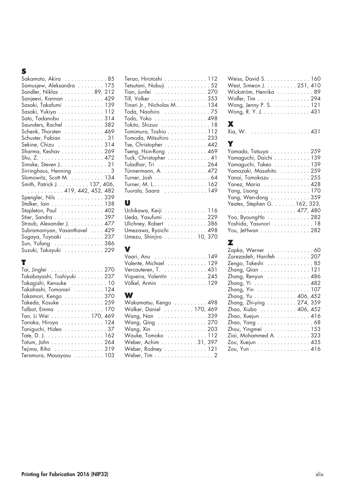## **S**

| Sakamoto, Akira 85<br>Samusjew, Aleksandra 175<br>Sandler, Niklas 89, 212<br>Sanjeevi, Kannan 429<br>Sasaki, Takafumi 139<br>Sasaki, Yukiya 112<br>Sato, Tadanobu 314<br>Saunders, Rachel  382<br>Schenk, Thorsten 469<br>Schuster, Fabian 31<br>Sekine, Chizu 314<br>Sharma, Keshav 269<br>Simske, Steven J 21<br>Sirringhaus, Henning 3 |
|-------------------------------------------------------------------------------------------------------------------------------------------------------------------------------------------------------------------------------------------------------------------------------------------------------------------------------------------|
| Slomowitz, Scott M. 134<br>Smith, Patrick J. 137, 406,                                                                                                                                                                                                                                                                                    |
| $\ldots \ldots \ldots 419, 442, 452, 482$                                                                                                                                                                                                                                                                                                 |
| Spengler, Nils 339                                                                                                                                                                                                                                                                                                                        |
| Stalker, lain 138                                                                                                                                                                                                                                                                                                                         |
| Stapleton, Paul 402                                                                                                                                                                                                                                                                                                                       |
| Stier, Sandra 397                                                                                                                                                                                                                                                                                                                         |
| Straub, Alexander J. 477                                                                                                                                                                                                                                                                                                                  |
| Subramaniyan, Vasanthavel  429                                                                                                                                                                                                                                                                                                            |
| Sugaya, Toyoaki 237                                                                                                                                                                                                                                                                                                                       |
| Sun, Yufang 386                                                                                                                                                                                                                                                                                                                           |
| Suzuki, Takayuki 229                                                                                                                                                                                                                                                                                                                      |

## **T**

| Tai, Jinglei 270                                      |
|-------------------------------------------------------|
| Takabayashi, Toshiyuki 237                            |
| Takagishi, Kensuke 10                                 |
| Takahashi, Tomonari  124                              |
| Takamori, Kengo 370                                   |
| Takeda, Kosuke 259                                    |
| Talbot, Emma 170                                      |
| Tan, Li Wei 170, 469                                  |
| Tanaka, Hiroya 124                                    |
| Taniguchi, Hideo 37                                   |
|                                                       |
| Tatum, John 264                                       |
| Tejima, Riho $\ldots \ldots \ldots \ldots \ldots 319$ |
| Teramura, Masayasu 103                                |

| Terao, Hirotoshi 112        |
|-----------------------------|
| Tetsutani, Nobuji 52        |
| Tian, Junfei 270            |
| Till, Volker 353            |
| Tinari Jr., Nicholas M. 134 |
| Toda, Naohiro 75            |
| Todo, Yoko 498              |
| Tokito, Shizuo 18           |
| Tomimura, Toshio 112        |
| Tomoda, Mitsuhiro 233       |
| Tse, Christopher 442        |
| Tseng, Hsin-Rong 469        |
| Tuck, Christopher 41        |
| Tuladhar, Tri 264           |
| Tünnermann, A. 472          |
| Turner, Josh 64             |
| Turner, M. L. 162           |
| Tuurala, Saara  149         |
|                             |

## **U**

| Uchikawa, Keiji 116     |  |
|-------------------------|--|
| Ueda, Yasufumi 229      |  |
| Ulichney, Robert 386    |  |
| Umezawa, Ryoichi 498    |  |
| Umezu, Shinjiro 10, 370 |  |

# **V**

| Valente, Michael  129   |  |
|-------------------------|--|
| Vercauteren, T.  431    |  |
| Viqueira, Valentín  245 |  |
| Völkel, Armin  129      |  |

## **W**

| Wakamatsu, Kengo 498    |  |
|-------------------------|--|
| Walker, Daniel 170, 469 |  |
| Wang, Nan 339           |  |
| Wang, Qing 270          |  |
| Wang, Xin 203           |  |
| Wauke, Tomoko 112       |  |
| Weber, Achim 31, 397    |  |
| Weber, Rodney 121       |  |
| Weber, Tim 2            |  |

| Weiss, David S. 160                             |  |
|-------------------------------------------------|--|
| West, Simeon J. 251, 410                        |  |
| Wickström, Henrika  89                          |  |
| Wolfer, Tim 294                                 |  |
| Wong, Jenny P. S. $\dots \dots \dots \dots 121$ |  |
| Wong, R. Y. J. 431                              |  |
|                                                 |  |

## **X**

| Xia, W.  431 |  |  |  |  |  |  |  |  |  |  |
|--------------|--|--|--|--|--|--|--|--|--|--|
|              |  |  |  |  |  |  |  |  |  |  |

## **Y**

| Yamada, Tatsuya 259          |
|------------------------------|
| Yamaguchi, Daichi 139        |
| Yamaguchi, Takeo 139         |
| Yamazaki, Masahito 259       |
| Yanai, Tomokazu 255          |
| Yanez, Maria 428             |
| Yang, Lisong 170             |
| Yang, Wen-dong  359          |
| Yeates, Stephen G. 162, 323, |
| . 477, 480                   |
| Yoo, ByoungHo 282            |
| Yoshida, Yasunori  18        |
| You, JeHwan 282              |

## **Z**

| Zapka, Werner 60         |
|--------------------------|
| Zarezadeh, Hanifeh 207   |
| Zengo, Takeshi 85        |
| Zhang, Qian 121          |
| Zhang, Renyun 486        |
| Zhang, Yi 482            |
| Zhang, Yin 107           |
| Zhang, Yu 406, 452       |
| Zhang, Zhi-ying 274, 359 |
| Zhao, Xiubo 406, 452     |
| Zhao, Xuejun 416         |
| Zhao, Yang 68            |
| Zhou, Yingmei 153        |
| Ziai, Mohammed A. 323    |
| Zou, Xuejun 435          |
| Zou, Yun 416             |